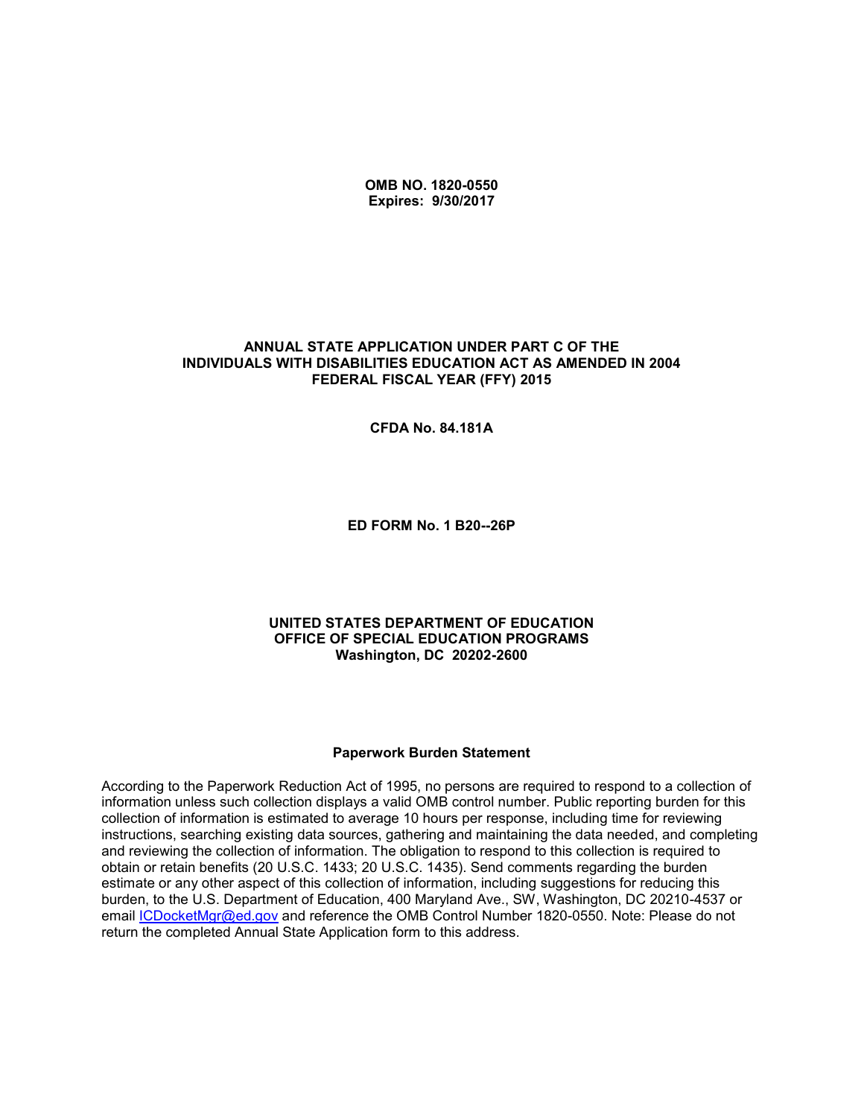**OMB NO. 1820-0550 Expires: 9/30/2017**

#### **ANNUAL STATE APPLICATION UNDER PART C OF THE INDIVIDUALS WITH DISABILITIES EDUCATION ACT AS AMENDED IN 2004 FEDERAL FISCAL YEAR (FFY) 2015**

**CFDA No. 84.181A**

**ED FORM No. 1 B20--26P**

#### **UNITED STATES DEPARTMENT OF EDUCATION OFFICE OF SPECIAL EDUCATION PROGRAMS Washington, DC 20202-2600**

#### **Paperwork Burden Statement**

According to the Paperwork Reduction Act of 1995, no persons are required to respond to a collection of information unless such collection displays a valid OMB control number. Public reporting burden for this collection of information is estimated to average 10 hours per response, including time for reviewing instructions, searching existing data sources, gathering and maintaining the data needed, and completing and reviewing the collection of information. The obligation to respond to this collection is required to obtain or retain benefits (20 U.S.C. 1433; 20 U.S.C. 1435). Send comments regarding the burden estimate or any other aspect of this collection of information, including suggestions for reducing this burden, to the U.S. Department of Education, 400 Maryland Ave., SW, Washington, DC 20210-4537 or email [ICDocketMgr@ed.gov](mailto:ICDocketMgr@ed.gov) and reference the OMB Control Number 1820-0550. Note: Please do not return the completed Annual State Application form to this address.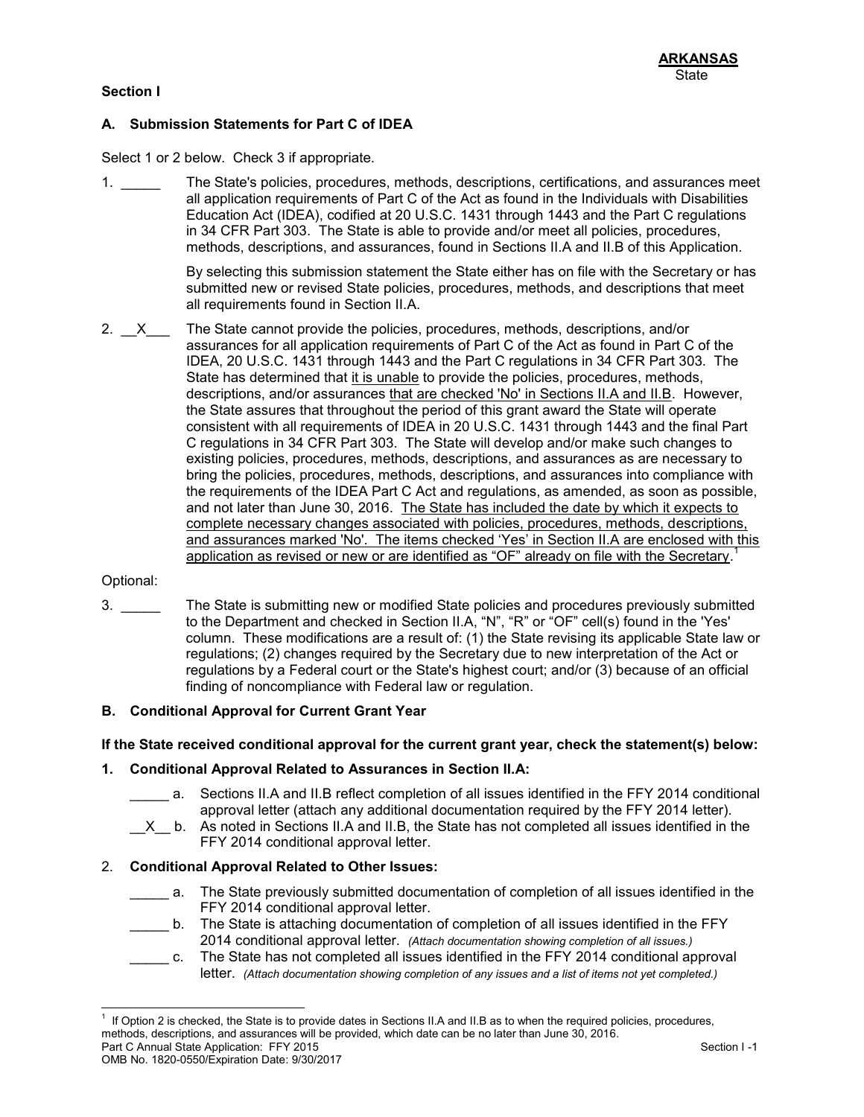### **Section I**

# **A. Submission Statements for Part C of IDEA**

Select 1 or 2 below. Check 3 if appropriate.

1. \_\_\_\_\_ The State's policies, procedures, methods, descriptions, certifications, and assurances meet all application requirements of Part C of the Act as found in the Individuals with Disabilities Education Act (IDEA), codified at 20 U.S.C. 1431 through 1443 and the Part C regulations in 34 CFR Part 303. The State is able to provide and/or meet all policies, procedures, methods, descriptions, and assurances, found in Sections II.A and II.B of this Application.

> By selecting this submission statement the State either has on file with the Secretary or has submitted new or revised State policies, procedures, methods, and descriptions that meet all requirements found in Section II.A.

2.  $X$  The State cannot provide the policies, procedures, methods, descriptions, and/or assurances for all application requirements of Part C of the Act as found in Part C of the IDEA, 20 U.S.C. 1431 through 1443 and the Part C regulations in 34 CFR Part 303. The State has determined that it is unable to provide the policies, procedures, methods, descriptions, and/or assurances that are checked 'No' in Sections II.A and II.B. However, the State assures that throughout the period of this grant award the State will operate consistent with all requirements of IDEA in 20 U.S.C. 1431 through 1443 and the final Part C regulations in 34 CFR Part 303. The State will develop and/or make such changes to existing policies, procedures, methods, descriptions, and assurances as are necessary to bring the policies, procedures, methods, descriptions, and assurances into compliance with the requirements of the IDEA Part C Act and regulations, as amended, as soon as possible, and not later than June 30, 2016. The State has included the date by which it expects to complete necessary changes associated with policies, procedures, methods, descriptions, and assurances marked 'No'. The items checked 'Yes' in Section II.A are enclosed with this application as revised or new or are identified as "OF" already on file with the Secretary.<sup>1</sup>

#### Optional:

3. \_\_\_\_\_ The State is submitting new or modified State policies and procedures previously submitted to the Department and checked in Section II.A, "N", "R" or "OF" cell(s) found in the 'Yes' column. These modifications are a result of: (1) the State revising its applicable State law or regulations; (2) changes required by the Secretary due to new interpretation of the Act or regulations by a Federal court or the State's highest court; and/or (3) because of an official finding of noncompliance with Federal law or regulation.

#### **B. Conditional Approval for Current Grant Year**

#### **If the State received conditional approval for the current grant year, check the statement(s) below:**

#### **1. Conditional Approval Related to Assurances in Section II.A:**

- \_\_\_\_\_ a. Sections II.A and II.B reflect completion of all issues identified in the FFY 2014 conditional approval letter (attach any additional documentation required by the FFY 2014 letter).
- $X$ <sub>\_</sub> b. As noted in Sections II.A and II.B, the State has not completed all issues identified in the FFY 2014 conditional approval letter.

#### 2. **Conditional Approval Related to Other Issues:**

- \_\_\_\_\_ a. The State previously submitted documentation of completion of all issues identified in the FFY 2014 conditional approval letter.
- b. The State is attaching documentation of completion of all issues identified in the FFY 2014 conditional approval letter. *(Attach documentation showing completion of all issues.)*
- \_\_\_\_\_ c. The State has not completed all issues identified in the FFY 2014 conditional approval letter. *(Attach documentation showing completion of any issues and a list of items not yet completed.)*

Part C Annual State Application: FFY 2015 Section I -1 l 1 If Option 2 is checked, the State is to provide dates in Sections II.A and II.B as to when the required policies, procedures, methods, descriptions, and assurances will be provided, which date can be no later than June 30, 2016.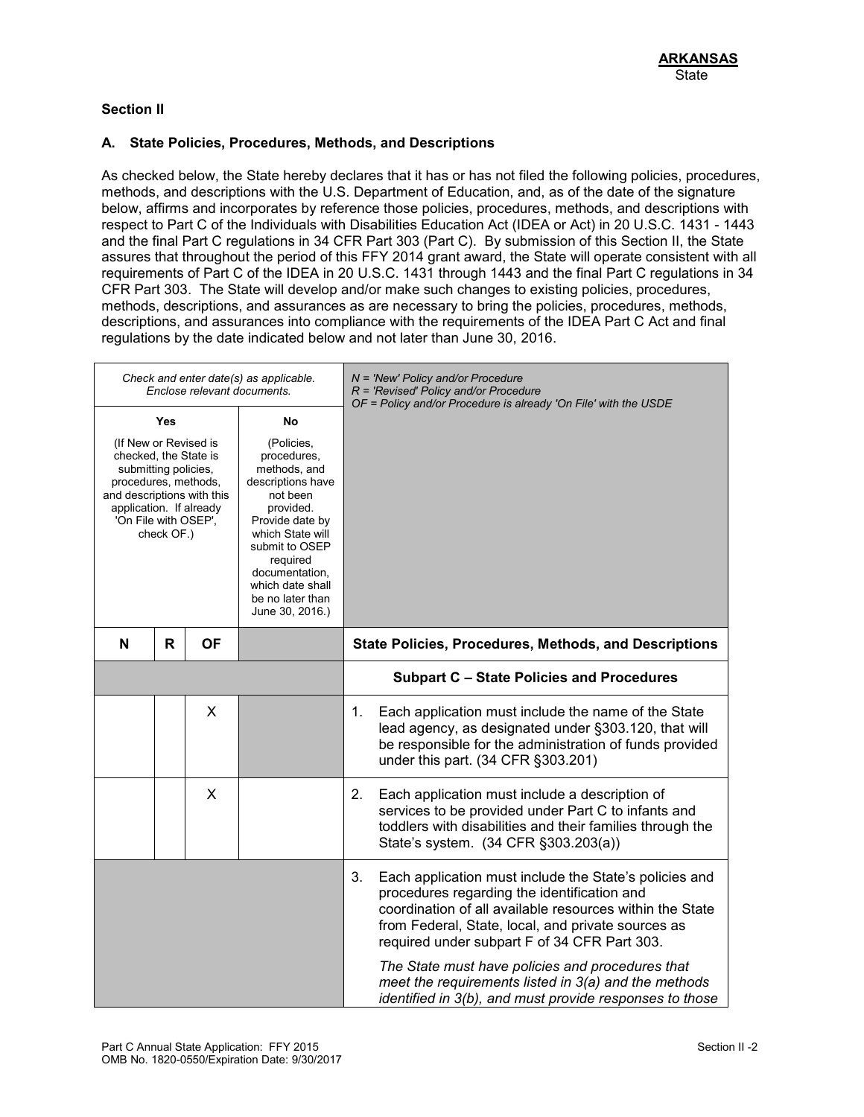## **Section II**

### **A. State Policies, Procedures, Methods, and Descriptions**

As checked below, the State hereby declares that it has or has not filed the following policies, procedures, methods, and descriptions with the U.S. Department of Education, and, as of the date of the signature below, affirms and incorporates by reference those policies, procedures, methods, and descriptions with respect to Part C of the Individuals with Disabilities Education Act (IDEA or Act) in 20 U.S.C. 1431 - 1443 and the final Part C regulations in 34 CFR Part 303 (Part C). By submission of this Section II, the State assures that throughout the period of this FFY 2014 grant award, the State will operate consistent with all requirements of Part C of the IDEA in 20 U.S.C. 1431 through 1443 and the final Part C regulations in 34 CFR Part 303. The State will develop and/or make such changes to existing policies, procedures, methods, descriptions, and assurances as are necessary to bring the policies, procedures, methods, descriptions, and assurances into compliance with the requirements of the IDEA Part C Act and final regulations by the date indicated below and not later than June 30, 2016.

|                                                                                                                                                                                                                                                                      |   | Enclose relevant documents. | Check and enter date(s) as applicable.                                                                                                                                                 | $N = 'New' Policy and/or Procedure$<br>R = 'Revised' Policy and/or Procedure<br>OF = Policy and/or Procedure is already 'On File' with the USDE                                                                                                                                                                                                                                                                                                      |
|----------------------------------------------------------------------------------------------------------------------------------------------------------------------------------------------------------------------------------------------------------------------|---|-----------------------------|----------------------------------------------------------------------------------------------------------------------------------------------------------------------------------------|------------------------------------------------------------------------------------------------------------------------------------------------------------------------------------------------------------------------------------------------------------------------------------------------------------------------------------------------------------------------------------------------------------------------------------------------------|
| <b>Yes</b><br>No<br>(If New or Revised is<br>(Policies,<br>checked, the State is<br>submitting policies,<br>procedures, methods,<br>and descriptions with this<br>not been<br>application. If already<br>provided.<br>'On File with OSEP',<br>check OF.)<br>required |   |                             | procedures,<br>methods, and<br>descriptions have<br>Provide date by<br>which State will<br>submit to OSEP<br>documentation,<br>which date shall<br>be no later than<br>June 30, 2016.) |                                                                                                                                                                                                                                                                                                                                                                                                                                                      |
| N                                                                                                                                                                                                                                                                    | R | <b>OF</b>                   |                                                                                                                                                                                        | <b>State Policies, Procedures, Methods, and Descriptions</b>                                                                                                                                                                                                                                                                                                                                                                                         |
|                                                                                                                                                                                                                                                                      |   |                             |                                                                                                                                                                                        | <b>Subpart C - State Policies and Procedures</b>                                                                                                                                                                                                                                                                                                                                                                                                     |
|                                                                                                                                                                                                                                                                      |   | X                           |                                                                                                                                                                                        | Each application must include the name of the State<br>1.<br>lead agency, as designated under §303.120, that will<br>be responsible for the administration of funds provided<br>under this part. (34 CFR §303.201)                                                                                                                                                                                                                                   |
|                                                                                                                                                                                                                                                                      |   | X                           |                                                                                                                                                                                        | Each application must include a description of<br>2.<br>services to be provided under Part C to infants and<br>toddlers with disabilities and their families through the<br>State's system. (34 CFR §303.203(a))                                                                                                                                                                                                                                     |
|                                                                                                                                                                                                                                                                      |   |                             |                                                                                                                                                                                        | 3.<br>Each application must include the State's policies and<br>procedures regarding the identification and<br>coordination of all available resources within the State<br>from Federal, State, local, and private sources as<br>required under subpart F of 34 CFR Part 303.<br>The State must have policies and procedures that<br>meet the requirements listed in 3(a) and the methods<br>identified in 3(b), and must provide responses to those |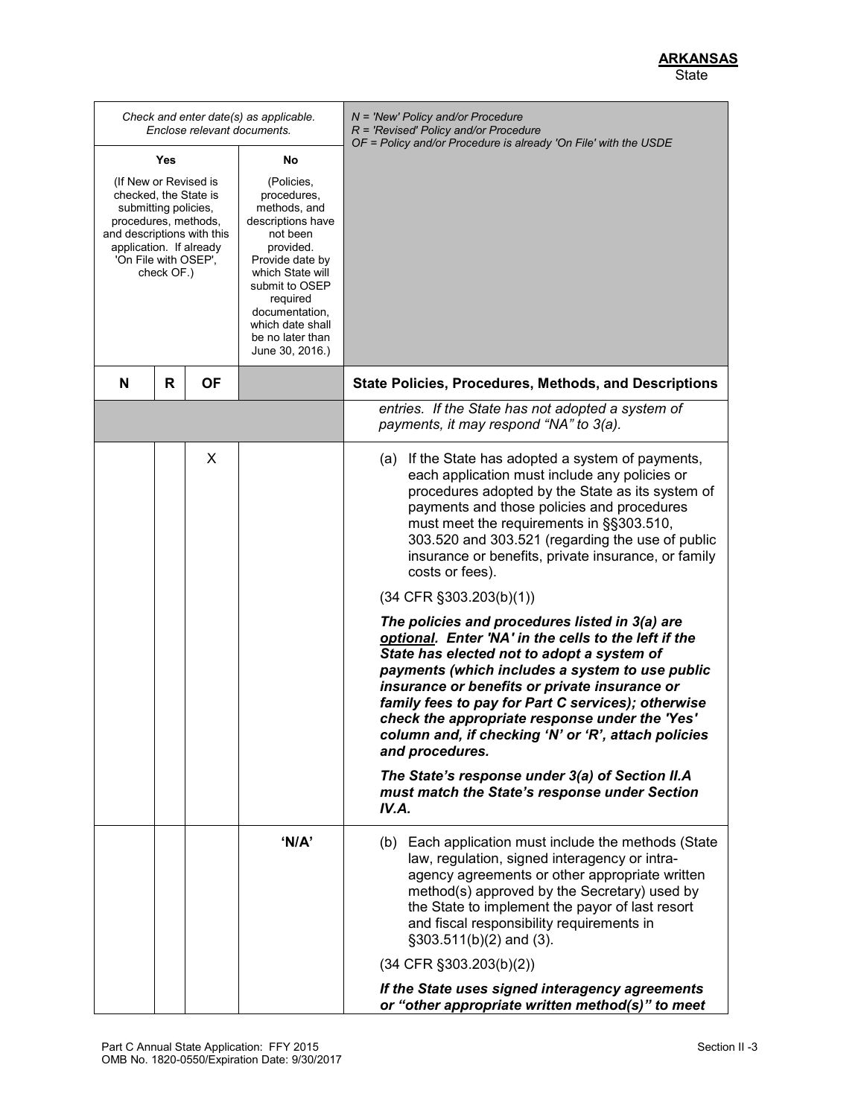*Check and enter date(s) as applicable. Enclose relevant documents. N = 'New' Policy and/or Procedure R = 'Revised' Policy and/or Procedure OF = Policy and/or Procedure is already 'On File' with the USDE* **Yes** (If New or Revised is checked, the State is submitting policies, procedures, methods, and descriptions with this application. If already 'On File with OSEP', check OF.) **No** (Policies, procedures, methods, and descriptions have not been provided. Provide date by which State will submit to OSEP required documentation, which date shall be no later than June 30, 2016.) **N R OF State Policies, Procedures, Methods, and Descriptions** *entries. If the State has not adopted a system of payments, it may respond "NA" to 3(a).*   $X \parallel$  (a) If the State has adopted a system of payments, each application must include any policies or procedures adopted by the State as its system of payments and those policies and procedures must meet the requirements in §§303.510, 303.520 and 303.521 (regarding the use of public insurance or benefits, private insurance, or family costs or fees). (34 CFR §303.203(b)(1)) *The policies and procedures listed in 3(a) are optional. Enter 'NA' in the cells to the left if the State has elected not to adopt a system of payments (which includes a system to use public insurance or benefits or private insurance or family fees to pay for Part C services); otherwise check the appropriate response under the 'Yes' column and, if checking 'N' or 'R', attach policies and procedures. The State's response under 3(a) of Section II.A must match the State's response under Section IV.A.* **'N/A'** (b) Each application must include the methods (State law, regulation, signed interagency or intraagency agreements or other appropriate written method(s) approved by the Secretary) used by the State to implement the payor of last resort and fiscal responsibility requirements in §303.511(b)(2) and (3). (34 CFR §303.203(b)(2)) *If the State uses signed interagency agreements or "other appropriate written method(s)" to meet*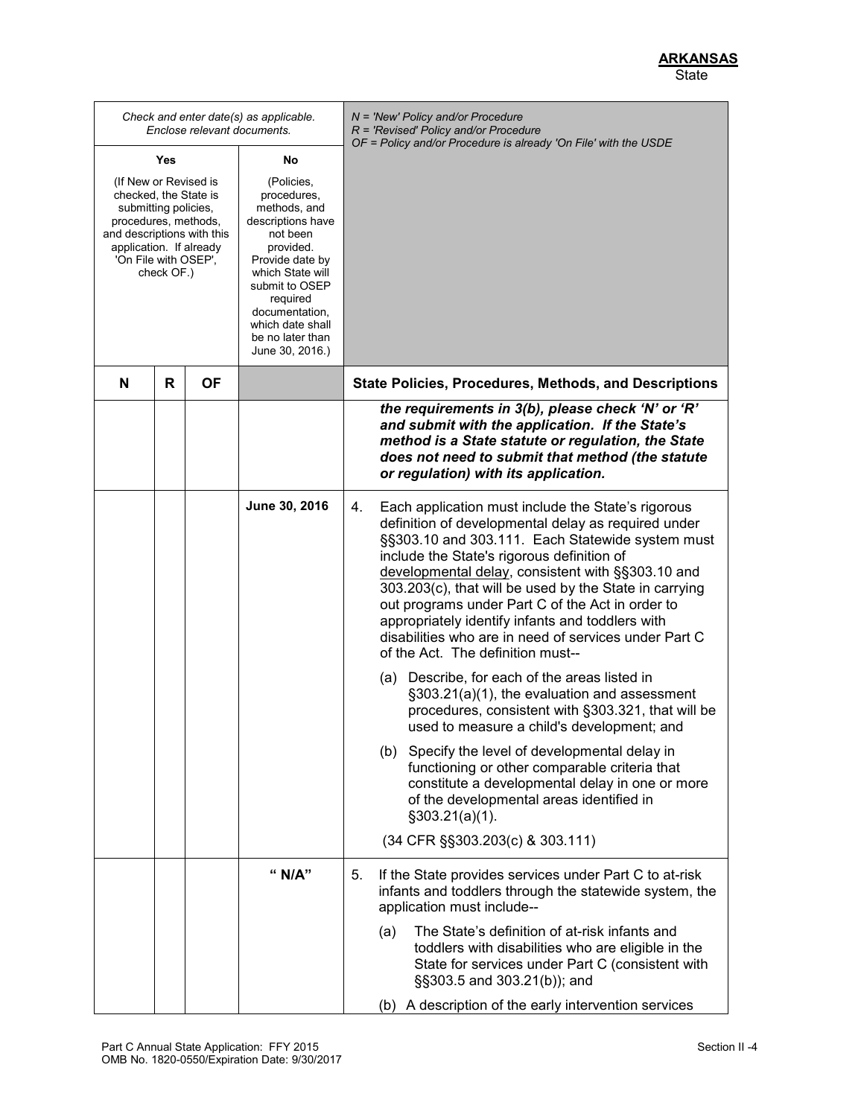*Check and enter date(s) as applicable. Enclose relevant documents. N = 'New' Policy and/or Procedure R = 'Revised' Policy and/or Procedure OF = Policy and/or Procedure is already 'On File' with the USDE* **Yes** (If New or Revised is checked, the State is submitting policies, procedures, methods, and descriptions with this application. If already 'On File with OSEP', check OF.) **No** (Policies, procedures, methods, and descriptions have not been provided. Provide date by which State will submit to OSEP required documentation, which date shall be no later than June 30, 2016.) **N R OF State Policies, Procedures, Methods, and Descriptions** *the requirements in 3(b), please check 'N' or 'R' and submit with the application. If the State's method is a State statute or regulation, the State does not need to submit that method (the statute or regulation) with its application.* **June 30, 2016** 4. Each application must include the State's rigorous definition of developmental delay as required under §§303.10 and 303.111. Each Statewide system must include the State's rigorous definition of developmental delay, consistent with §§303.10 and 303.203(c), that will be used by the State in carrying out programs under Part C of the Act in order to appropriately identify infants and toddlers with disabilities who are in need of services under Part C of the Act. The definition must-- (a) Describe, for each of the areas listed in §303.21(a)(1), the evaluation and assessment procedures, consistent with §303.321, that will be used to measure a child's development; and (b) Specify the level of developmental delay in functioning or other comparable criteria that constitute a developmental delay in one or more of the developmental areas identified in §303.21(a)(1). (34 CFR §§303.203(c) & 303.111) **" N/A"** 5. If the State provides services under Part C to at-risk infants and toddlers through the statewide system, the application must include-- (a) The State's definition of at-risk infants and toddlers with disabilities who are eligible in the State for services under Part C (consistent with §§303.5 and 303.21(b)); and (b) A description of the early intervention services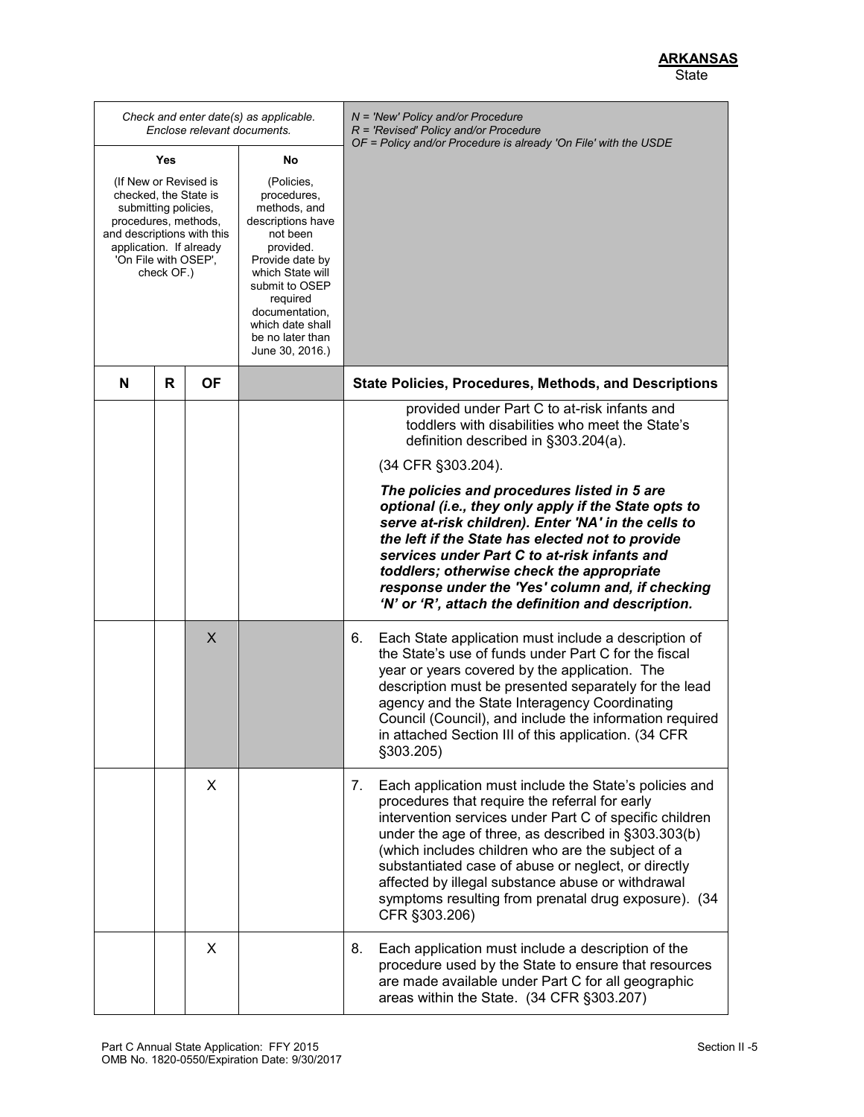*Check and enter date(s) as applicable. Enclose relevant documents. N = 'New' Policy and/or Procedure R = 'Revised' Policy and/or Procedure OF = Policy and/or Procedure is already 'On File' with the USDE* **Yes** (If New or Revised is checked, the State is submitting policies, procedures, methods, and descriptions with this application. If already 'On File with OSEP', check OF.) **No** (Policies, procedures, methods, and descriptions have not been provided. Provide date by which State will submit to OSEP required documentation, which date shall be no later than June 30, 2016.) **N R OF State Policies, Procedures, Methods, and Descriptions** provided under Part C to at-risk infants and toddlers with disabilities who meet the State's definition described in §303.204(a). (34 CFR §303.204). *The policies and procedures listed in 5 are optional (i.e., they only apply if the State opts to serve at-risk children). Enter 'NA' in the cells to the left if the State has elected not to provide services under Part C to at-risk infants and toddlers; otherwise check the appropriate response under the 'Yes' column and, if checking 'N' or 'R', attach the definition and description.* X  $\vert$  6. Each State application must include a description of the State's use of funds under Part C for the fiscal year or years covered by the application. The description must be presented separately for the lead agency and the State Interagency Coordinating Council (Council), and include the information required in attached Section III of this application. (34 CFR §303.205) X  $\vert$  7. Each application must include the State's policies and procedures that require the referral for early intervention services under Part C of specific children under the age of three, as described in §303.303(b) (which includes children who are the subject of a substantiated case of abuse or neglect, or directly affected by illegal substance abuse or withdrawal symptoms resulting from prenatal drug exposure). (34 CFR §303.206) X | S. Each application must include a description of the procedure used by the State to ensure that resources are made available under Part C for all geographic areas within the State. (34 CFR §303.207)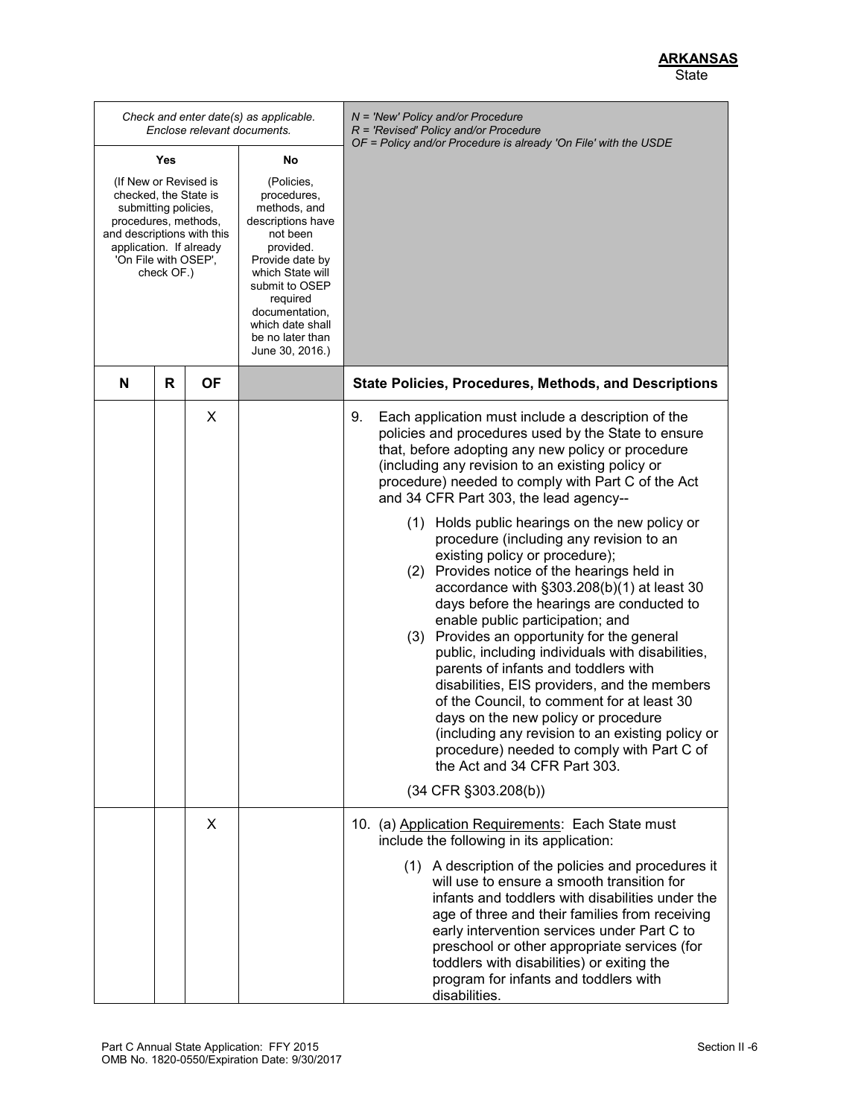|                                                                                                                                                                                               |   |    | Check and enter date(s) as applicable.<br>Enclose relevant documents.                                                                                                                                                                     | N = 'New' Policy and/or Procedure<br>$R$ = 'Revised' Policy and/or Procedure<br>OF = Policy and/or Procedure is already 'On File' with the USDE                                                                                                                                                                                                                                                                                                                                                                                                                                                                                                                                                                                                                                                                                     |
|-----------------------------------------------------------------------------------------------------------------------------------------------------------------------------------------------|---|----|-------------------------------------------------------------------------------------------------------------------------------------------------------------------------------------------------------------------------------------------|-------------------------------------------------------------------------------------------------------------------------------------------------------------------------------------------------------------------------------------------------------------------------------------------------------------------------------------------------------------------------------------------------------------------------------------------------------------------------------------------------------------------------------------------------------------------------------------------------------------------------------------------------------------------------------------------------------------------------------------------------------------------------------------------------------------------------------------|
| Yes<br>No                                                                                                                                                                                     |   |    |                                                                                                                                                                                                                                           |                                                                                                                                                                                                                                                                                                                                                                                                                                                                                                                                                                                                                                                                                                                                                                                                                                     |
| (If New or Revised is<br>checked, the State is<br>submitting policies,<br>procedures, methods,<br>and descriptions with this<br>application. If already<br>'On File with OSEP',<br>check OF.) |   |    | (Policies,<br>procedures,<br>methods, and<br>descriptions have<br>not been<br>provided.<br>Provide date by<br>which State will<br>submit to OSEP<br>required<br>documentation,<br>which date shall<br>be no later than<br>June 30, 2016.) |                                                                                                                                                                                                                                                                                                                                                                                                                                                                                                                                                                                                                                                                                                                                                                                                                                     |
| N                                                                                                                                                                                             | R | ΟF |                                                                                                                                                                                                                                           | State Policies, Procedures, Methods, and Descriptions                                                                                                                                                                                                                                                                                                                                                                                                                                                                                                                                                                                                                                                                                                                                                                               |
|                                                                                                                                                                                               |   | X  |                                                                                                                                                                                                                                           | 9.<br>Each application must include a description of the<br>policies and procedures used by the State to ensure<br>that, before adopting any new policy or procedure<br>(including any revision to an existing policy or<br>procedure) needed to comply with Part C of the Act<br>and 34 CFR Part 303, the lead agency--<br>(1) Holds public hearings on the new policy or<br>procedure (including any revision to an<br>existing policy or procedure);<br>(2) Provides notice of the hearings held in<br>accordance with §303.208(b)(1) at least 30<br>days before the hearings are conducted to<br>enable public participation; and<br>Provides an opportunity for the general<br>(3)<br>public, including individuals with disabilities,<br>parents of infants and toddlers with<br>disabilities, EIS providers, and the members |
|                                                                                                                                                                                               |   |    |                                                                                                                                                                                                                                           | of the Council, to comment for at least 30<br>days on the new policy or procedure<br>(including any revision to an existing policy or<br>procedure) needed to comply with Part C of<br>the Act and 34 CFR Part 303.                                                                                                                                                                                                                                                                                                                                                                                                                                                                                                                                                                                                                 |
|                                                                                                                                                                                               |   |    |                                                                                                                                                                                                                                           | $(34$ CFR $\S 303.208(b))$                                                                                                                                                                                                                                                                                                                                                                                                                                                                                                                                                                                                                                                                                                                                                                                                          |
|                                                                                                                                                                                               |   | X  |                                                                                                                                                                                                                                           | 10. (a) Application Requirements: Each State must<br>include the following in its application:<br>(1) A description of the policies and procedures it<br>will use to ensure a smooth transition for<br>infants and toddlers with disabilities under the<br>age of three and their families from receiving<br>early intervention services under Part C to<br>preschool or other appropriate services (for                                                                                                                                                                                                                                                                                                                                                                                                                            |
|                                                                                                                                                                                               |   |    |                                                                                                                                                                                                                                           | toddlers with disabilities) or exiting the<br>program for infants and toddlers with<br>disabilities.                                                                                                                                                                                                                                                                                                                                                                                                                                                                                                                                                                                                                                                                                                                                |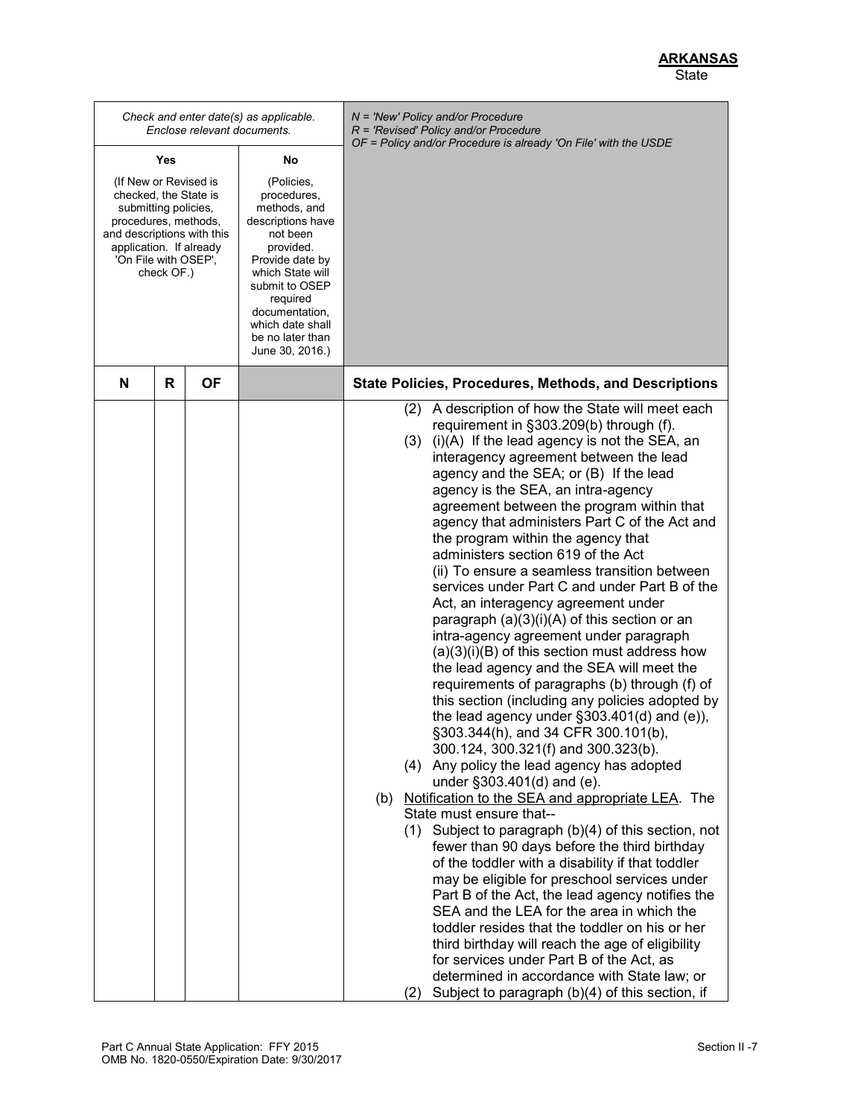*Check and enter date(s) as applicable. Enclose relevant documents. N = 'New' Policy and/or Procedure R = 'Revised' Policy and/or Procedure OF = Policy and/or Procedure is already 'On File' with the USDE* **Yes** (If New or Revised is checked, the State is submitting policies, procedures, methods, and descriptions with this application. If already 'On File with OSEP', check OF.) **No** (Policies, procedures, methods, and descriptions have not been provided. Provide date by which State will submit to OSEP required documentation, which date shall be no later than June 30, 2016.) **N R OF State Policies, Procedures, Methods, and Descriptions** (2) A description of how the State will meet each requirement in §303.209(b) through (f). (3) (i)(A) If the lead agency is not the SEA, an interagency agreement between the lead agency and the SEA; or (B) If the lead agency is the SEA, an intra-agency agreement between the program within that agency that administers Part C of the Act and the program within the agency that administers section 619 of the Act (ii) To ensure a seamless transition between services under Part C and under Part B of the Act, an interagency agreement under paragraph (a)(3)(i)(A) of this section or an intra-agency agreement under paragraph (a)(3)(i)(B) of this section must address how the lead agency and the SEA will meet the requirements of paragraphs (b) through (f) of this section (including any policies adopted by the lead agency under §303.401(d) and (e)), §303.344(h), and 34 CFR 300.101(b), 300.124, 300.321(f) and 300.323(b). (4) Any policy the lead agency has adopted under §303.401(d) and (e). (b) Notification to the SEA and appropriate LEA. The State must ensure that-- (1) Subject to paragraph (b)(4) of this section, not fewer than 90 days before the third birthday of the toddler with a disability if that toddler may be eligible for preschool services under Part B of the Act, the lead agency notifies the SEA and the LEA for the area in which the toddler resides that the toddler on his or her third birthday will reach the age of eligibility for services under Part B of the Act, as determined in accordance with State law; or (2) Subject to paragraph (b)(4) of this section, if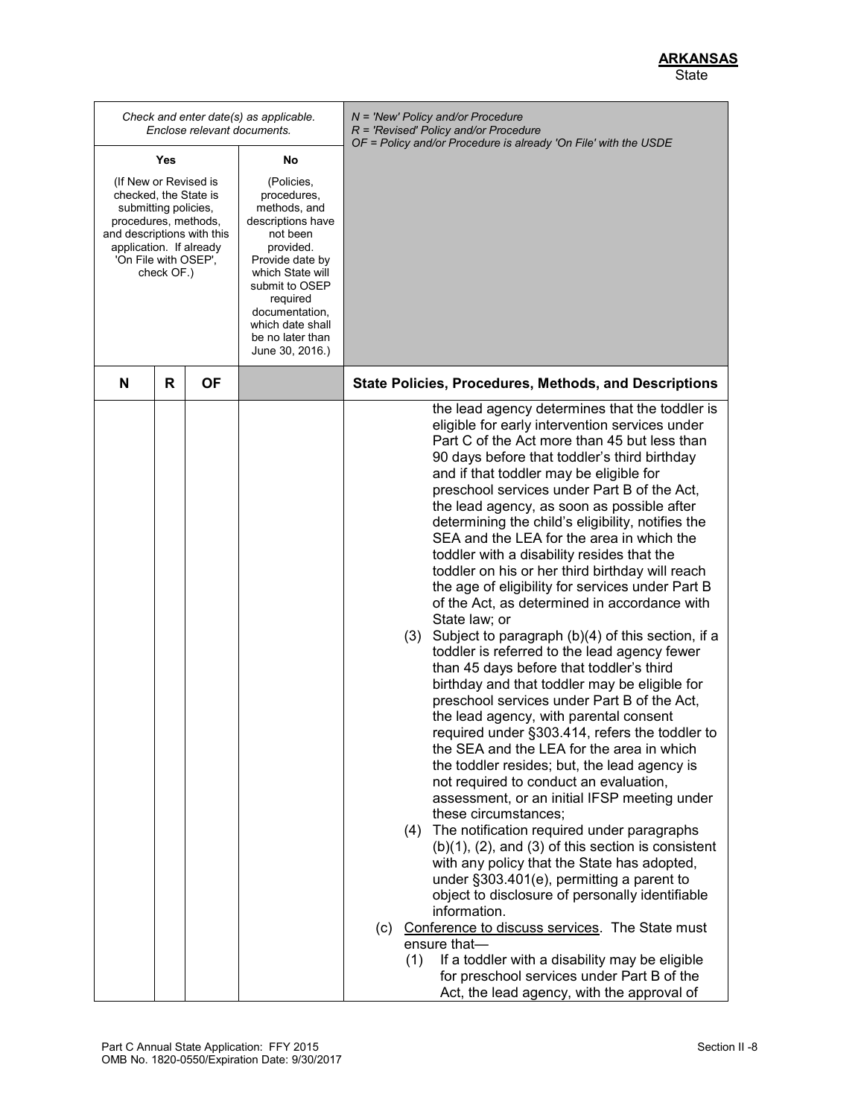|                                                                                                                                                                                               |           | Check and enter date(s) as applicable.<br>Enclose relevant documents.                                                                                                                                                                     | $N =$ 'New' Policy and/or Procedure<br>R = 'Revised' Policy and/or Procedure                                                                                                                                                                                                                                                                                                                                                                                                                                                                                                                                                                                                                                                                                                                                                                                                                                                                                                                                                                                                                                                                                                                                                                                                                                                                                                                                                                                                                                                                                                                                                                                                                                                               |
|-----------------------------------------------------------------------------------------------------------------------------------------------------------------------------------------------|-----------|-------------------------------------------------------------------------------------------------------------------------------------------------------------------------------------------------------------------------------------------|--------------------------------------------------------------------------------------------------------------------------------------------------------------------------------------------------------------------------------------------------------------------------------------------------------------------------------------------------------------------------------------------------------------------------------------------------------------------------------------------------------------------------------------------------------------------------------------------------------------------------------------------------------------------------------------------------------------------------------------------------------------------------------------------------------------------------------------------------------------------------------------------------------------------------------------------------------------------------------------------------------------------------------------------------------------------------------------------------------------------------------------------------------------------------------------------------------------------------------------------------------------------------------------------------------------------------------------------------------------------------------------------------------------------------------------------------------------------------------------------------------------------------------------------------------------------------------------------------------------------------------------------------------------------------------------------------------------------------------------------|
| Yes                                                                                                                                                                                           |           | No                                                                                                                                                                                                                                        | OF = Policy and/or Procedure is already 'On File' with the USDE                                                                                                                                                                                                                                                                                                                                                                                                                                                                                                                                                                                                                                                                                                                                                                                                                                                                                                                                                                                                                                                                                                                                                                                                                                                                                                                                                                                                                                                                                                                                                                                                                                                                            |
| (If New or Revised is<br>checked, the State is<br>submitting policies,<br>procedures, methods,<br>and descriptions with this<br>application. If already<br>'On File with OSEP',<br>check OF.) |           | (Policies,<br>procedures,<br>methods, and<br>descriptions have<br>not been<br>provided.<br>Provide date by<br>which State will<br>submit to OSEP<br>required<br>documentation,<br>which date shall<br>be no later than<br>June 30, 2016.) |                                                                                                                                                                                                                                                                                                                                                                                                                                                                                                                                                                                                                                                                                                                                                                                                                                                                                                                                                                                                                                                                                                                                                                                                                                                                                                                                                                                                                                                                                                                                                                                                                                                                                                                                            |
| R<br>N                                                                                                                                                                                        | <b>OF</b> |                                                                                                                                                                                                                                           | <b>State Policies, Procedures, Methods, and Descriptions</b>                                                                                                                                                                                                                                                                                                                                                                                                                                                                                                                                                                                                                                                                                                                                                                                                                                                                                                                                                                                                                                                                                                                                                                                                                                                                                                                                                                                                                                                                                                                                                                                                                                                                               |
|                                                                                                                                                                                               |           |                                                                                                                                                                                                                                           | the lead agency determines that the toddler is<br>eligible for early intervention services under<br>Part C of the Act more than 45 but less than<br>90 days before that toddler's third birthday<br>and if that toddler may be eligible for<br>preschool services under Part B of the Act,<br>the lead agency, as soon as possible after<br>determining the child's eligibility, notifies the<br>SEA and the LEA for the area in which the<br>toddler with a disability resides that the<br>toddler on his or her third birthday will reach<br>the age of eligibility for services under Part B<br>of the Act, as determined in accordance with<br>State law; or<br>(3) Subject to paragraph (b)(4) of this section, if a<br>toddler is referred to the lead agency fewer<br>than 45 days before that toddler's third<br>birthday and that toddler may be eligible for<br>preschool services under Part B of the Act,<br>the lead agency, with parental consent<br>required under §303.414, refers the toddler to<br>the SEA and the LEA for the area in which<br>the toddler resides; but, the lead agency is<br>not required to conduct an evaluation,<br>assessment, or an initial IFSP meeting under<br>these circumstances;<br>(4) The notification required under paragraphs<br>$(b)(1)$ , $(2)$ , and $(3)$ of this section is consistent<br>with any policy that the State has adopted,<br>under §303.401(e), permitting a parent to<br>object to disclosure of personally identifiable<br>information.<br>(c) Conference to discuss services. The State must<br>ensure that-<br>If a toddler with a disability may be eligible<br>(1)<br>for preschool services under Part B of the<br>Act, the lead agency, with the approval of |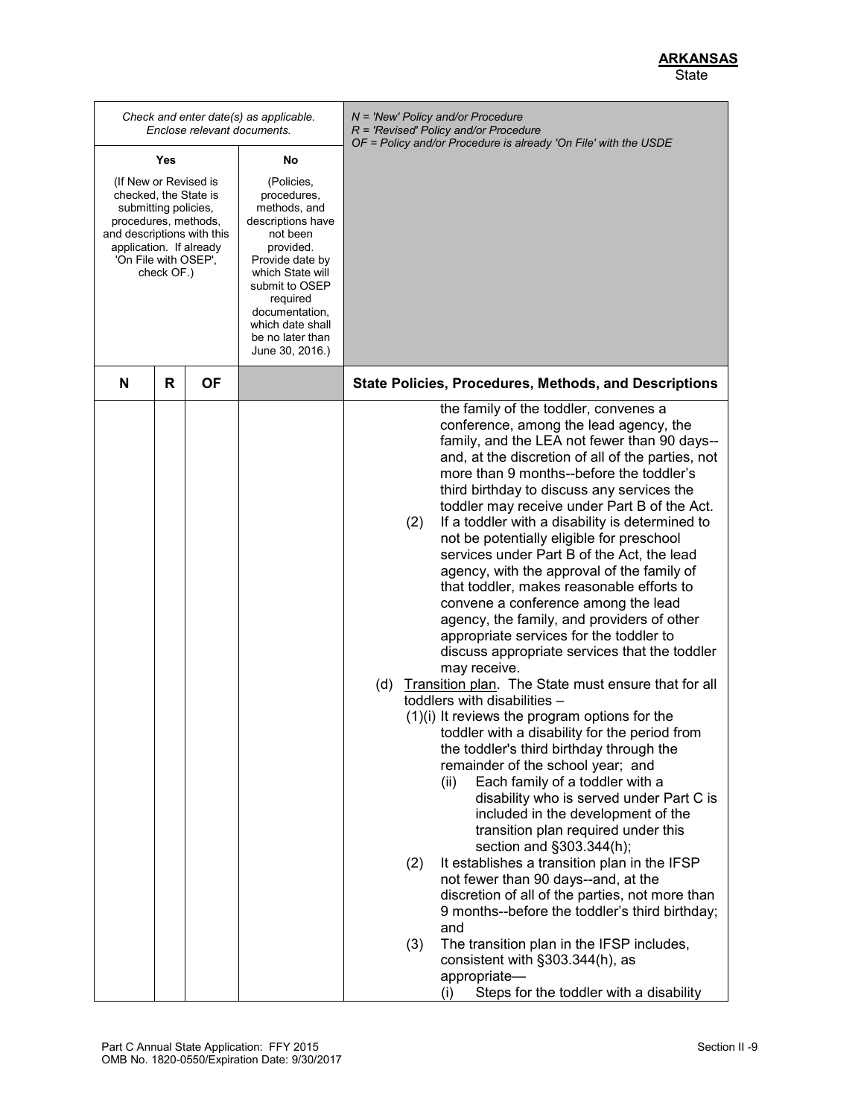|                                                                                                                                                                                               |   | Enclose relevant documents. | Check and enter date(s) as applicable.                                                                                                                                                                                                    | N = 'New' Policy and/or Procedure<br>R = 'Revised' Policy and/or Procedure<br>OF = Policy and/or Procedure is already 'On File' with the USDE                                                                                                                                                                                                                                                                                                                                                                                                                                                                                                                                                                                                                                                                                                                                                                                                                                                                                                                                                                                                                                                                                                                                                                                                                                                                                                                                                                                                                                                                                         |
|-----------------------------------------------------------------------------------------------------------------------------------------------------------------------------------------------|---|-----------------------------|-------------------------------------------------------------------------------------------------------------------------------------------------------------------------------------------------------------------------------------------|---------------------------------------------------------------------------------------------------------------------------------------------------------------------------------------------------------------------------------------------------------------------------------------------------------------------------------------------------------------------------------------------------------------------------------------------------------------------------------------------------------------------------------------------------------------------------------------------------------------------------------------------------------------------------------------------------------------------------------------------------------------------------------------------------------------------------------------------------------------------------------------------------------------------------------------------------------------------------------------------------------------------------------------------------------------------------------------------------------------------------------------------------------------------------------------------------------------------------------------------------------------------------------------------------------------------------------------------------------------------------------------------------------------------------------------------------------------------------------------------------------------------------------------------------------------------------------------------------------------------------------------|
| Yes<br>No                                                                                                                                                                                     |   |                             |                                                                                                                                                                                                                                           |                                                                                                                                                                                                                                                                                                                                                                                                                                                                                                                                                                                                                                                                                                                                                                                                                                                                                                                                                                                                                                                                                                                                                                                                                                                                                                                                                                                                                                                                                                                                                                                                                                       |
| (If New or Revised is<br>checked, the State is<br>submitting policies,<br>procedures, methods,<br>and descriptions with this<br>application. If already<br>'On File with OSEP',<br>check OF.) |   |                             | (Policies,<br>procedures,<br>methods, and<br>descriptions have<br>not been<br>provided.<br>Provide date by<br>which State will<br>submit to OSEP<br>required<br>documentation,<br>which date shall<br>be no later than<br>June 30, 2016.) |                                                                                                                                                                                                                                                                                                                                                                                                                                                                                                                                                                                                                                                                                                                                                                                                                                                                                                                                                                                                                                                                                                                                                                                                                                                                                                                                                                                                                                                                                                                                                                                                                                       |
| N                                                                                                                                                                                             | R | OF                          |                                                                                                                                                                                                                                           | <b>State Policies, Procedures, Methods, and Descriptions</b>                                                                                                                                                                                                                                                                                                                                                                                                                                                                                                                                                                                                                                                                                                                                                                                                                                                                                                                                                                                                                                                                                                                                                                                                                                                                                                                                                                                                                                                                                                                                                                          |
|                                                                                                                                                                                               |   |                             |                                                                                                                                                                                                                                           | the family of the toddler, convenes a<br>conference, among the lead agency, the<br>family, and the LEA not fewer than 90 days--<br>and, at the discretion of all of the parties, not<br>more than 9 months--before the toddler's<br>third birthday to discuss any services the<br>toddler may receive under Part B of the Act.<br>If a toddler with a disability is determined to<br>(2)<br>not be potentially eligible for preschool<br>services under Part B of the Act, the lead<br>agency, with the approval of the family of<br>that toddler, makes reasonable efforts to<br>convene a conference among the lead<br>agency, the family, and providers of other<br>appropriate services for the toddler to<br>discuss appropriate services that the toddler<br>may receive.<br>(d)<br>Transition plan. The State must ensure that for all<br>toddlers with disabilities -<br>$(1)(i)$ It reviews the program options for the<br>toddler with a disability for the period from<br>the toddler's third birthday through the<br>remainder of the school year; and<br>Each family of a toddler with a<br>(ii)<br>disability who is served under Part C is<br>included in the development of the<br>transition plan required under this<br>section and §303.344(h);<br>It establishes a transition plan in the IFSP<br>(2)<br>not fewer than 90 days--and, at the<br>discretion of all of the parties, not more than<br>9 months--before the toddler's third birthday;<br>and<br>The transition plan in the IFSP includes,<br>(3)<br>consistent with §303.344(h), as<br>appropriate-<br>Steps for the toddler with a disability<br>(i) |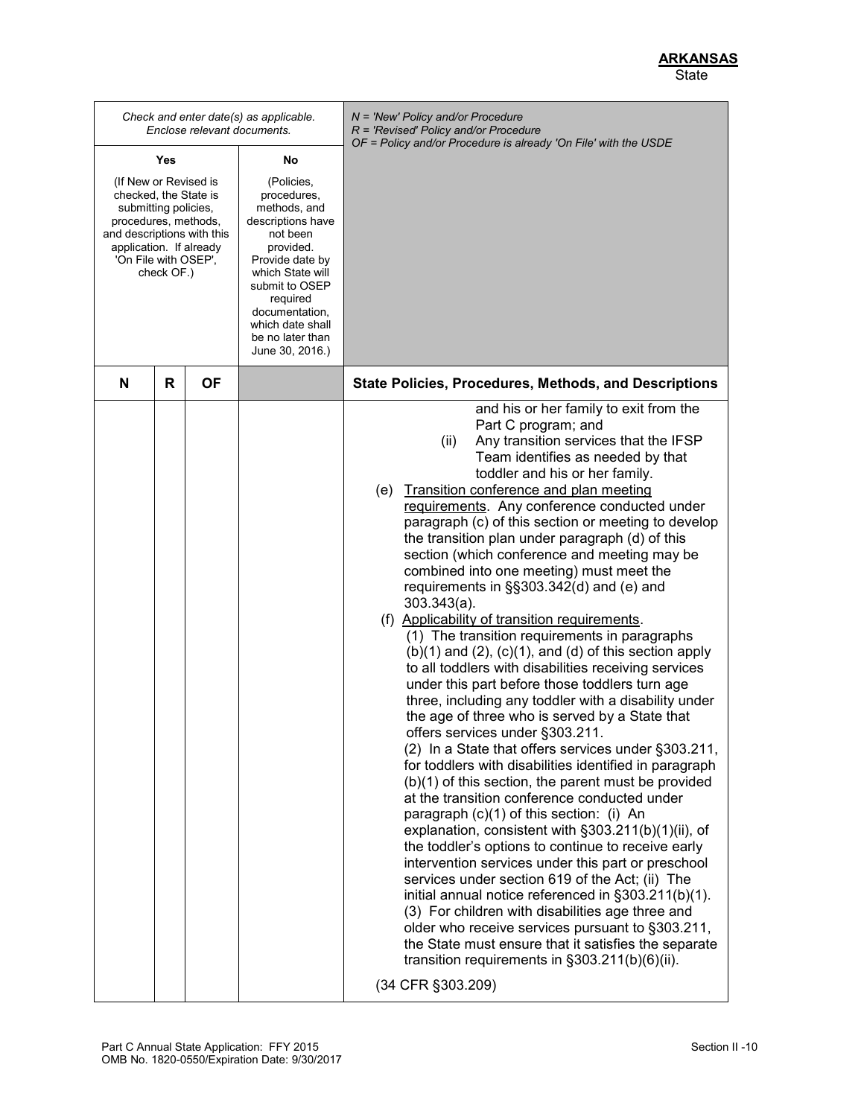|                                                                                                                                                                                               |   | Enclose relevant documents. | Check and enter date(s) as applicable.                                                                                                                                                                                                    | $N = 'New' Policy and/or Procedure$<br>$R$ = 'Revised' Policy and/or Procedure<br>OF = Policy and/or Procedure is already 'On File' with the USDE                                                                                                                                                                                                                                                                                                                                                                                                                                                                                                                                                                                                                                                                                                                                                                                                                                                                                                                                                                                                                                                                                                                                                                                                                                                                                                                                                                                                                                                                                                                                                                                                                           |
|-----------------------------------------------------------------------------------------------------------------------------------------------------------------------------------------------|---|-----------------------------|-------------------------------------------------------------------------------------------------------------------------------------------------------------------------------------------------------------------------------------------|-----------------------------------------------------------------------------------------------------------------------------------------------------------------------------------------------------------------------------------------------------------------------------------------------------------------------------------------------------------------------------------------------------------------------------------------------------------------------------------------------------------------------------------------------------------------------------------------------------------------------------------------------------------------------------------------------------------------------------------------------------------------------------------------------------------------------------------------------------------------------------------------------------------------------------------------------------------------------------------------------------------------------------------------------------------------------------------------------------------------------------------------------------------------------------------------------------------------------------------------------------------------------------------------------------------------------------------------------------------------------------------------------------------------------------------------------------------------------------------------------------------------------------------------------------------------------------------------------------------------------------------------------------------------------------------------------------------------------------------------------------------------------------|
| Yes                                                                                                                                                                                           |   | No                          |                                                                                                                                                                                                                                           |                                                                                                                                                                                                                                                                                                                                                                                                                                                                                                                                                                                                                                                                                                                                                                                                                                                                                                                                                                                                                                                                                                                                                                                                                                                                                                                                                                                                                                                                                                                                                                                                                                                                                                                                                                             |
| (If New or Revised is<br>checked, the State is<br>submitting policies,<br>procedures, methods,<br>and descriptions with this<br>application. If already<br>'On File with OSEP',<br>check OF.) |   |                             | (Policies,<br>procedures,<br>methods, and<br>descriptions have<br>not been<br>provided.<br>Provide date by<br>which State will<br>submit to OSEP<br>required<br>documentation,<br>which date shall<br>be no later than<br>June 30, 2016.) |                                                                                                                                                                                                                                                                                                                                                                                                                                                                                                                                                                                                                                                                                                                                                                                                                                                                                                                                                                                                                                                                                                                                                                                                                                                                                                                                                                                                                                                                                                                                                                                                                                                                                                                                                                             |
| N                                                                                                                                                                                             | R | OF                          |                                                                                                                                                                                                                                           | <b>State Policies, Procedures, Methods, and Descriptions</b>                                                                                                                                                                                                                                                                                                                                                                                                                                                                                                                                                                                                                                                                                                                                                                                                                                                                                                                                                                                                                                                                                                                                                                                                                                                                                                                                                                                                                                                                                                                                                                                                                                                                                                                |
|                                                                                                                                                                                               |   |                             |                                                                                                                                                                                                                                           | and his or her family to exit from the<br>Part C program; and<br>Any transition services that the IFSP<br>(ii)<br>Team identifies as needed by that<br>toddler and his or her family.<br>(e) Transition conference and plan meeting<br>requirements. Any conference conducted under<br>paragraph (c) of this section or meeting to develop<br>the transition plan under paragraph (d) of this<br>section (which conference and meeting may be<br>combined into one meeting) must meet the<br>requirements in §§303.342(d) and (e) and<br>$303.343(a)$ .<br>(f) Applicability of transition requirements.<br>(1) The transition requirements in paragraphs<br>$(b)(1)$ and $(2)$ , $(c)(1)$ , and $(d)$ of this section apply<br>to all toddlers with disabilities receiving services<br>under this part before those toddlers turn age<br>three, including any toddler with a disability under<br>the age of three who is served by a State that<br>offers services under §303.211.<br>(2) In a State that offers services under §303.211,<br>for toddlers with disabilities identified in paragraph<br>(b)(1) of this section, the parent must be provided<br>at the transition conference conducted under<br>paragraph (c)(1) of this section: (i) An<br>explanation, consistent with §303.211(b)(1)(ii), of<br>the toddler's options to continue to receive early<br>intervention services under this part or preschool<br>services under section 619 of the Act; (ii) The<br>initial annual notice referenced in §303.211(b)(1).<br>(3) For children with disabilities age three and<br>older who receive services pursuant to §303.211,<br>the State must ensure that it satisfies the separate<br>transition requirements in §303.211(b)(6)(ii).<br>(34 CFR §303.209) |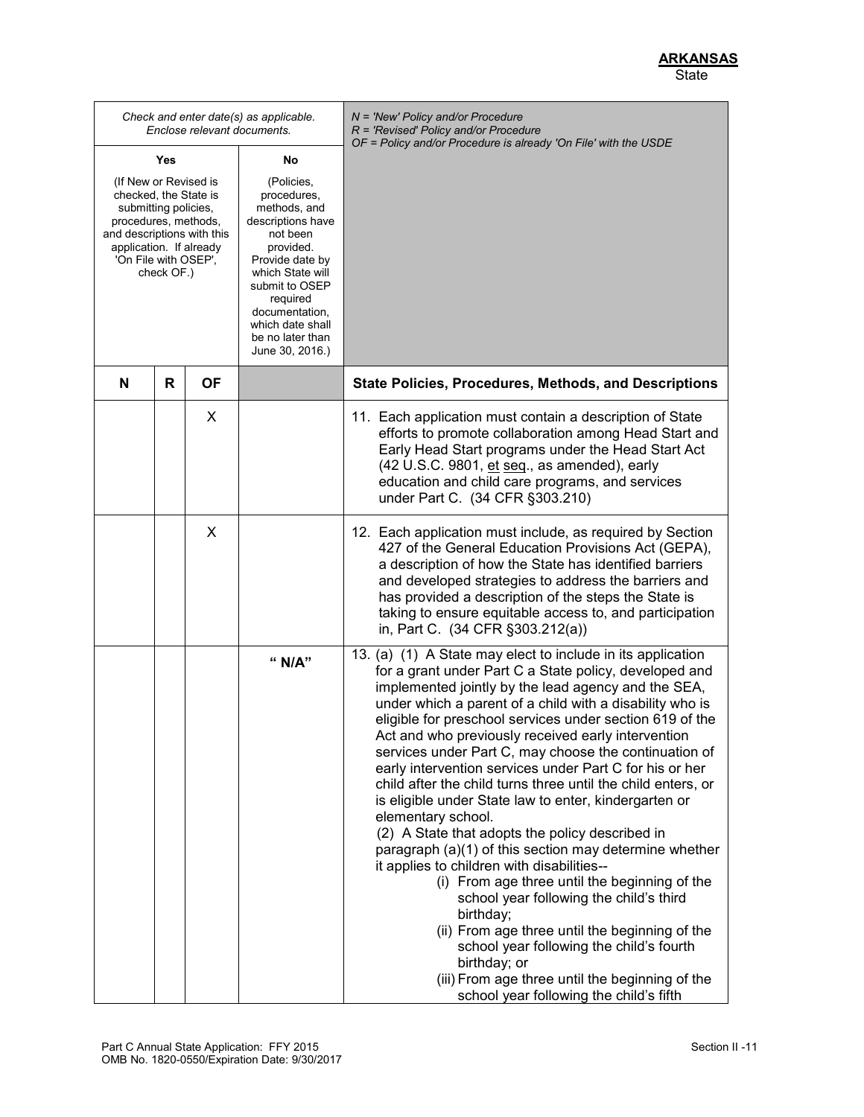*Check and enter date(s) as applicable. Enclose relevant documents. N = 'New' Policy and/or Procedure R = 'Revised' Policy and/or Procedure OF = Policy and/or Procedure is already 'On File' with the USDE* **Yes** (If New or Revised is checked, the State is submitting policies, procedures, methods, and descriptions with this application. If already 'On File with OSEP', check OF.) **No** (Policies, procedures, methods, and descriptions have not been provided. Provide date by which State will submit to OSEP required documentation, which date shall be no later than June 30, 2016.) **N R OF State Policies, Procedures, Methods, and Descriptions** X 11. Each application must contain a description of State efforts to promote collaboration among Head Start and Early Head Start programs under the Head Start Act (42 U.S.C. 9801, et seq., as amended), early education and child care programs, and services under Part C. (34 CFR §303.210) X | 12. Each application must include, as required by Section 427 of the General Education Provisions Act (GEPA), a description of how the State has identified barriers and developed strategies to address the barriers and has provided a description of the steps the State is taking to ensure equitable access to, and participation in, Part C. (34 CFR §303.212(a)) **" N/A"** 13. (a) (1) A State may elect to include in its application for a grant under Part C a State policy, developed and implemented jointly by the lead agency and the SEA, under which a parent of a child with a disability who is eligible for preschool services under section 619 of the Act and who previously received early intervention services under Part C, may choose the continuation of early intervention services under Part C for his or her child after the child turns three until the child enters, or is eligible under State law to enter, kindergarten or elementary school. (2) A State that adopts the policy described in paragraph (a)(1) of this section may determine whether it applies to children with disabilities-- (i) From age three until the beginning of the school year following the child's third birthday; (ii) From age three until the beginning of the school year following the child's fourth birthday; or (iii) From age three until the beginning of the school year following the child's fifth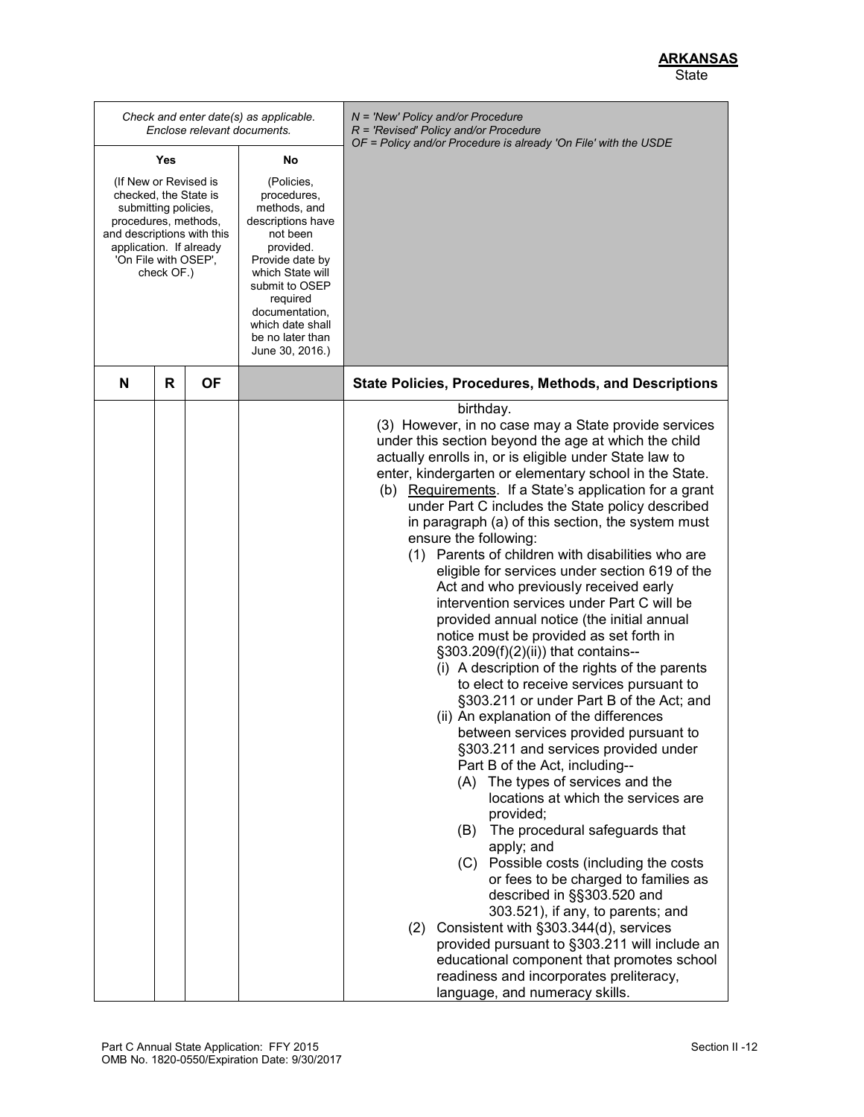|                                                                                                                                                                                               |   | Enclose relevant documents. | Check and enter date(s) as applicable.                                                                                                                                                                                                    | N = 'New' Policy and/or Procedure<br>R = 'Revised' Policy and/or Procedure<br>OF = Policy and/or Procedure is already 'On File' with the USDE                                                                                                                                                                                                                                                                                                                                                                                                                                                                                                                                                                                                                                                                                                                                                                                                                                                                                                                                                                                                                                                                                                                                                                                                                                                                                                                                                                                                                                                                    |
|-----------------------------------------------------------------------------------------------------------------------------------------------------------------------------------------------|---|-----------------------------|-------------------------------------------------------------------------------------------------------------------------------------------------------------------------------------------------------------------------------------------|------------------------------------------------------------------------------------------------------------------------------------------------------------------------------------------------------------------------------------------------------------------------------------------------------------------------------------------------------------------------------------------------------------------------------------------------------------------------------------------------------------------------------------------------------------------------------------------------------------------------------------------------------------------------------------------------------------------------------------------------------------------------------------------------------------------------------------------------------------------------------------------------------------------------------------------------------------------------------------------------------------------------------------------------------------------------------------------------------------------------------------------------------------------------------------------------------------------------------------------------------------------------------------------------------------------------------------------------------------------------------------------------------------------------------------------------------------------------------------------------------------------------------------------------------------------------------------------------------------------|
| Yes<br>No                                                                                                                                                                                     |   |                             |                                                                                                                                                                                                                                           |                                                                                                                                                                                                                                                                                                                                                                                                                                                                                                                                                                                                                                                                                                                                                                                                                                                                                                                                                                                                                                                                                                                                                                                                                                                                                                                                                                                                                                                                                                                                                                                                                  |
| (If New or Revised is<br>checked, the State is<br>submitting policies,<br>procedures, methods,<br>and descriptions with this<br>application. If already<br>'On File with OSEP',<br>check OF.) |   |                             | (Policies,<br>procedures,<br>methods, and<br>descriptions have<br>not been<br>provided.<br>Provide date by<br>which State will<br>submit to OSEP<br>required<br>documentation,<br>which date shall<br>be no later than<br>June 30, 2016.) |                                                                                                                                                                                                                                                                                                                                                                                                                                                                                                                                                                                                                                                                                                                                                                                                                                                                                                                                                                                                                                                                                                                                                                                                                                                                                                                                                                                                                                                                                                                                                                                                                  |
| N                                                                                                                                                                                             | R | OF                          |                                                                                                                                                                                                                                           | <b>State Policies, Procedures, Methods, and Descriptions</b>                                                                                                                                                                                                                                                                                                                                                                                                                                                                                                                                                                                                                                                                                                                                                                                                                                                                                                                                                                                                                                                                                                                                                                                                                                                                                                                                                                                                                                                                                                                                                     |
|                                                                                                                                                                                               |   |                             |                                                                                                                                                                                                                                           | birthday.<br>(3) However, in no case may a State provide services<br>under this section beyond the age at which the child<br>actually enrolls in, or is eligible under State law to<br>enter, kindergarten or elementary school in the State.<br>(b) Requirements. If a State's application for a grant<br>under Part C includes the State policy described<br>in paragraph (a) of this section, the system must<br>ensure the following:<br>(1) Parents of children with disabilities who are<br>eligible for services under section 619 of the<br>Act and who previously received early<br>intervention services under Part C will be<br>provided annual notice (the initial annual<br>notice must be provided as set forth in<br>§303.209(f)(2)(ii)) that contains--<br>(i) A description of the rights of the parents<br>to elect to receive services pursuant to<br>§303.211 or under Part B of the Act; and<br>(ii) An explanation of the differences<br>between services provided pursuant to<br>§303.211 and services provided under<br>Part B of the Act, including--<br>(A) The types of services and the<br>locations at which the services are<br>provided;<br>The procedural safeguards that<br>(B)<br>apply; and<br>(C) Possible costs (including the costs<br>or fees to be charged to families as<br>described in §§303.520 and<br>303.521), if any, to parents; and<br>Consistent with §303.344(d), services<br>(2)<br>provided pursuant to §303.211 will include an<br>educational component that promotes school<br>readiness and incorporates preliteracy,<br>language, and numeracy skills. |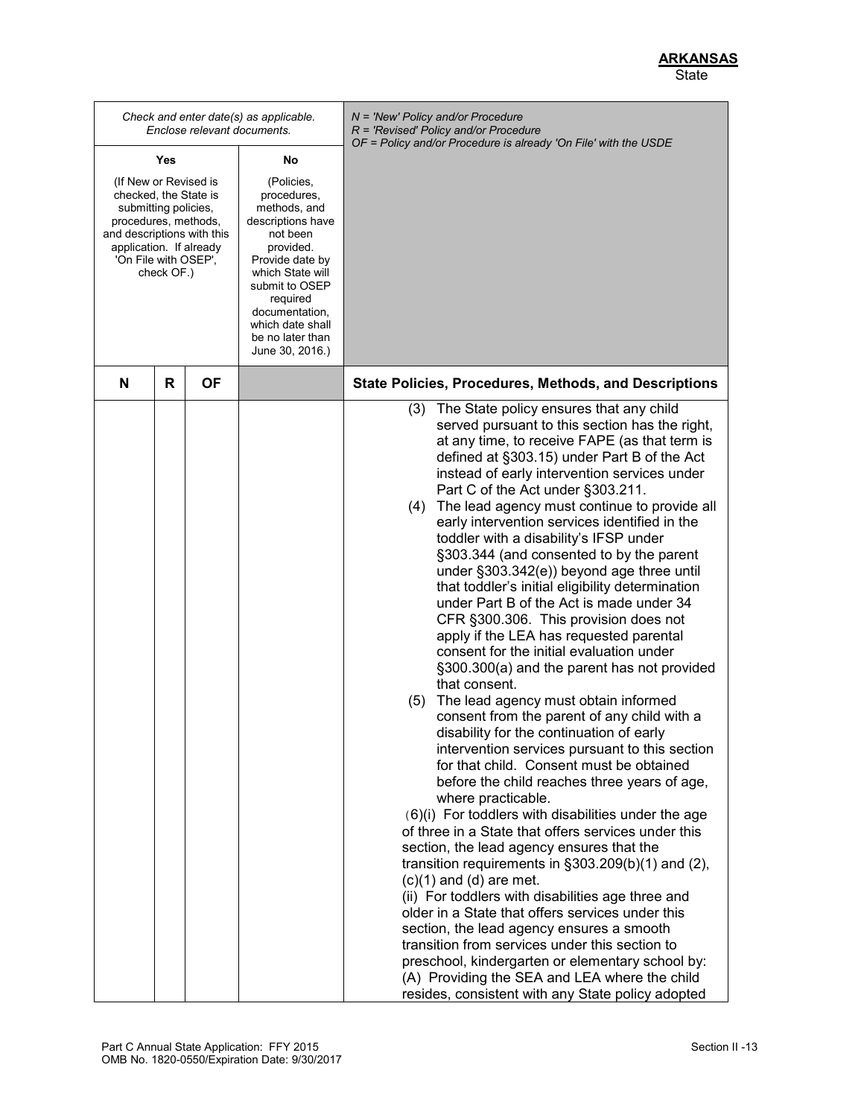|                                                                                                                                                                                               |   | Enclose relevant documents. | Check and enter date(s) as applicable.                                                                                                                                                                                                    | $N =$ 'New' Policy and/or Procedure<br>$R$ = 'Revised' Policy and/or Procedure<br>OF = Policy and/or Procedure is already 'On File' with the USDE                                                                                                                                                                                                                                                                                                                                                                                                                                                                                                                                                                                                                                                                                                                                                                                                                                                                                                                                                                                                                                                                                                                                                                                                                                                                                                                                                                                                                                                                                                                                                                                                              |
|-----------------------------------------------------------------------------------------------------------------------------------------------------------------------------------------------|---|-----------------------------|-------------------------------------------------------------------------------------------------------------------------------------------------------------------------------------------------------------------------------------------|----------------------------------------------------------------------------------------------------------------------------------------------------------------------------------------------------------------------------------------------------------------------------------------------------------------------------------------------------------------------------------------------------------------------------------------------------------------------------------------------------------------------------------------------------------------------------------------------------------------------------------------------------------------------------------------------------------------------------------------------------------------------------------------------------------------------------------------------------------------------------------------------------------------------------------------------------------------------------------------------------------------------------------------------------------------------------------------------------------------------------------------------------------------------------------------------------------------------------------------------------------------------------------------------------------------------------------------------------------------------------------------------------------------------------------------------------------------------------------------------------------------------------------------------------------------------------------------------------------------------------------------------------------------------------------------------------------------------------------------------------------------|
| Yes                                                                                                                                                                                           |   | No                          |                                                                                                                                                                                                                                           |                                                                                                                                                                                                                                                                                                                                                                                                                                                                                                                                                                                                                                                                                                                                                                                                                                                                                                                                                                                                                                                                                                                                                                                                                                                                                                                                                                                                                                                                                                                                                                                                                                                                                                                                                                |
| (If New or Revised is<br>checked, the State is<br>submitting policies,<br>procedures, methods,<br>and descriptions with this<br>application. If already<br>'On File with OSEP',<br>check OF.) |   |                             | (Policies,<br>procedures,<br>methods, and<br>descriptions have<br>not been<br>provided.<br>Provide date by<br>which State will<br>submit to OSEP<br>required<br>documentation,<br>which date shall<br>be no later than<br>June 30, 2016.) |                                                                                                                                                                                                                                                                                                                                                                                                                                                                                                                                                                                                                                                                                                                                                                                                                                                                                                                                                                                                                                                                                                                                                                                                                                                                                                                                                                                                                                                                                                                                                                                                                                                                                                                                                                |
| N                                                                                                                                                                                             | R | <b>OF</b>                   |                                                                                                                                                                                                                                           | State Policies, Procedures, Methods, and Descriptions                                                                                                                                                                                                                                                                                                                                                                                                                                                                                                                                                                                                                                                                                                                                                                                                                                                                                                                                                                                                                                                                                                                                                                                                                                                                                                                                                                                                                                                                                                                                                                                                                                                                                                          |
|                                                                                                                                                                                               |   |                             |                                                                                                                                                                                                                                           | The State policy ensures that any child<br>(3)<br>served pursuant to this section has the right,<br>at any time, to receive FAPE (as that term is<br>defined at §303.15) under Part B of the Act<br>instead of early intervention services under<br>Part C of the Act under §303.211.<br>(4) The lead agency must continue to provide all<br>early intervention services identified in the<br>toddler with a disability's IFSP under<br>§303.344 (and consented to by the parent<br>under §303.342(e)) beyond age three until<br>that toddler's initial eligibility determination<br>under Part B of the Act is made under 34<br>CFR §300.306. This provision does not<br>apply if the LEA has requested parental<br>consent for the initial evaluation under<br>§300.300(a) and the parent has not provided<br>that consent.<br>(5) The lead agency must obtain informed<br>consent from the parent of any child with a<br>disability for the continuation of early<br>intervention services pursuant to this section<br>for that child. Consent must be obtained<br>before the child reaches three years of age,<br>where practicable.<br>(6)(i) For toddlers with disabilities under the age<br>of three in a State that offers services under this<br>section, the lead agency ensures that the<br>transition requirements in $\S 303.209(b)(1)$ and (2),<br>$(c)(1)$ and $(d)$ are met.<br>(ii) For toddlers with disabilities age three and<br>older in a State that offers services under this<br>section, the lead agency ensures a smooth<br>transition from services under this section to<br>preschool, kindergarten or elementary school by:<br>(A) Providing the SEA and LEA where the child<br>resides, consistent with any State policy adopted |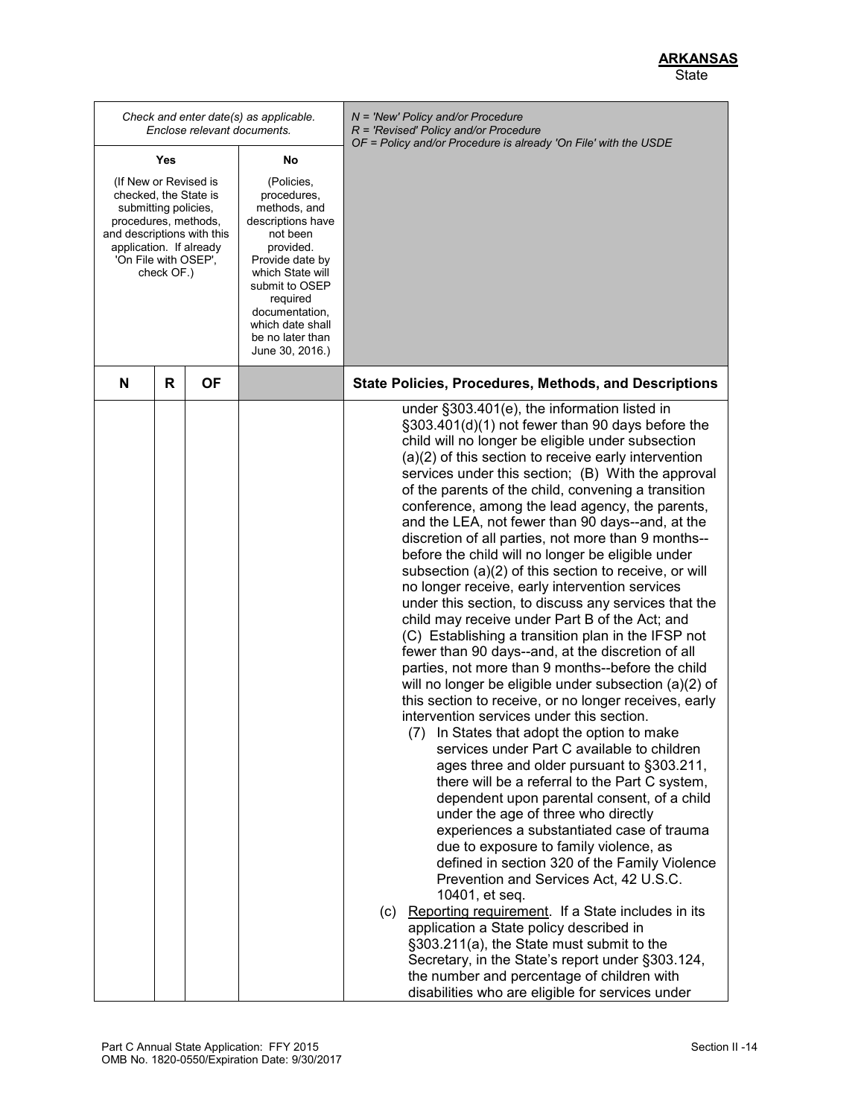*Check and enter date(s) as applicable. Enclose relevant documents. N = 'New' Policy and/or Procedure R = 'Revised' Policy and/or Procedure OF = Policy and/or Procedure is already 'On File' with the USDE* **Yes** (If New or Revised is checked, the State is submitting policies, procedures, methods, and descriptions with this application. If already 'On File with OSEP', check OF.) **No** (Policies, procedures, methods, and descriptions have not been provided. Provide date by which State will submit to OSEP required documentation, which date shall be no later than June 30, 2016.) **N R OF State Policies, Procedures, Methods, and Descriptions** under §303.401(e), the information listed in §303.401(d)(1) not fewer than 90 days before the child will no longer be eligible under subsection (a)(2) of this section to receive early intervention services under this section; (B) With the approval of the parents of the child, convening a transition conference, among the lead agency, the parents, and the LEA, not fewer than 90 days--and, at the discretion of all parties, not more than 9 months- before the child will no longer be eligible under subsection (a)(2) of this section to receive, or will no longer receive, early intervention services under this section, to discuss any services that the child may receive under Part B of the Act; and (C) Establishing a transition plan in the IFSP not fewer than 90 days--and, at the discretion of all parties, not more than 9 months--before the child will no longer be eligible under subsection (a)(2) of this section to receive, or no longer receives, early intervention services under this section. (7) In States that adopt the option to make services under Part C available to children ages three and older pursuant to §303.211, there will be a referral to the Part C system, dependent upon parental consent, of a child under the age of three who directly experiences a substantiated case of trauma due to exposure to family violence, as defined in section 320 of the Family Violence Prevention and Services Act, 42 U.S.C. 10401, et seq. (c) Reporting requirement. If a State includes in its application a State policy described in §303.211(a), the State must submit to the Secretary, in the State's report under §303.124, the number and percentage of children with disabilities who are eligible for services under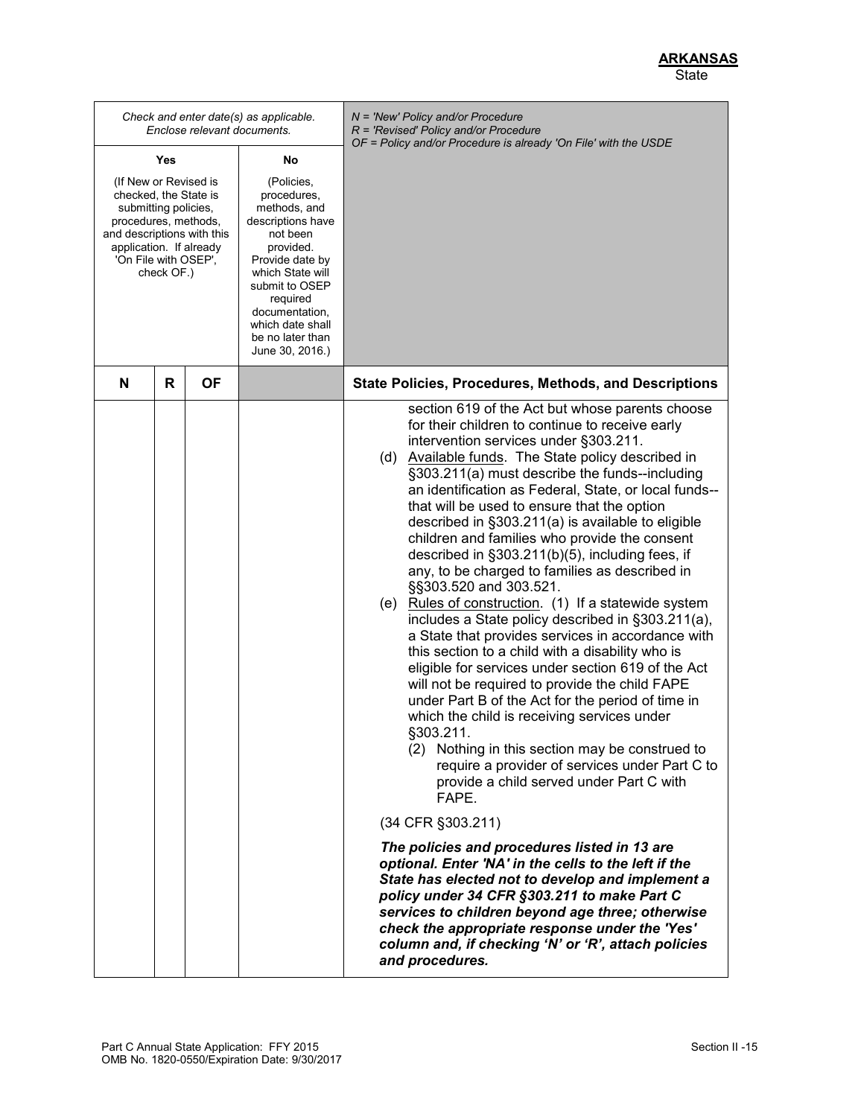|                                                                                                                                                                                               |   |              | Enclose relevant documents. | Check and enter date(s) as applicable.                                                                                                                                                                                                    | $N = 'New' Policy and/or Procedure$<br>R = 'Revised' Policy and/or Procedure<br>OF = Policy and/or Procedure is already 'On File' with the USDE                                                                                                                                                                                                                                                                                                                                                                                                                                                                                                                                                                                                                                                                                                                                                                                                                                                                                                                                                                                                                                                                                                                                                                                                                                                                                                                                                                                                                                                       |  |
|-----------------------------------------------------------------------------------------------------------------------------------------------------------------------------------------------|---|--------------|-----------------------------|-------------------------------------------------------------------------------------------------------------------------------------------------------------------------------------------------------------------------------------------|-------------------------------------------------------------------------------------------------------------------------------------------------------------------------------------------------------------------------------------------------------------------------------------------------------------------------------------------------------------------------------------------------------------------------------------------------------------------------------------------------------------------------------------------------------------------------------------------------------------------------------------------------------------------------------------------------------------------------------------------------------------------------------------------------------------------------------------------------------------------------------------------------------------------------------------------------------------------------------------------------------------------------------------------------------------------------------------------------------------------------------------------------------------------------------------------------------------------------------------------------------------------------------------------------------------------------------------------------------------------------------------------------------------------------------------------------------------------------------------------------------------------------------------------------------------------------------------------------------|--|
| Yes                                                                                                                                                                                           |   | No           |                             |                                                                                                                                                                                                                                           |                                                                                                                                                                                                                                                                                                                                                                                                                                                                                                                                                                                                                                                                                                                                                                                                                                                                                                                                                                                                                                                                                                                                                                                                                                                                                                                                                                                                                                                                                                                                                                                                       |  |
| (If New or Revised is<br>checked, the State is<br>submitting policies,<br>procedures, methods,<br>and descriptions with this<br>application. If already<br>'On File with OSEP',<br>check OF.) |   |              |                             | (Policies,<br>procedures,<br>methods, and<br>descriptions have<br>not been<br>provided.<br>Provide date by<br>which State will<br>submit to OSEP<br>required<br>documentation,<br>which date shall<br>be no later than<br>June 30, 2016.) |                                                                                                                                                                                                                                                                                                                                                                                                                                                                                                                                                                                                                                                                                                                                                                                                                                                                                                                                                                                                                                                                                                                                                                                                                                                                                                                                                                                                                                                                                                                                                                                                       |  |
|                                                                                                                                                                                               | N | $\mathsf{R}$ | ΟF                          |                                                                                                                                                                                                                                           | <b>State Policies, Procedures, Methods, and Descriptions</b>                                                                                                                                                                                                                                                                                                                                                                                                                                                                                                                                                                                                                                                                                                                                                                                                                                                                                                                                                                                                                                                                                                                                                                                                                                                                                                                                                                                                                                                                                                                                          |  |
|                                                                                                                                                                                               |   |              |                             |                                                                                                                                                                                                                                           | section 619 of the Act but whose parents choose<br>for their children to continue to receive early<br>intervention services under §303.211.<br>(d) Available funds. The State policy described in<br>§303.211(a) must describe the funds--including<br>an identification as Federal, State, or local funds--<br>that will be used to ensure that the option<br>described in §303.211(a) is available to eligible<br>children and families who provide the consent<br>described in §303.211(b)(5), including fees, if<br>any, to be charged to families as described in<br>§§303.520 and 303.521.<br>(e) Rules of construction. (1) If a statewide system<br>includes a State policy described in §303.211(a),<br>a State that provides services in accordance with<br>this section to a child with a disability who is<br>eligible for services under section 619 of the Act<br>will not be required to provide the child FAPE<br>under Part B of the Act for the period of time in<br>which the child is receiving services under<br>§303.211<br>(2) Nothing in this section may be construed to<br>require a provider of services under Part C to<br>provide a child served under Part C with<br>FAPE.<br>(34 CFR §303.211)<br>The policies and procedures listed in 13 are<br>optional. Enter 'NA' in the cells to the left if the<br>State has elected not to develop and implement a<br>policy under 34 CFR §303.211 to make Part C<br>services to children beyond age three; otherwise<br>check the appropriate response under the 'Yes'<br>column and, if checking 'N' or 'R', attach policies |  |
|                                                                                                                                                                                               |   |              |                             |                                                                                                                                                                                                                                           | and procedures.                                                                                                                                                                                                                                                                                                                                                                                                                                                                                                                                                                                                                                                                                                                                                                                                                                                                                                                                                                                                                                                                                                                                                                                                                                                                                                                                                                                                                                                                                                                                                                                       |  |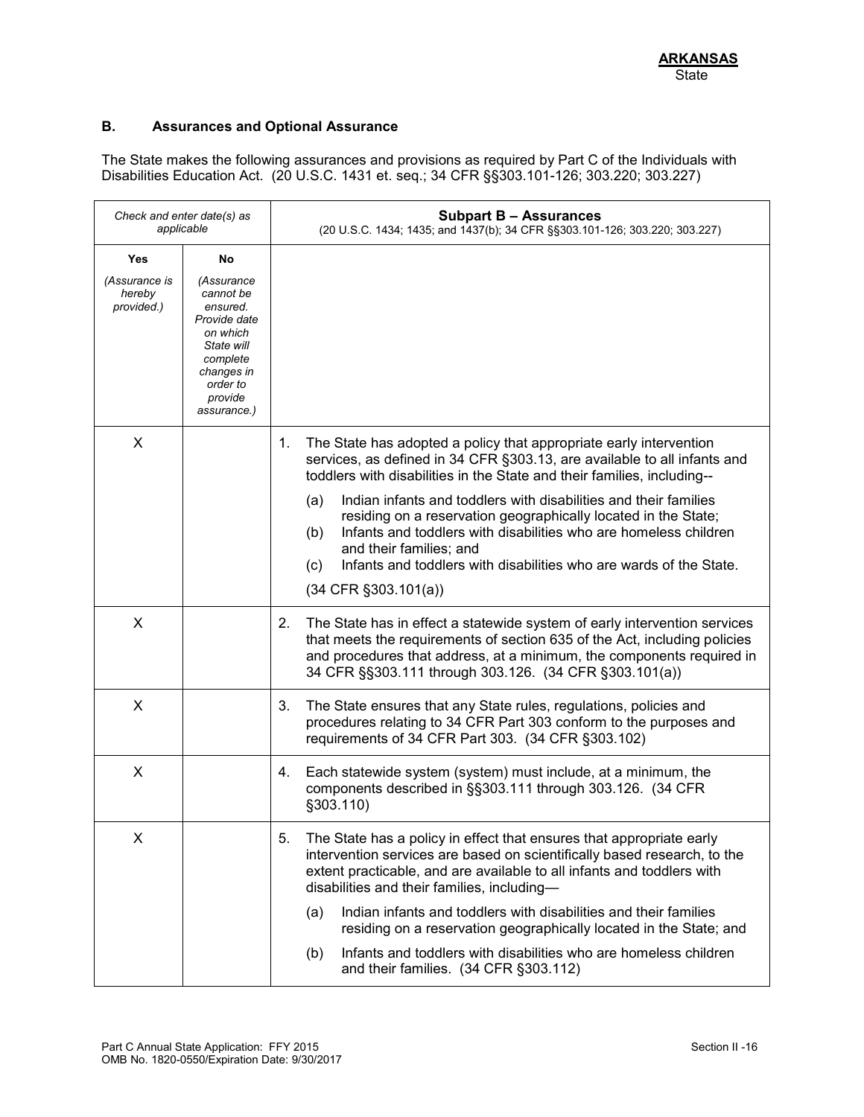# **B. Assurances and Optional Assurance**

The State makes the following assurances and provisions as required by Part C of the Individuals with Disabilities Education Act. (20 U.S.C. 1431 et. seq.; 34 CFR §§303.101-126; 303.220; 303.227)

| Check and enter date(s) as<br>applicable     |                                                                                                                                      | <b>Subpart B - Assurances</b><br>(20 U.S.C. 1434; 1435; and 1437(b); 34 CFR §§303.101-126; 303.220; 303.227)                                                                                                                                                                                                                                                                                                                     |
|----------------------------------------------|--------------------------------------------------------------------------------------------------------------------------------------|----------------------------------------------------------------------------------------------------------------------------------------------------------------------------------------------------------------------------------------------------------------------------------------------------------------------------------------------------------------------------------------------------------------------------------|
| Yes<br>(Assurance is<br>hereby<br>provided.) | No<br>(Assurance<br>cannot be<br>ensured.<br>Provide date<br>on which<br>State will<br>complete<br>changes in<br>order to<br>provide |                                                                                                                                                                                                                                                                                                                                                                                                                                  |
| X                                            | assurance.)                                                                                                                          | The State has adopted a policy that appropriate early intervention<br>1.<br>services, as defined in 34 CFR §303.13, are available to all infants and<br>toddlers with disabilities in the State and their families, including--                                                                                                                                                                                                  |
|                                              |                                                                                                                                      | Indian infants and toddlers with disabilities and their families<br>(a)<br>residing on a reservation geographically located in the State;<br>Infants and toddlers with disabilities who are homeless children<br>(b)<br>and their families; and<br>Infants and toddlers with disabilities who are wards of the State.<br>(c)<br>$(34$ CFR $\S 303.101(a))$                                                                       |
| X                                            |                                                                                                                                      | 2.<br>The State has in effect a statewide system of early intervention services<br>that meets the requirements of section 635 of the Act, including policies<br>and procedures that address, at a minimum, the components required in<br>34 CFR §§303.111 through 303.126. (34 CFR §303.101(a))                                                                                                                                  |
| X                                            |                                                                                                                                      | 3.<br>The State ensures that any State rules, regulations, policies and<br>procedures relating to 34 CFR Part 303 conform to the purposes and<br>requirements of 34 CFR Part 303. (34 CFR §303.102)                                                                                                                                                                                                                              |
| X                                            |                                                                                                                                      | Each statewide system (system) must include, at a minimum, the<br>4.<br>components described in §§303.111 through 303.126. (34 CFR<br>§303.110)                                                                                                                                                                                                                                                                                  |
| X                                            |                                                                                                                                      | The State has a policy in effect that ensures that appropriate early<br>5.<br>intervention services are based on scientifically based research, to the<br>extent practicable, and are available to all infants and toddlers with<br>disabilities and their families, including-<br>Indian infants and toddlers with disabilities and their families<br>(a)<br>residing on a reservation geographically located in the State; and |
|                                              |                                                                                                                                      | Infants and toddlers with disabilities who are homeless children<br>(b)<br>and their families. (34 CFR §303.112)                                                                                                                                                                                                                                                                                                                 |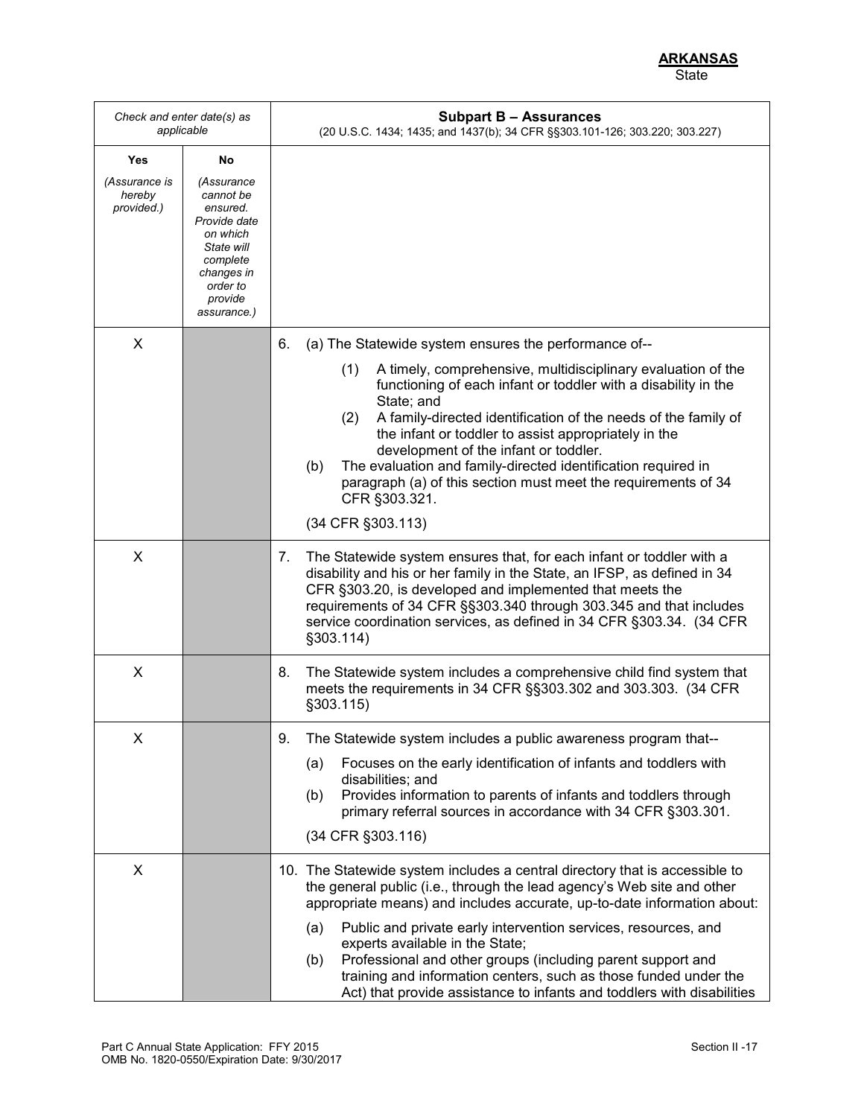|                                              | Check and enter date(s) as<br>applicable                                                                                                      | <b>Subpart B - Assurances</b><br>(20 U.S.C. 1434; 1435; and 1437(b); 34 CFR §§303.101-126; 303.220; 303.227)                                                                                                                                                                                                                                                                                                                                                                                                                                                     |
|----------------------------------------------|-----------------------------------------------------------------------------------------------------------------------------------------------|------------------------------------------------------------------------------------------------------------------------------------------------------------------------------------------------------------------------------------------------------------------------------------------------------------------------------------------------------------------------------------------------------------------------------------------------------------------------------------------------------------------------------------------------------------------|
| Yes                                          | No                                                                                                                                            |                                                                                                                                                                                                                                                                                                                                                                                                                                                                                                                                                                  |
| <i>(Assurance is</i><br>hereby<br>provided.) | (Assurance<br>cannot be<br>ensured.<br>Provide date<br>on which<br>State will<br>complete<br>changes in<br>order to<br>provide<br>assurance.) |                                                                                                                                                                                                                                                                                                                                                                                                                                                                                                                                                                  |
| X                                            |                                                                                                                                               | (a) The Statewide system ensures the performance of--<br>6.                                                                                                                                                                                                                                                                                                                                                                                                                                                                                                      |
|                                              |                                                                                                                                               | A timely, comprehensive, multidisciplinary evaluation of the<br>(1)<br>functioning of each infant or toddler with a disability in the<br>State; and<br>A family-directed identification of the needs of the family of<br>(2)<br>the infant or toddler to assist appropriately in the<br>development of the infant or toddler.<br>The evaluation and family-directed identification required in<br>(b)<br>paragraph (a) of this section must meet the requirements of 34<br>CFR §303.321.                                                                         |
|                                              |                                                                                                                                               | (34 CFR §303.113)                                                                                                                                                                                                                                                                                                                                                                                                                                                                                                                                                |
| X                                            |                                                                                                                                               | 7.<br>The Statewide system ensures that, for each infant or toddler with a<br>disability and his or her family in the State, an IFSP, as defined in 34<br>CFR §303.20, is developed and implemented that meets the<br>requirements of 34 CFR §§303.340 through 303.345 and that includes<br>service coordination services, as defined in 34 CFR §303.34. (34 CFR<br>§303.114)                                                                                                                                                                                    |
| X                                            |                                                                                                                                               | 8.<br>The Statewide system includes a comprehensive child find system that<br>meets the requirements in 34 CFR §§303.302 and 303.303. (34 CFR<br>§303.115)                                                                                                                                                                                                                                                                                                                                                                                                       |
| Χ                                            |                                                                                                                                               | The Statewide system includes a public awareness program that--<br>9.<br>Focuses on the early identification of infants and toddlers with<br>(a)<br>disabilities; and<br>Provides information to parents of infants and toddlers through<br>(b)<br>primary referral sources in accordance with 34 CFR §303.301.<br>(34 CFR §303.116)                                                                                                                                                                                                                             |
| X                                            |                                                                                                                                               | 10. The Statewide system includes a central directory that is accessible to<br>the general public (i.e., through the lead agency's Web site and other<br>appropriate means) and includes accurate, up-to-date information about:<br>Public and private early intervention services, resources, and<br>(a)<br>experts available in the State;<br>Professional and other groups (including parent support and<br>(b)<br>training and information centers, such as those funded under the<br>Act) that provide assistance to infants and toddlers with disabilities |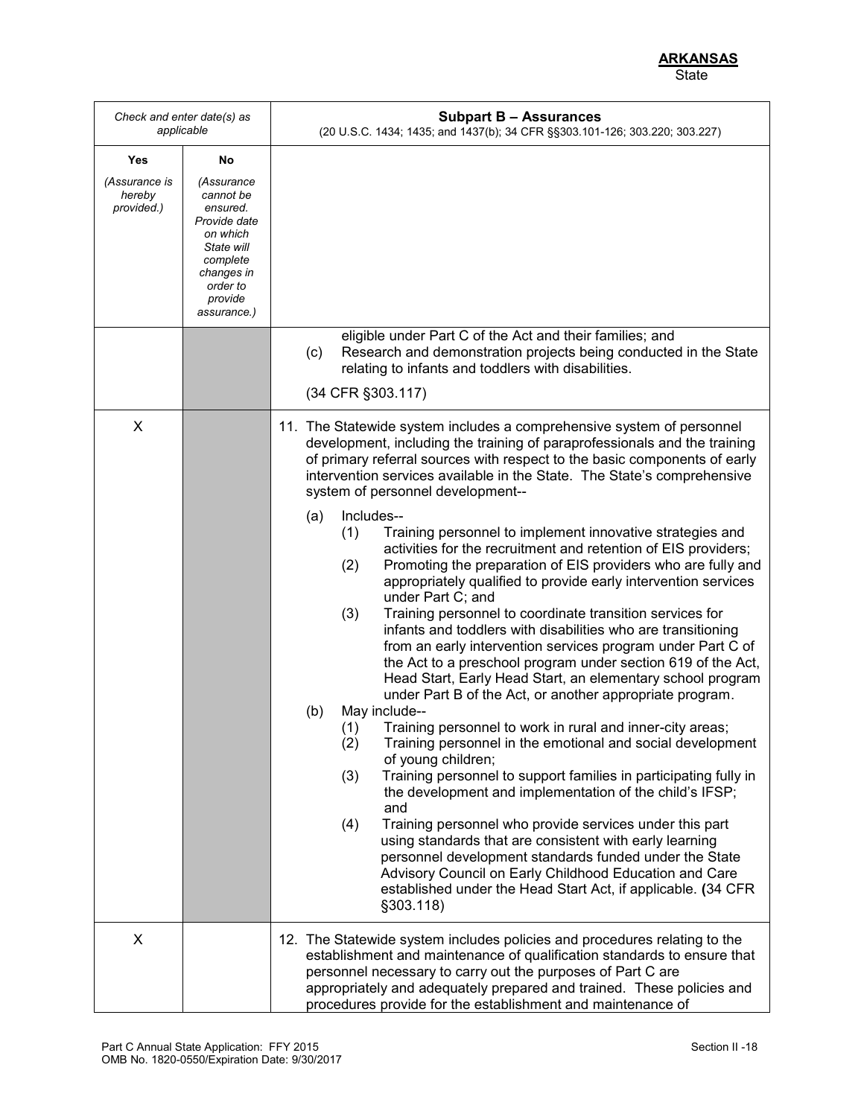|                                              | Check and enter date(s) as<br>applicable                                                                                                            | <b>Subpart B - Assurances</b><br>(20 U.S.C. 1434; 1435; and 1437(b); 34 CFR §§303.101-126; 303.220; 303.227)                                                                                                                                                                                                                                                                                                                                                                                                                                                                                                                                                                                                                                                                                                                                                                                                                                                                                                                                                                                                                                                                                                                                                                                                                                                                                                                                                                                                                                                                                                                                                                                                                            |
|----------------------------------------------|-----------------------------------------------------------------------------------------------------------------------------------------------------|-----------------------------------------------------------------------------------------------------------------------------------------------------------------------------------------------------------------------------------------------------------------------------------------------------------------------------------------------------------------------------------------------------------------------------------------------------------------------------------------------------------------------------------------------------------------------------------------------------------------------------------------------------------------------------------------------------------------------------------------------------------------------------------------------------------------------------------------------------------------------------------------------------------------------------------------------------------------------------------------------------------------------------------------------------------------------------------------------------------------------------------------------------------------------------------------------------------------------------------------------------------------------------------------------------------------------------------------------------------------------------------------------------------------------------------------------------------------------------------------------------------------------------------------------------------------------------------------------------------------------------------------------------------------------------------------------------------------------------------------|
| Yes<br>(Assurance is<br>hereby<br>provided.) | No<br>(Assurance<br>cannot be<br>ensured.<br>Provide date<br>on which<br>State will<br>complete<br>changes in<br>order to<br>provide<br>assurance.) |                                                                                                                                                                                                                                                                                                                                                                                                                                                                                                                                                                                                                                                                                                                                                                                                                                                                                                                                                                                                                                                                                                                                                                                                                                                                                                                                                                                                                                                                                                                                                                                                                                                                                                                                         |
|                                              |                                                                                                                                                     | eligible under Part C of the Act and their families; and<br>Research and demonstration projects being conducted in the State<br>(c)<br>relating to infants and toddlers with disabilities.<br>(34 CFR §303.117)                                                                                                                                                                                                                                                                                                                                                                                                                                                                                                                                                                                                                                                                                                                                                                                                                                                                                                                                                                                                                                                                                                                                                                                                                                                                                                                                                                                                                                                                                                                         |
| X                                            |                                                                                                                                                     | 11. The Statewide system includes a comprehensive system of personnel<br>development, including the training of paraprofessionals and the training<br>of primary referral sources with respect to the basic components of early<br>intervention services available in the State. The State's comprehensive<br>system of personnel development--<br>Includes--<br>(a)<br>(1)<br>Training personnel to implement innovative strategies and<br>activities for the recruitment and retention of EIS providers;<br>Promoting the preparation of EIS providers who are fully and<br>(2)<br>appropriately qualified to provide early intervention services<br>under Part C; and<br>Training personnel to coordinate transition services for<br>(3)<br>infants and toddlers with disabilities who are transitioning<br>from an early intervention services program under Part C of<br>the Act to a preschool program under section 619 of the Act,<br>Head Start, Early Head Start, an elementary school program<br>under Part B of the Act, or another appropriate program.<br>(b)<br>May include--<br>(1)<br>Training personnel to work in rural and inner-city areas;<br>Training personnel in the emotional and social development<br>(2)<br>of young children;<br>Training personnel to support families in participating fully in<br>(3)<br>the development and implementation of the child's IFSP;<br>and<br>Training personnel who provide services under this part<br>(4)<br>using standards that are consistent with early learning<br>personnel development standards funded under the State<br>Advisory Council on Early Childhood Education and Care<br>established under the Head Start Act, if applicable. (34 CFR<br>\$303.118) |
| X                                            |                                                                                                                                                     | 12. The Statewide system includes policies and procedures relating to the<br>establishment and maintenance of qualification standards to ensure that<br>personnel necessary to carry out the purposes of Part C are<br>appropriately and adequately prepared and trained. These policies and<br>procedures provide for the establishment and maintenance of                                                                                                                                                                                                                                                                                                                                                                                                                                                                                                                                                                                                                                                                                                                                                                                                                                                                                                                                                                                                                                                                                                                                                                                                                                                                                                                                                                             |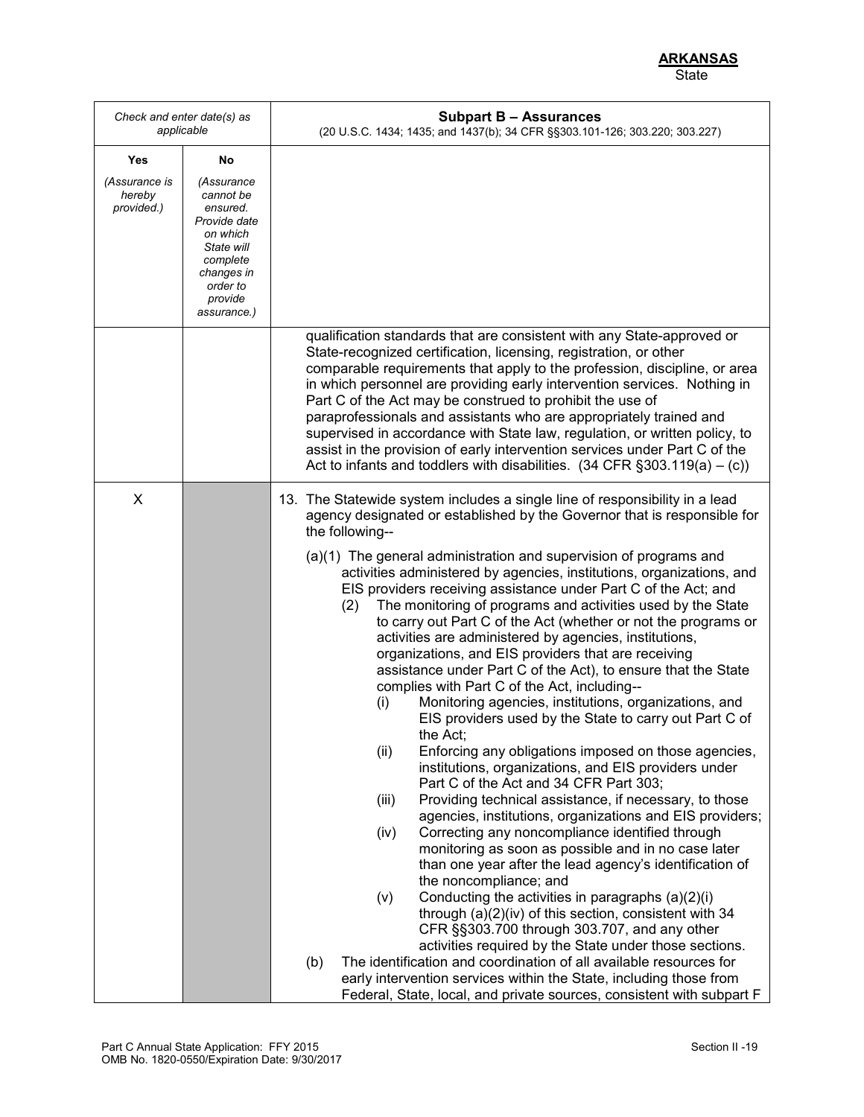*Check and enter date(s) as applicable* **Subpart B – Assurances** (20 U.S.C. 1434; 1435; and 1437(b); 34 CFR §§303.101-126; 303.220; 303.227) **Yes** *(Assurance is hereby provided.)* **No** *(Assurance cannot be ensured. Provide date on which State will complete changes in order to provide assurance.)* qualification standards that are consistent with any State-approved or State-recognized certification, licensing, registration, or other comparable requirements that apply to the profession, discipline, or area in which personnel are providing early intervention services. Nothing in Part C of the Act may be construed to prohibit the use of paraprofessionals and assistants who are appropriately trained and supervised in accordance with State law, regulation, or written policy, to assist in the provision of early intervention services under Part C of the Act to infants and toddlers with disabilities.  $(34 \text{ CFR } \S 303.119(a) - (c))$ X 13. The Statewide system includes a single line of responsibility in a lead agency designated or established by the Governor that is responsible for the following-- (a)(1) The general administration and supervision of programs and activities administered by agencies, institutions, organizations, and EIS providers receiving assistance under Part C of the Act; and (2) The monitoring of programs and activities used by the State to carry out Part C of the Act (whether or not the programs or activities are administered by agencies, institutions, organizations, and EIS providers that are receiving assistance under Part C of the Act), to ensure that the State complies with Part C of the Act, including-- (i) Monitoring agencies, institutions, organizations, and EIS providers used by the State to carry out Part C of the Act; (ii) Enforcing any obligations imposed on those agencies, institutions, organizations, and EIS providers under Part C of the Act and 34 CFR Part 303; (iii) Providing technical assistance, if necessary, to those agencies, institutions, organizations and EIS providers; (iv) Correcting any noncompliance identified through monitoring as soon as possible and in no case later than one year after the lead agency's identification of the noncompliance; and  $(v)$  Conducting the activities in paragraphs  $(a)(2)(i)$ through (a)(2)(iv) of this section, consistent with 34 CFR §§303.700 through 303.707, and any other activities required by the State under those sections. (b) The identification and coordination of all available resources for early intervention services within the State, including those from Federal, State, local, and private sources, consistent with subpart F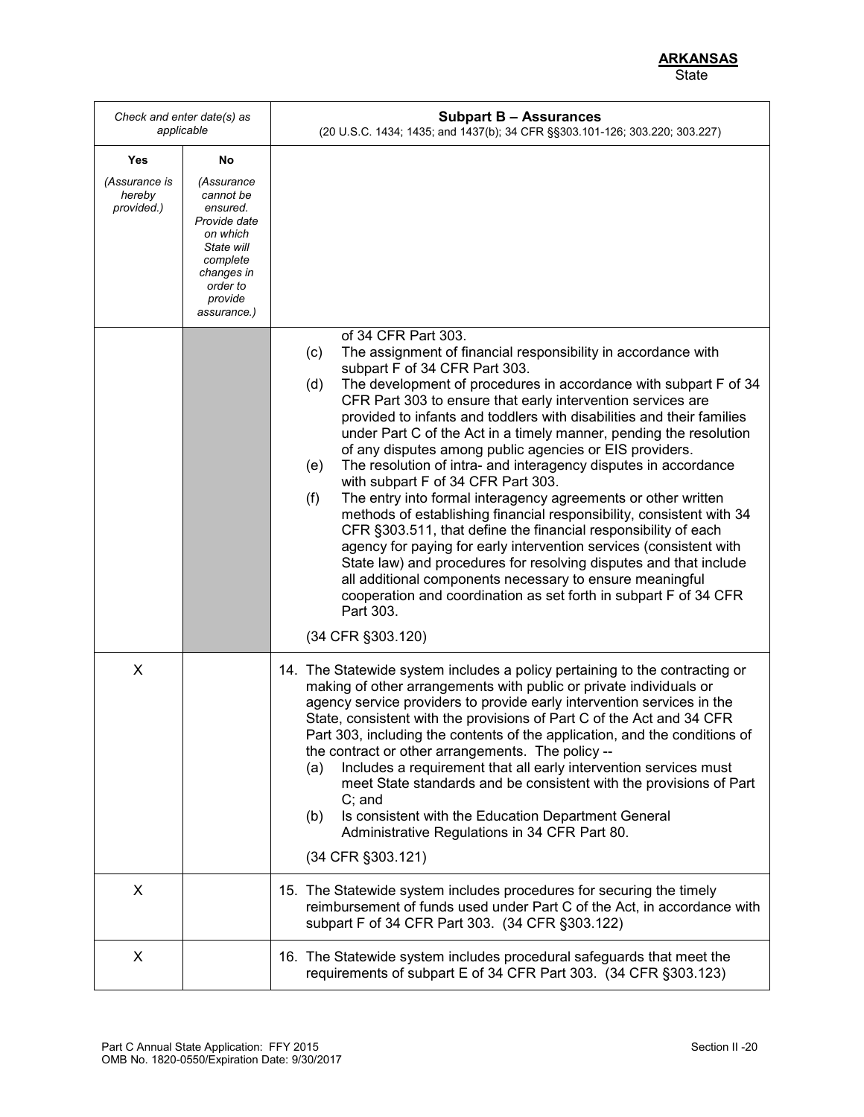*Check and enter date(s) as applicable* **Subpart B – Assurances** (20 U.S.C. 1434; 1435; and 1437(b); 34 CFR §§303.101-126; 303.220; 303.227) **Yes** *(Assurance is hereby provided.)* **No** *(Assurance cannot be ensured. Provide date on which State will complete changes in order to provide assurance.)* of 34 CFR Part 303. (c) The assignment of financial responsibility in accordance with subpart F of 34 CFR Part 303. (d) The development of procedures in accordance with subpart F of 34 CFR Part 303 to ensure that early intervention services are provided to infants and toddlers with disabilities and their families under Part C of the Act in a timely manner, pending the resolution of any disputes among public agencies or EIS providers. (e) The resolution of intra- and interagency disputes in accordance with subpart F of 34 CFR Part 303. (f) The entry into formal interagency agreements or other written methods of establishing financial responsibility, consistent with 34 CFR §303.511, that define the financial responsibility of each agency for paying for early intervention services (consistent with State law) and procedures for resolving disputes and that include all additional components necessary to ensure meaningful cooperation and coordination as set forth in subpart F of 34 CFR Part 303. (34 CFR §303.120) X 14. The Statewide system includes a policy pertaining to the contracting or making of other arrangements with public or private individuals or agency service providers to provide early intervention services in the State, consistent with the provisions of Part C of the Act and 34 CFR Part 303, including the contents of the application, and the conditions of the contract or other arrangements. The policy -- (a) Includes a requirement that all early intervention services must meet State standards and be consistent with the provisions of Part C; and (b) Is consistent with the Education Department General Administrative Regulations in 34 CFR Part 80. (34 CFR §303.121) X 15. The Statewide system includes procedures for securing the timely reimbursement of funds used under Part C of the Act, in accordance with subpart F of 34 CFR Part 303. (34 CFR §303.122) X 16. The Statewide system includes procedural safeguards that meet the requirements of subpart E of 34 CFR Part 303. (34 CFR §303.123)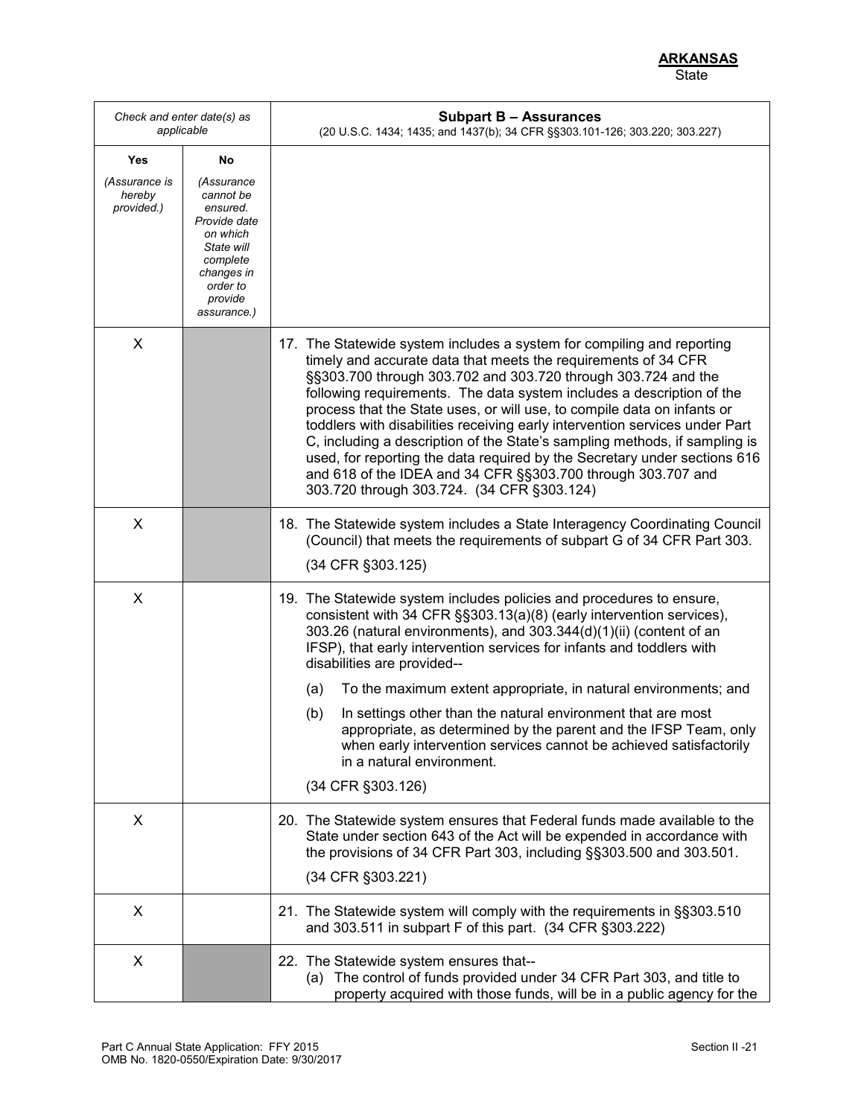|                                                     | Check and enter date(s) as<br>applicable                                                                                                            | <b>Subpart B - Assurances</b><br>(20 U.S.C. 1434; 1435; and 1437(b); 34 CFR §§303.101-126; 303.220; 303.227)                                                                                                                                                                                                                                                                                                                                                                                                                                                                                                                                                                                                          |
|-----------------------------------------------------|-----------------------------------------------------------------------------------------------------------------------------------------------------|-----------------------------------------------------------------------------------------------------------------------------------------------------------------------------------------------------------------------------------------------------------------------------------------------------------------------------------------------------------------------------------------------------------------------------------------------------------------------------------------------------------------------------------------------------------------------------------------------------------------------------------------------------------------------------------------------------------------------|
| Yes<br><i>(Assurance is</i><br>hereby<br>provided.) | No<br>(Assurance<br>cannot be<br>ensured.<br>Provide date<br>on which<br>State will<br>complete<br>changes in<br>order to<br>provide<br>assurance.) |                                                                                                                                                                                                                                                                                                                                                                                                                                                                                                                                                                                                                                                                                                                       |
| X                                                   |                                                                                                                                                     | 17. The Statewide system includes a system for compiling and reporting<br>timely and accurate data that meets the requirements of 34 CFR<br>§§303.700 through 303.702 and 303.720 through 303.724 and the<br>following requirements. The data system includes a description of the<br>process that the State uses, or will use, to compile data on infants or<br>toddlers with disabilities receiving early intervention services under Part<br>C, including a description of the State's sampling methods, if sampling is<br>used, for reporting the data required by the Secretary under sections 616<br>and 618 of the IDEA and 34 CFR §§303.700 through 303.707 and<br>303.720 through 303.724. (34 CFR §303.124) |
| X                                                   |                                                                                                                                                     | 18. The Statewide system includes a State Interagency Coordinating Council<br>(Council) that meets the requirements of subpart G of 34 CFR Part 303.<br>(34 CFR §303.125)                                                                                                                                                                                                                                                                                                                                                                                                                                                                                                                                             |
| X                                                   |                                                                                                                                                     | 19. The Statewide system includes policies and procedures to ensure,<br>consistent with 34 CFR §§303.13(a)(8) (early intervention services),<br>303.26 (natural environments), and 303.344(d)(1)(ii) (content of an<br>IFSP), that early intervention services for infants and toddlers with<br>disabilities are provided--<br>To the maximum extent appropriate, in natural environments; and<br>(a)<br>In settings other than the natural environment that are most<br>(b)<br>appropriate, as determined by the parent and the IFSP Team, only<br>when early intervention services cannot be achieved satisfactorily<br>in a natural environment.<br>(34 CFR §303.126)                                              |
| X                                                   |                                                                                                                                                     | 20. The Statewide system ensures that Federal funds made available to the<br>State under section 643 of the Act will be expended in accordance with<br>the provisions of 34 CFR Part 303, including §§303.500 and 303.501.<br>(34 CFR §303.221)                                                                                                                                                                                                                                                                                                                                                                                                                                                                       |
| X                                                   |                                                                                                                                                     | 21. The Statewide system will comply with the requirements in §§303.510<br>and 303.511 in subpart F of this part. (34 CFR §303.222)                                                                                                                                                                                                                                                                                                                                                                                                                                                                                                                                                                                   |
| X                                                   |                                                                                                                                                     | 22. The Statewide system ensures that--<br>(a) The control of funds provided under 34 CFR Part 303, and title to<br>property acquired with those funds, will be in a public agency for the                                                                                                                                                                                                                                                                                                                                                                                                                                                                                                                            |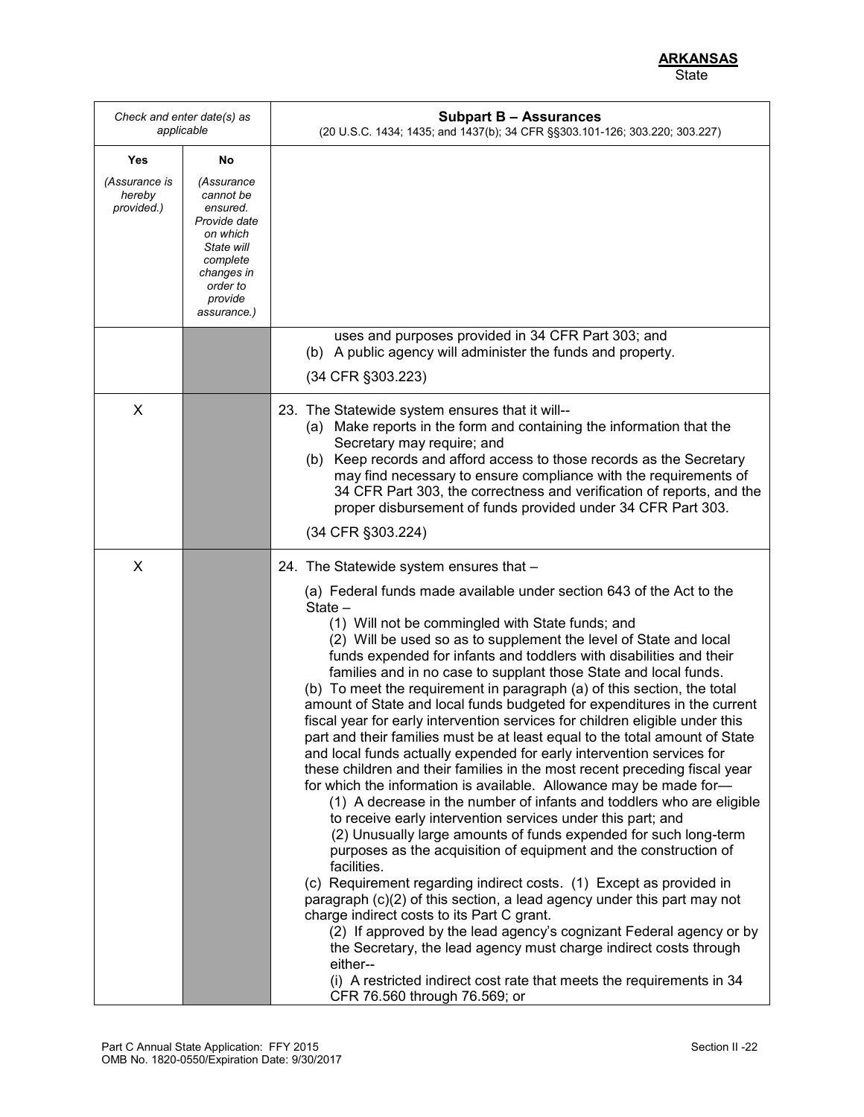| Check and enter date(s) as<br>applicable |                                                                                                                                               | <b>Subpart B - Assurances</b><br>(20 U.S.C. 1434; 1435; and 1437(b); 34 CFR §§303.101-126; 303.220; 303.227)                                                                                                                                                                                                                                                                                                                                                                                                                                                                                                                                                                                                                                                                                                                                                                                                                                                                                                                                                                                                                                                                                                                                                                                                                                                                                                                                                                                                                                                                                                                                                            |
|------------------------------------------|-----------------------------------------------------------------------------------------------------------------------------------------------|-------------------------------------------------------------------------------------------------------------------------------------------------------------------------------------------------------------------------------------------------------------------------------------------------------------------------------------------------------------------------------------------------------------------------------------------------------------------------------------------------------------------------------------------------------------------------------------------------------------------------------------------------------------------------------------------------------------------------------------------------------------------------------------------------------------------------------------------------------------------------------------------------------------------------------------------------------------------------------------------------------------------------------------------------------------------------------------------------------------------------------------------------------------------------------------------------------------------------------------------------------------------------------------------------------------------------------------------------------------------------------------------------------------------------------------------------------------------------------------------------------------------------------------------------------------------------------------------------------------------------------------------------------------------------|
| Yes                                      | No                                                                                                                                            |                                                                                                                                                                                                                                                                                                                                                                                                                                                                                                                                                                                                                                                                                                                                                                                                                                                                                                                                                                                                                                                                                                                                                                                                                                                                                                                                                                                                                                                                                                                                                                                                                                                                         |
| (Assurance is<br>hereby<br>provided.)    | (Assurance<br>cannot be<br>ensured.<br>Provide date<br>on which<br>State will<br>complete<br>changes in<br>order to<br>provide<br>assurance.) |                                                                                                                                                                                                                                                                                                                                                                                                                                                                                                                                                                                                                                                                                                                                                                                                                                                                                                                                                                                                                                                                                                                                                                                                                                                                                                                                                                                                                                                                                                                                                                                                                                                                         |
|                                          |                                                                                                                                               | uses and purposes provided in 34 CFR Part 303; and<br>(b) A public agency will administer the funds and property.<br>(34 CFR §303.223)                                                                                                                                                                                                                                                                                                                                                                                                                                                                                                                                                                                                                                                                                                                                                                                                                                                                                                                                                                                                                                                                                                                                                                                                                                                                                                                                                                                                                                                                                                                                  |
| X                                        |                                                                                                                                               | 23. The Statewide system ensures that it will--<br>(a) Make reports in the form and containing the information that the<br>Secretary may require; and<br>(b) Keep records and afford access to those records as the Secretary<br>may find necessary to ensure compliance with the requirements of<br>34 CFR Part 303, the correctness and verification of reports, and the<br>proper disbursement of funds provided under 34 CFR Part 303.<br>(34 CFR §303.224)                                                                                                                                                                                                                                                                                                                                                                                                                                                                                                                                                                                                                                                                                                                                                                                                                                                                                                                                                                                                                                                                                                                                                                                                         |
| X                                        |                                                                                                                                               | 24. The Statewide system ensures that -                                                                                                                                                                                                                                                                                                                                                                                                                                                                                                                                                                                                                                                                                                                                                                                                                                                                                                                                                                                                                                                                                                                                                                                                                                                                                                                                                                                                                                                                                                                                                                                                                                 |
|                                          |                                                                                                                                               | (a) Federal funds made available under section 643 of the Act to the<br>State -<br>(1) Will not be commingled with State funds; and<br>(2) Will be used so as to supplement the level of State and local<br>funds expended for infants and toddlers with disabilities and their<br>families and in no case to supplant those State and local funds.<br>(b) To meet the requirement in paragraph (a) of this section, the total<br>amount of State and local funds budgeted for expenditures in the current<br>fiscal year for early intervention services for children eligible under this<br>part and their families must be at least equal to the total amount of State<br>and local funds actually expended for early intervention services for<br>these children and their families in the most recent preceding fiscal year<br>for which the information is available. Allowance may be made for-<br>(1) A decrease in the number of infants and toddlers who are eligible<br>to receive early intervention services under this part; and<br>(2) Unusually large amounts of funds expended for such long-term<br>purposes as the acquisition of equipment and the construction of<br>facilities.<br>(c) Requirement regarding indirect costs. (1) Except as provided in<br>paragraph (c)(2) of this section, a lead agency under this part may not<br>charge indirect costs to its Part C grant.<br>(2) If approved by the lead agency's cognizant Federal agency or by<br>the Secretary, the lead agency must charge indirect costs through<br>either--<br>(i) A restricted indirect cost rate that meets the requirements in 34<br>CFR 76.560 through 76.569; or |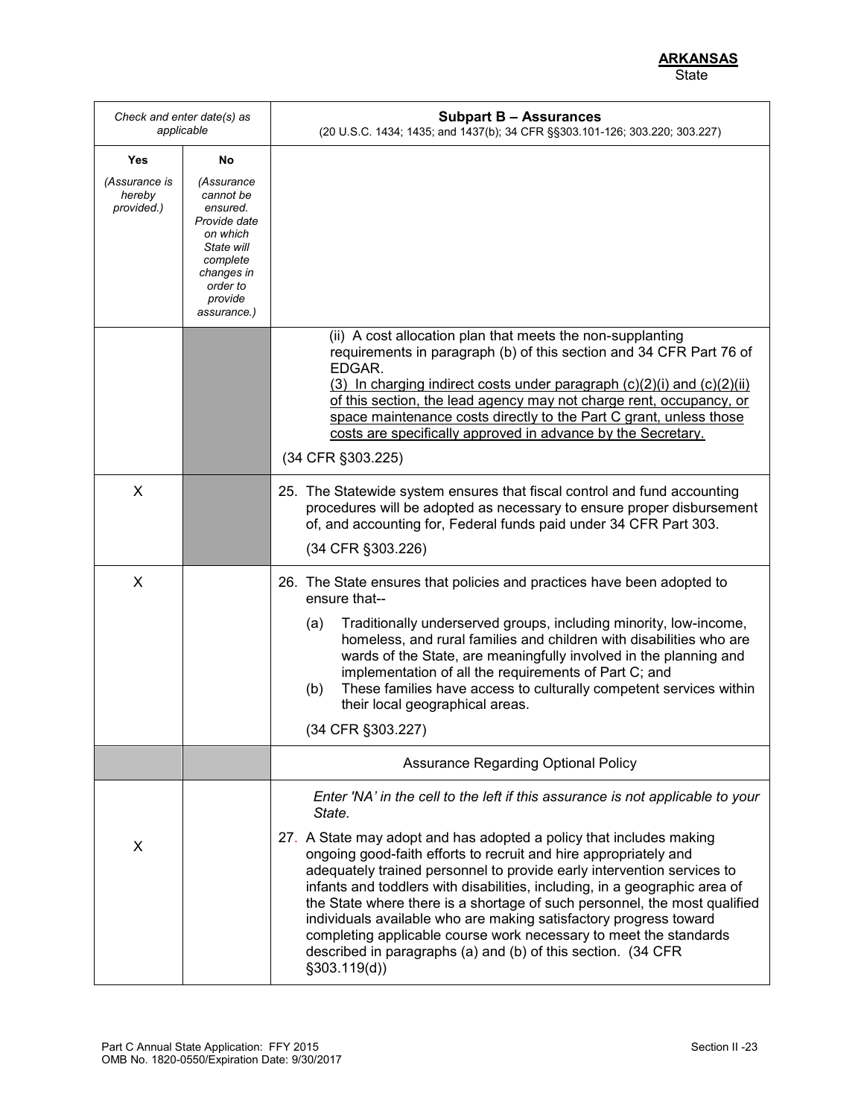| Check and enter date(s) as<br>applicable |                                                                                                                                               | <b>Subpart B - Assurances</b><br>(20 U.S.C. 1434; 1435; and 1437(b); 34 CFR §§303.101-126; 303.220; 303.227)                                                                                                                                                                                                                                                                                                                                                                                                                                                                                                                                                                                        |
|------------------------------------------|-----------------------------------------------------------------------------------------------------------------------------------------------|-----------------------------------------------------------------------------------------------------------------------------------------------------------------------------------------------------------------------------------------------------------------------------------------------------------------------------------------------------------------------------------------------------------------------------------------------------------------------------------------------------------------------------------------------------------------------------------------------------------------------------------------------------------------------------------------------------|
| Yes                                      | No                                                                                                                                            |                                                                                                                                                                                                                                                                                                                                                                                                                                                                                                                                                                                                                                                                                                     |
| (Assurance is<br>hereby<br>provided.)    | (Assurance<br>cannot be<br>ensured.<br>Provide date<br>on which<br>State will<br>complete<br>changes in<br>order to<br>provide<br>assurance.) |                                                                                                                                                                                                                                                                                                                                                                                                                                                                                                                                                                                                                                                                                                     |
|                                          |                                                                                                                                               | (ii) A cost allocation plan that meets the non-supplanting<br>requirements in paragraph (b) of this section and 34 CFR Part 76 of<br>EDGAR.<br>$(3)$ In charging indirect costs under paragraph $(c)(2)(i)$ and $(c)(2)(ii)$<br>of this section, the lead agency may not charge rent, occupancy, or<br>space maintenance costs directly to the Part C grant, unless those<br>costs are specifically approved in advance by the Secretary.<br>(34 CFR §303.225)                                                                                                                                                                                                                                      |
| X                                        |                                                                                                                                               | 25. The Statewide system ensures that fiscal control and fund accounting<br>procedures will be adopted as necessary to ensure proper disbursement<br>of, and accounting for, Federal funds paid under 34 CFR Part 303.<br>(34 CFR §303.226)                                                                                                                                                                                                                                                                                                                                                                                                                                                         |
| X                                        |                                                                                                                                               | 26. The State ensures that policies and practices have been adopted to<br>ensure that--<br>Traditionally underserved groups, including minority, low-income,<br>(a)<br>homeless, and rural families and children with disabilities who are<br>wards of the State, are meaningfully involved in the planning and<br>implementation of all the requirements of Part C; and<br>These families have access to culturally competent services within<br>(b)<br>their local geographical areas.<br>(34 CFR §303.227)                                                                                                                                                                                       |
|                                          |                                                                                                                                               | <b>Assurance Regarding Optional Policy</b>                                                                                                                                                                                                                                                                                                                                                                                                                                                                                                                                                                                                                                                          |
| X                                        |                                                                                                                                               | Enter 'NA' in the cell to the left if this assurance is not applicable to your<br>State.<br>27. A State may adopt and has adopted a policy that includes making<br>ongoing good-faith efforts to recruit and hire appropriately and<br>adequately trained personnel to provide early intervention services to<br>infants and toddlers with disabilities, including, in a geographic area of<br>the State where there is a shortage of such personnel, the most qualified<br>individuals available who are making satisfactory progress toward<br>completing applicable course work necessary to meet the standards<br>described in paragraphs (a) and (b) of this section. (34 CFR<br>\$303.119(d)] |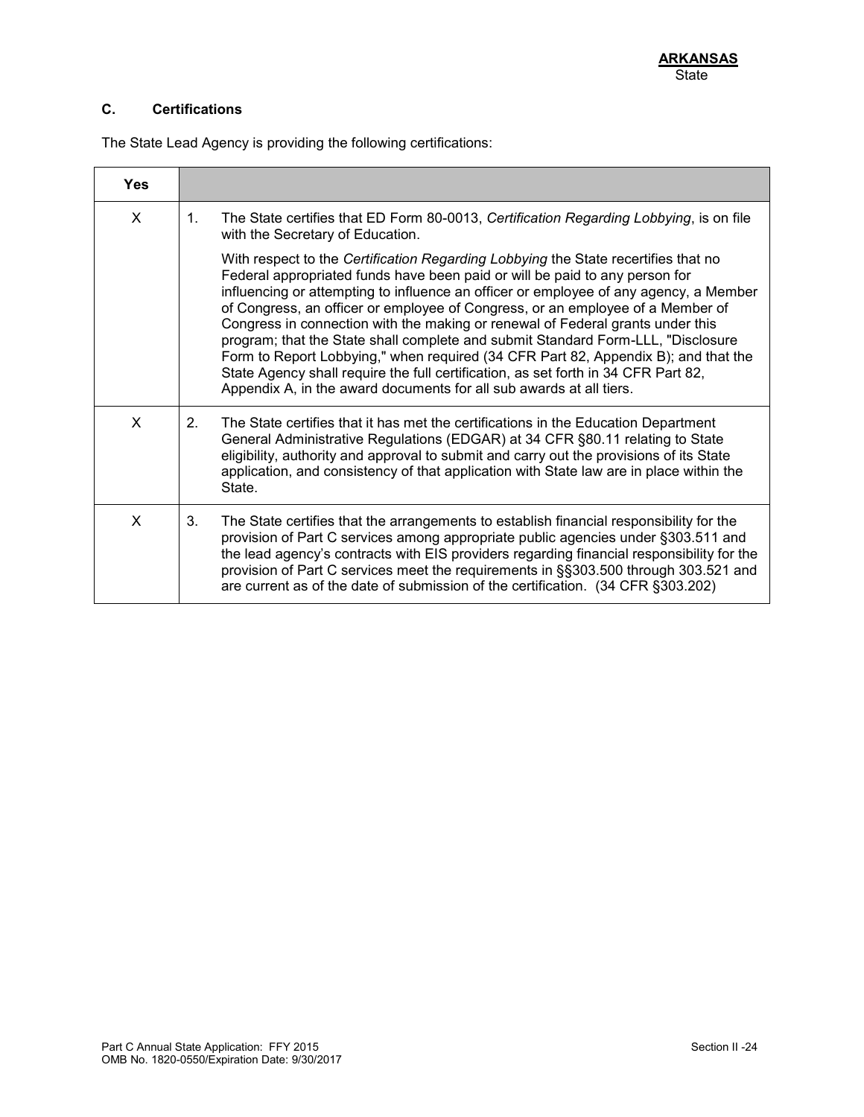# **C. Certifications**

The State Lead Agency is providing the following certifications:

| <b>Yes</b> |                                                                                                                                                                                                                                                                                                                                                                                                                                                                                                                                                                                                                                                                                                                                                                       |
|------------|-----------------------------------------------------------------------------------------------------------------------------------------------------------------------------------------------------------------------------------------------------------------------------------------------------------------------------------------------------------------------------------------------------------------------------------------------------------------------------------------------------------------------------------------------------------------------------------------------------------------------------------------------------------------------------------------------------------------------------------------------------------------------|
| X          | The State certifies that ED Form 80-0013, Certification Regarding Lobbying, is on file<br>$1_{-}$<br>with the Secretary of Education.                                                                                                                                                                                                                                                                                                                                                                                                                                                                                                                                                                                                                                 |
|            | With respect to the Certification Regarding Lobbying the State recertifies that no<br>Federal appropriated funds have been paid or will be paid to any person for<br>influencing or attempting to influence an officer or employee of any agency, a Member<br>of Congress, an officer or employee of Congress, or an employee of a Member of<br>Congress in connection with the making or renewal of Federal grants under this<br>program; that the State shall complete and submit Standard Form-LLL, "Disclosure<br>Form to Report Lobbying," when required (34 CFR Part 82, Appendix B); and that the<br>State Agency shall require the full certification, as set forth in 34 CFR Part 82,<br>Appendix A, in the award documents for all sub awards at all tiers. |
| X          | The State certifies that it has met the certifications in the Education Department<br>2 <sup>1</sup><br>General Administrative Regulations (EDGAR) at 34 CFR §80.11 relating to State<br>eligibility, authority and approval to submit and carry out the provisions of its State<br>application, and consistency of that application with State law are in place within the<br>State.                                                                                                                                                                                                                                                                                                                                                                                 |
| X          | 3.<br>The State certifies that the arrangements to establish financial responsibility for the<br>provision of Part C services among appropriate public agencies under §303.511 and<br>the lead agency's contracts with EIS providers regarding financial responsibility for the<br>provision of Part C services meet the requirements in §§303.500 through 303.521 and<br>are current as of the date of submission of the certification. (34 CFR §303.202)                                                                                                                                                                                                                                                                                                            |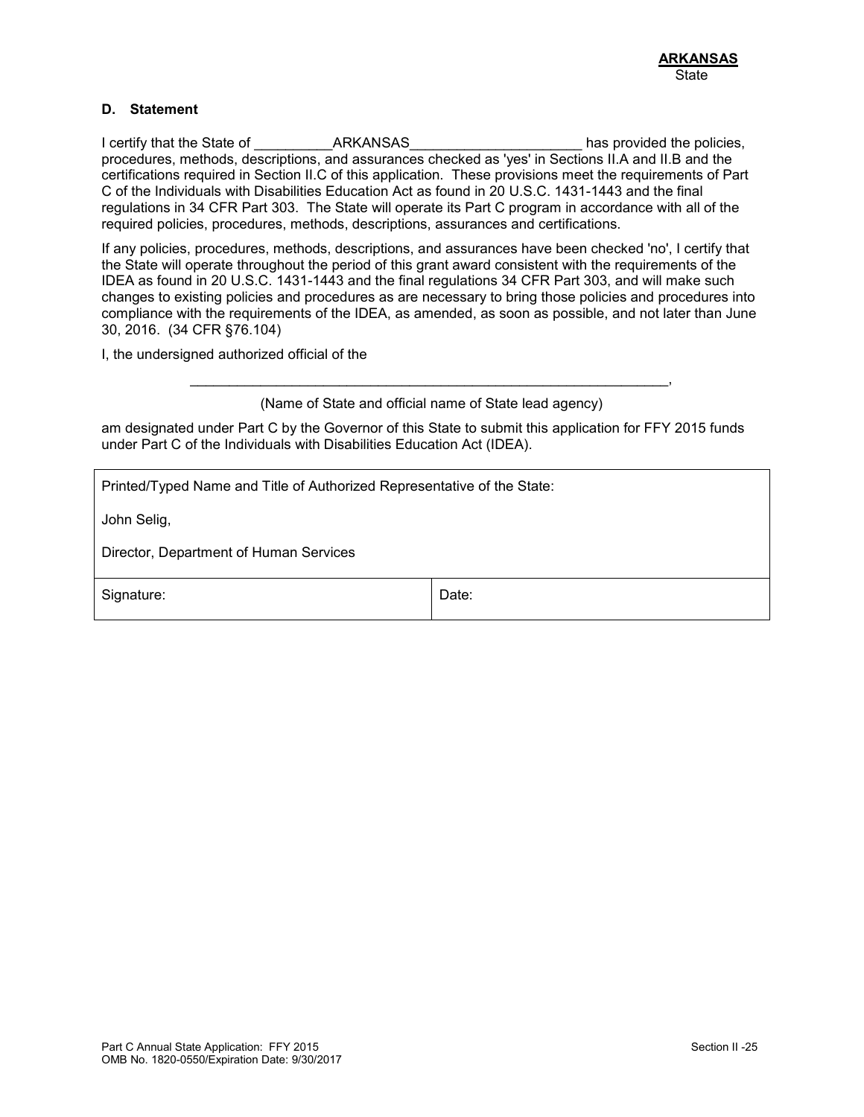### **D. Statement**

I certify that the State of The State of ARKANSAS The State of the policies, procedures, methods, descriptions, and assurances checked as 'yes' in Sections II.A and II.B and the certifications required in Section II.C of this application. These provisions meet the requirements of Part C of the Individuals with Disabilities Education Act as found in 20 U.S.C. 1431-1443 and the final regulations in 34 CFR Part 303. The State will operate its Part C program in accordance with all of the required policies, procedures, methods, descriptions, assurances and certifications.

If any policies, procedures, methods, descriptions, and assurances have been checked 'no', I certify that the State will operate throughout the period of this grant award consistent with the requirements of the IDEA as found in 20 U.S.C. 1431-1443 and the final regulations 34 CFR Part 303, and will make such changes to existing policies and procedures as are necessary to bring those policies and procedures into compliance with the requirements of the IDEA, as amended, as soon as possible, and not later than June 30, 2016. (34 CFR §76.104)

I, the undersigned authorized official of the

\_\_\_\_\_\_\_\_\_\_\_\_\_\_\_\_\_\_\_\_\_\_\_\_\_\_\_\_\_\_\_\_\_\_\_\_\_\_\_\_\_\_\_\_\_\_\_\_\_\_\_\_\_\_\_\_\_\_\_\_\_, (Name of State and official name of State lead agency)

am designated under Part C by the Governor of this State to submit this application for FFY 2015 funds under Part C of the Individuals with Disabilities Education Act (IDEA).

Printed/Typed Name and Title of Authorized Representative of the State:

John Selig,

Director, Department of Human Services

Signature:  $\vert$  Date: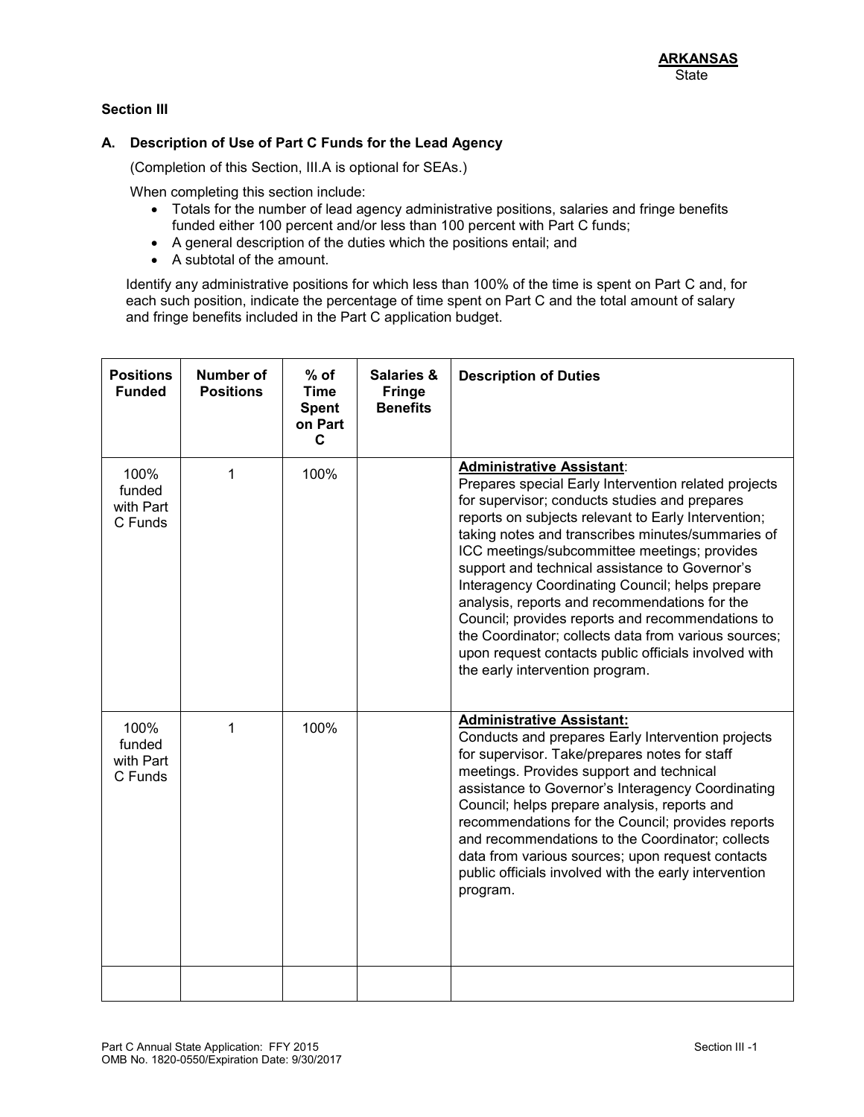# **Section III**

### **A. Description of Use of Part C Funds for the Lead Agency**

(Completion of this Section, III.A is optional for SEAs.)

When completing this section include:

- Totals for the number of lead agency administrative positions, salaries and fringe benefits funded either 100 percent and/or less than 100 percent with Part C funds;
- A general description of the duties which the positions entail; and
- A subtotal of the amount.

Identify any administrative positions for which less than 100% of the time is spent on Part C and, for each such position, indicate the percentage of time spent on Part C and the total amount of salary and fringe benefits included in the Part C application budget.

| <b>Positions</b><br><b>Funded</b>      | <b>Number of</b><br><b>Positions</b> | $%$ of<br><b>Time</b><br><b>Spent</b><br>on Part<br>C | <b>Salaries &amp;</b><br><b>Fringe</b><br><b>Benefits</b> | <b>Description of Duties</b>                                                                                                                                                                                                                                                                                                                                                                                                                                                                                                                                                                                                                                       |
|----------------------------------------|--------------------------------------|-------------------------------------------------------|-----------------------------------------------------------|--------------------------------------------------------------------------------------------------------------------------------------------------------------------------------------------------------------------------------------------------------------------------------------------------------------------------------------------------------------------------------------------------------------------------------------------------------------------------------------------------------------------------------------------------------------------------------------------------------------------------------------------------------------------|
| 100%<br>funded<br>with Part<br>C Funds | 1                                    | 100%                                                  |                                                           | <b>Administrative Assistant:</b><br>Prepares special Early Intervention related projects<br>for supervisor; conducts studies and prepares<br>reports on subjects relevant to Early Intervention;<br>taking notes and transcribes minutes/summaries of<br>ICC meetings/subcommittee meetings; provides<br>support and technical assistance to Governor's<br>Interagency Coordinating Council; helps prepare<br>analysis, reports and recommendations for the<br>Council; provides reports and recommendations to<br>the Coordinator; collects data from various sources;<br>upon request contacts public officials involved with<br>the early intervention program. |
| 100%<br>funded<br>with Part<br>C Funds | 1                                    | 100%                                                  |                                                           | <b>Administrative Assistant:</b><br>Conducts and prepares Early Intervention projects<br>for supervisor. Take/prepares notes for staff<br>meetings. Provides support and technical<br>assistance to Governor's Interagency Coordinating<br>Council; helps prepare analysis, reports and<br>recommendations for the Council; provides reports<br>and recommendations to the Coordinator; collects<br>data from various sources; upon request contacts<br>public officials involved with the early intervention<br>program.                                                                                                                                          |
|                                        |                                      |                                                       |                                                           |                                                                                                                                                                                                                                                                                                                                                                                                                                                                                                                                                                                                                                                                    |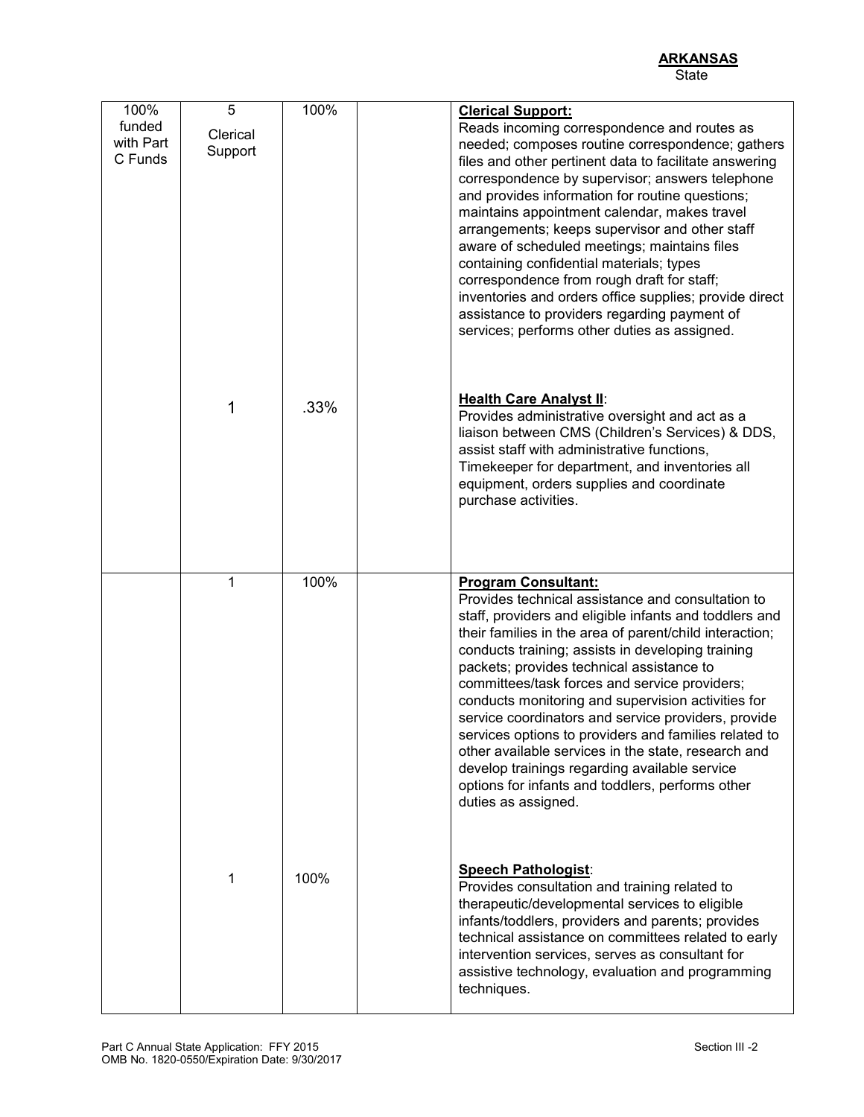| 100%<br>funded<br>with Part<br>C Funds | 5<br>Clerical<br>Support | 100% | <b>Clerical Support:</b><br>Reads incoming correspondence and routes as<br>needed; composes routine correspondence; gathers<br>files and other pertinent data to facilitate answering<br>correspondence by supervisor; answers telephone<br>and provides information for routine questions;<br>maintains appointment calendar, makes travel<br>arrangements; keeps supervisor and other staff<br>aware of scheduled meetings; maintains files<br>containing confidential materials; types<br>correspondence from rough draft for staff;<br>inventories and orders office supplies; provide direct<br>assistance to providers regarding payment of<br>services; performs other duties as assigned.                |
|----------------------------------------|--------------------------|------|------------------------------------------------------------------------------------------------------------------------------------------------------------------------------------------------------------------------------------------------------------------------------------------------------------------------------------------------------------------------------------------------------------------------------------------------------------------------------------------------------------------------------------------------------------------------------------------------------------------------------------------------------------------------------------------------------------------|
|                                        | 1                        | .33% | <b>Health Care Analyst II:</b><br>Provides administrative oversight and act as a<br>liaison between CMS (Children's Services) & DDS,<br>assist staff with administrative functions,<br>Timekeeper for department, and inventories all<br>equipment, orders supplies and coordinate<br>purchase activities.                                                                                                                                                                                                                                                                                                                                                                                                       |
|                                        | 1                        | 100% | <b>Program Consultant:</b><br>Provides technical assistance and consultation to<br>staff, providers and eligible infants and toddlers and<br>their families in the area of parent/child interaction;<br>conducts training; assists in developing training<br>packets; provides technical assistance to<br>committees/task forces and service providers;<br>conducts monitoring and supervision activities for<br>service coordinators and service providers, provide<br>services options to providers and families related to<br>other available services in the state, research and<br>develop trainings regarding available service<br>options for infants and toddlers, performs other<br>duties as assigned. |
|                                        | 1                        | 100% | <b>Speech Pathologist:</b><br>Provides consultation and training related to<br>therapeutic/developmental services to eligible<br>infants/toddlers, providers and parents; provides<br>technical assistance on committees related to early<br>intervention services, serves as consultant for<br>assistive technology, evaluation and programming<br>techniques.                                                                                                                                                                                                                                                                                                                                                  |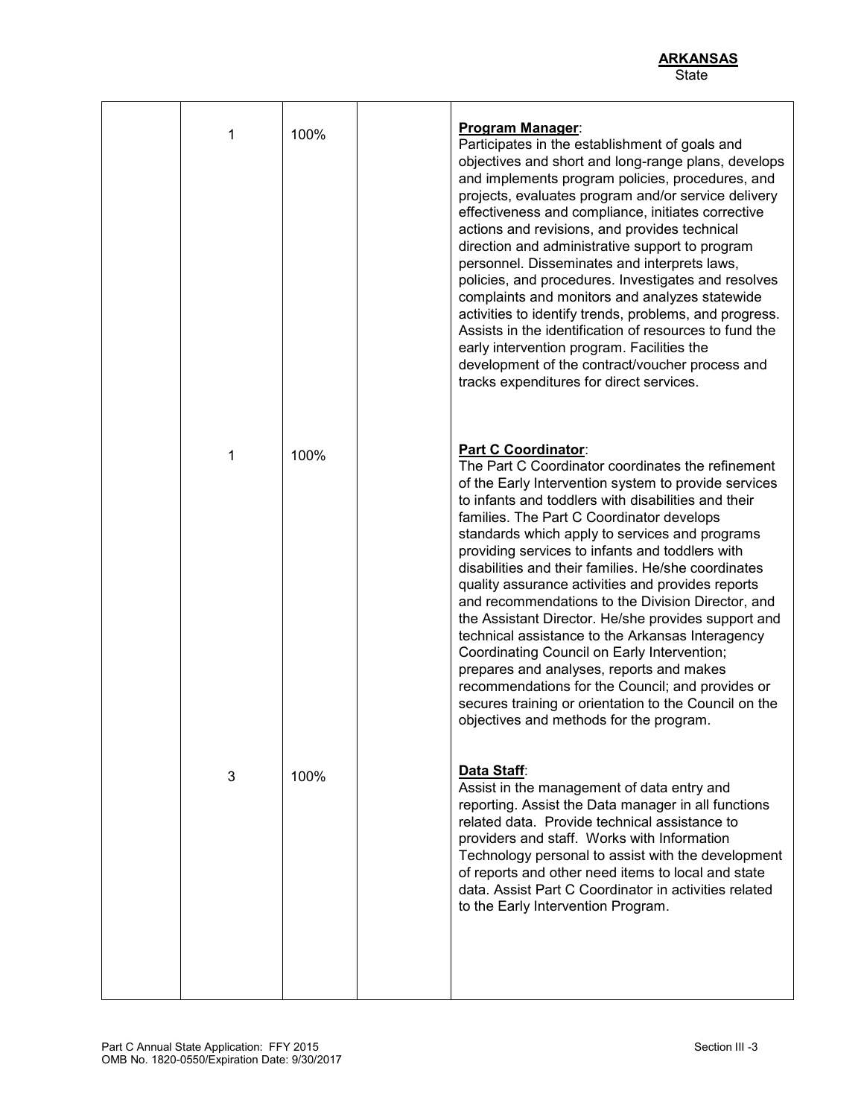| 1 | 100% | Program Manager:<br>Participates in the establishment of goals and<br>objectives and short and long-range plans, develops<br>and implements program policies, procedures, and<br>projects, evaluates program and/or service delivery<br>effectiveness and compliance, initiates corrective<br>actions and revisions, and provides technical<br>direction and administrative support to program<br>personnel. Disseminates and interprets laws,<br>policies, and procedures. Investigates and resolves<br>complaints and monitors and analyzes statewide<br>activities to identify trends, problems, and progress.<br>Assists in the identification of resources to fund the<br>early intervention program. Facilities the<br>development of the contract/voucher process and<br>tracks expenditures for direct services.                                                 |
|---|------|--------------------------------------------------------------------------------------------------------------------------------------------------------------------------------------------------------------------------------------------------------------------------------------------------------------------------------------------------------------------------------------------------------------------------------------------------------------------------------------------------------------------------------------------------------------------------------------------------------------------------------------------------------------------------------------------------------------------------------------------------------------------------------------------------------------------------------------------------------------------------|
| 1 | 100% | Part C Coordinator:<br>The Part C Coordinator coordinates the refinement<br>of the Early Intervention system to provide services<br>to infants and toddlers with disabilities and their<br>families. The Part C Coordinator develops<br>standards which apply to services and programs<br>providing services to infants and toddlers with<br>disabilities and their families. He/she coordinates<br>quality assurance activities and provides reports<br>and recommendations to the Division Director, and<br>the Assistant Director. He/she provides support and<br>technical assistance to the Arkansas Interagency<br>Coordinating Council on Early Intervention;<br>prepares and analyses, reports and makes<br>recommendations for the Council; and provides or<br>secures training or orientation to the Council on the<br>objectives and methods for the program. |
| 3 | 100% | Data Staff:<br>Assist in the management of data entry and<br>reporting. Assist the Data manager in all functions<br>related data. Provide technical assistance to<br>providers and staff. Works with Information<br>Technology personal to assist with the development<br>of reports and other need items to local and state<br>data. Assist Part C Coordinator in activities related<br>to the Early Intervention Program.                                                                                                                                                                                                                                                                                                                                                                                                                                              |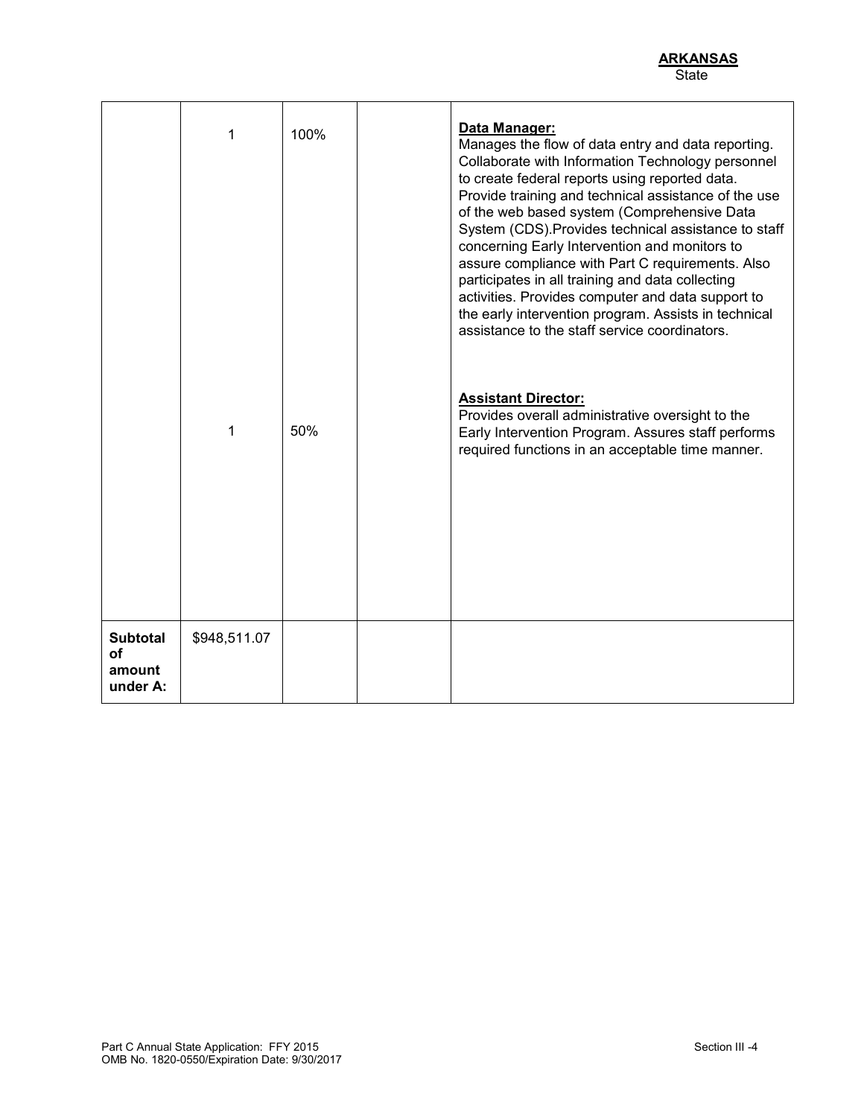|                                             | 1<br>1       | 100%<br>50% | Data Manager:<br>Manages the flow of data entry and data reporting.<br>Collaborate with Information Technology personnel<br>to create federal reports using reported data.<br>Provide training and technical assistance of the use<br>of the web based system (Comprehensive Data<br>System (CDS). Provides technical assistance to staff<br>concerning Early Intervention and monitors to<br>assure compliance with Part C requirements. Also<br>participates in all training and data collecting<br>activities. Provides computer and data support to<br>the early intervention program. Assists in technical<br>assistance to the staff service coordinators.<br><b>Assistant Director:</b><br>Provides overall administrative oversight to the<br>Early Intervention Program. Assures staff performs<br>required functions in an acceptable time manner. |
|---------------------------------------------|--------------|-------------|--------------------------------------------------------------------------------------------------------------------------------------------------------------------------------------------------------------------------------------------------------------------------------------------------------------------------------------------------------------------------------------------------------------------------------------------------------------------------------------------------------------------------------------------------------------------------------------------------------------------------------------------------------------------------------------------------------------------------------------------------------------------------------------------------------------------------------------------------------------|
| <b>Subtotal</b><br>οf<br>amount<br>under A: | \$948,511.07 |             |                                                                                                                                                                                                                                                                                                                                                                                                                                                                                                                                                                                                                                                                                                                                                                                                                                                              |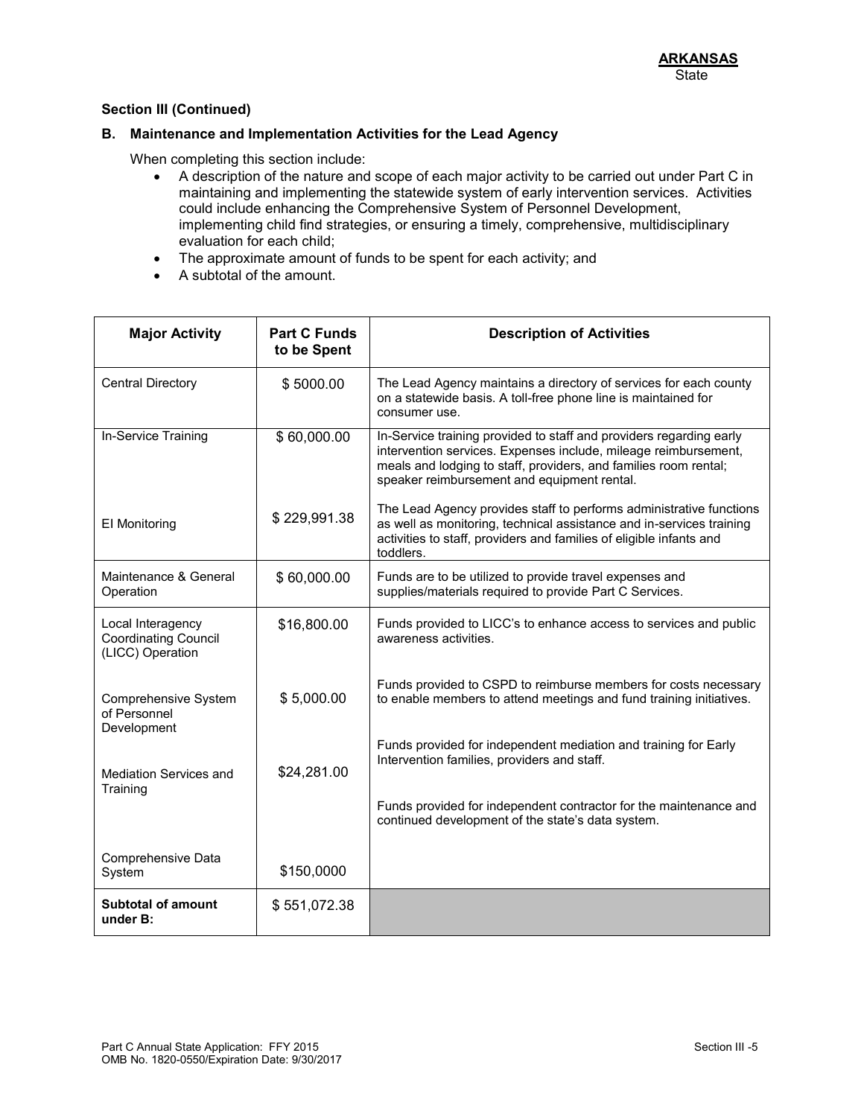### **B. Maintenance and Implementation Activities for the Lead Agency**

When completing this section include:

- A description of the nature and scope of each major activity to be carried out under Part C in maintaining and implementing the statewide system of early intervention services. Activities could include enhancing the Comprehensive System of Personnel Development, implementing child find strategies, or ensuring a timely, comprehensive, multidisciplinary evaluation for each child;
- The approximate amount of funds to be spent for each activity; and
- A subtotal of the amount.

| <b>Major Activity</b>                                                | <b>Part C Funds</b><br>to be Spent | <b>Description of Activities</b>                                                                                                                                                                                                                          |
|----------------------------------------------------------------------|------------------------------------|-----------------------------------------------------------------------------------------------------------------------------------------------------------------------------------------------------------------------------------------------------------|
| <b>Central Directory</b>                                             | \$5000.00                          | The Lead Agency maintains a directory of services for each county<br>on a statewide basis. A toll-free phone line is maintained for<br>consumer use.                                                                                                      |
| In-Service Training                                                  | \$60,000.00                        | In-Service training provided to staff and providers regarding early<br>intervention services. Expenses include, mileage reimbursement,<br>meals and lodging to staff, providers, and families room rental;<br>speaker reimbursement and equipment rental. |
| El Monitoring                                                        | \$229,991.38                       | The Lead Agency provides staff to performs administrative functions<br>as well as monitoring, technical assistance and in-services training<br>activities to staff, providers and families of eligible infants and<br>toddlers.                           |
| Maintenance & General<br>Operation                                   | \$60,000.00                        | Funds are to be utilized to provide travel expenses and<br>supplies/materials required to provide Part C Services.                                                                                                                                        |
| Local Interagency<br><b>Coordinating Council</b><br>(LICC) Operation | \$16,800.00                        | Funds provided to LICC's to enhance access to services and public<br>awareness activities.                                                                                                                                                                |
| Comprehensive System<br>of Personnel<br>Development                  | \$5,000.00                         | Funds provided to CSPD to reimburse members for costs necessary<br>to enable members to attend meetings and fund training initiatives.                                                                                                                    |
| <b>Mediation Services and</b><br>Training                            | \$24,281.00                        | Funds provided for independent mediation and training for Early<br>Intervention families, providers and staff.                                                                                                                                            |
|                                                                      |                                    | Funds provided for independent contractor for the maintenance and<br>continued development of the state's data system.                                                                                                                                    |
| Comprehensive Data<br>System                                         | \$150,0000                         |                                                                                                                                                                                                                                                           |
| <b>Subtotal of amount</b><br>under B:                                | \$551,072.38                       |                                                                                                                                                                                                                                                           |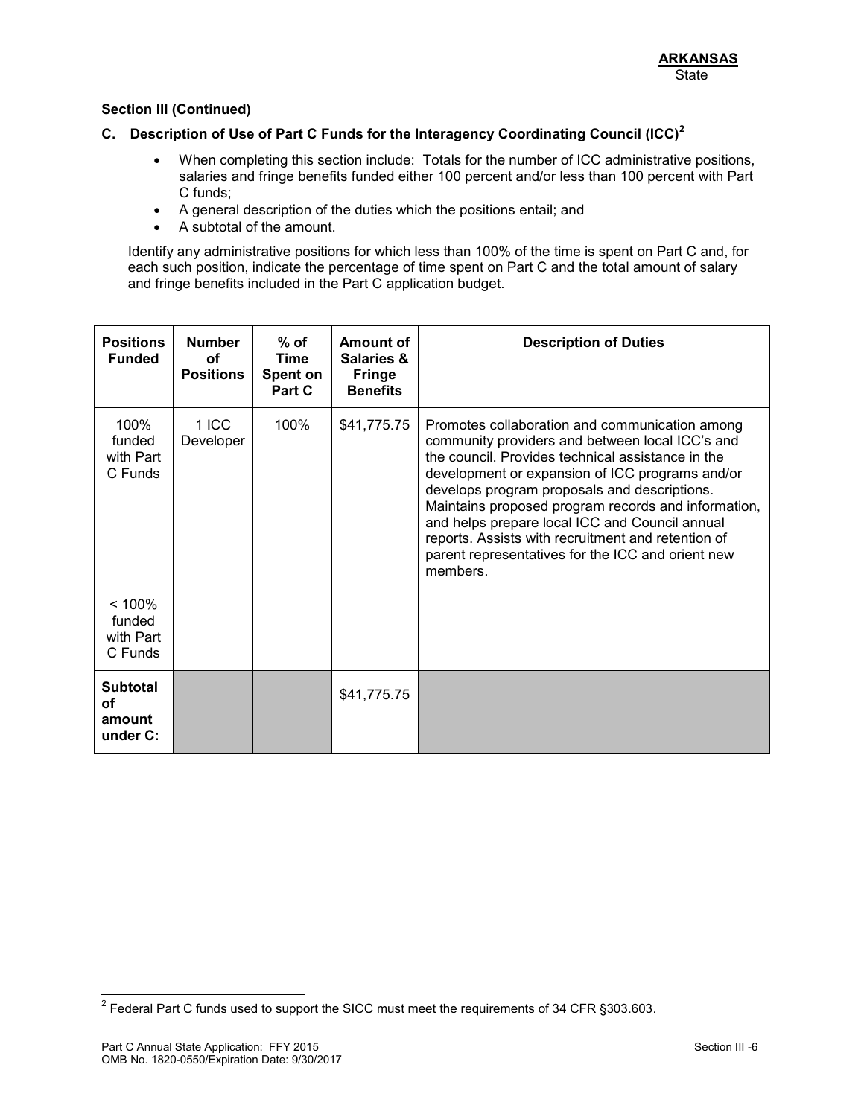# **C. Description of Use of Part C Funds for the Interagency Coordinating Council (ICC)<sup>2</sup>**

- When completing this section include: Totals for the number of ICC administrative positions, salaries and fringe benefits funded either 100 percent and/or less than 100 percent with Part C funds;
- A general description of the duties which the positions entail; and
- A subtotal of the amount.

Identify any administrative positions for which less than 100% of the time is spent on Part C and, for each such position, indicate the percentage of time spent on Part C and the total amount of salary and fringe benefits included in the Part C application budget.

| <b>Positions</b><br><b>Funded</b>           | <b>Number</b><br>οf<br><b>Positions</b> | $%$ of<br>Time<br>Spent on<br>Part C | Amount of<br><b>Salaries &amp;</b><br><b>Fringe</b><br><b>Benefits</b> | <b>Description of Duties</b>                                                                                                                                                                                                                                                                                                                                                                                                                                                              |
|---------------------------------------------|-----------------------------------------|--------------------------------------|------------------------------------------------------------------------|-------------------------------------------------------------------------------------------------------------------------------------------------------------------------------------------------------------------------------------------------------------------------------------------------------------------------------------------------------------------------------------------------------------------------------------------------------------------------------------------|
| 100%<br>funded<br>with Part<br>C Funds      | 1 ICC<br>Developer                      | 100%                                 | \$41,775.75                                                            | Promotes collaboration and communication among<br>community providers and between local ICC's and<br>the council. Provides technical assistance in the<br>development or expansion of ICC programs and/or<br>develops program proposals and descriptions.<br>Maintains proposed program records and information,<br>and helps prepare local ICC and Council annual<br>reports. Assists with recruitment and retention of<br>parent representatives for the ICC and orient new<br>members. |
| < 100%<br>funded<br>with Part<br>C Funds    |                                         |                                      |                                                                        |                                                                                                                                                                                                                                                                                                                                                                                                                                                                                           |
| <b>Subtotal</b><br>Οf<br>amount<br>under C: |                                         |                                      | \$41,775.75                                                            |                                                                                                                                                                                                                                                                                                                                                                                                                                                                                           |

 2 Federal Part C funds used to support the SICC must meet the requirements of 34 CFR §303.603.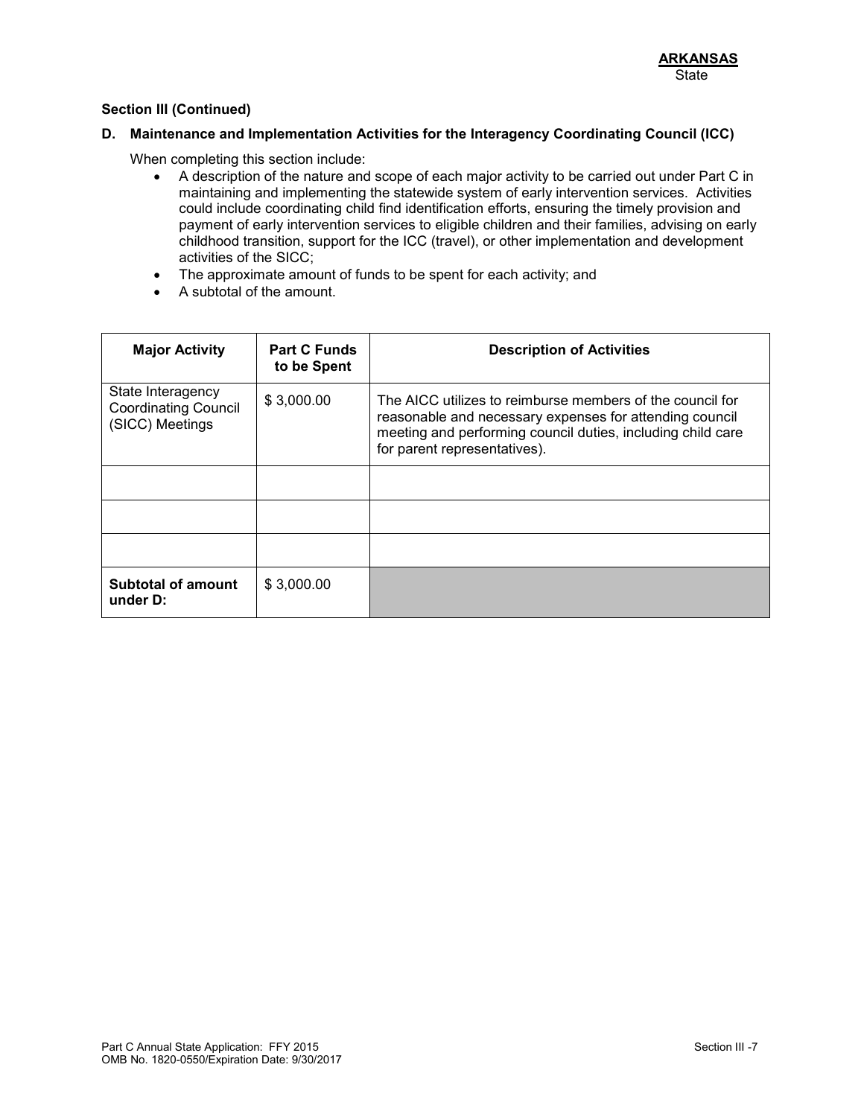## **D. Maintenance and Implementation Activities for the Interagency Coordinating Council (ICC)**

When completing this section include:

- A description of the nature and scope of each major activity to be carried out under Part C in maintaining and implementing the statewide system of early intervention services. Activities could include coordinating child find identification efforts, ensuring the timely provision and payment of early intervention services to eligible children and their families, advising on early childhood transition, support for the ICC (travel), or other implementation and development activities of the SICC;
- The approximate amount of funds to be spent for each activity; and
- A subtotal of the amount.

| <b>Major Activity</b>                                               | <b>Part C Funds</b><br>to be Spent | <b>Description of Activities</b>                                                                                                                                                                                    |
|---------------------------------------------------------------------|------------------------------------|---------------------------------------------------------------------------------------------------------------------------------------------------------------------------------------------------------------------|
| State Interagency<br><b>Coordinating Council</b><br>(SICC) Meetings | \$3,000.00                         | The AICC utilizes to reimburse members of the council for<br>reasonable and necessary expenses for attending council<br>meeting and performing council duties, including child care<br>for parent representatives). |
|                                                                     |                                    |                                                                                                                                                                                                                     |
|                                                                     |                                    |                                                                                                                                                                                                                     |
|                                                                     |                                    |                                                                                                                                                                                                                     |
| <b>Subtotal of amount</b><br>under D:                               | \$3,000.00                         |                                                                                                                                                                                                                     |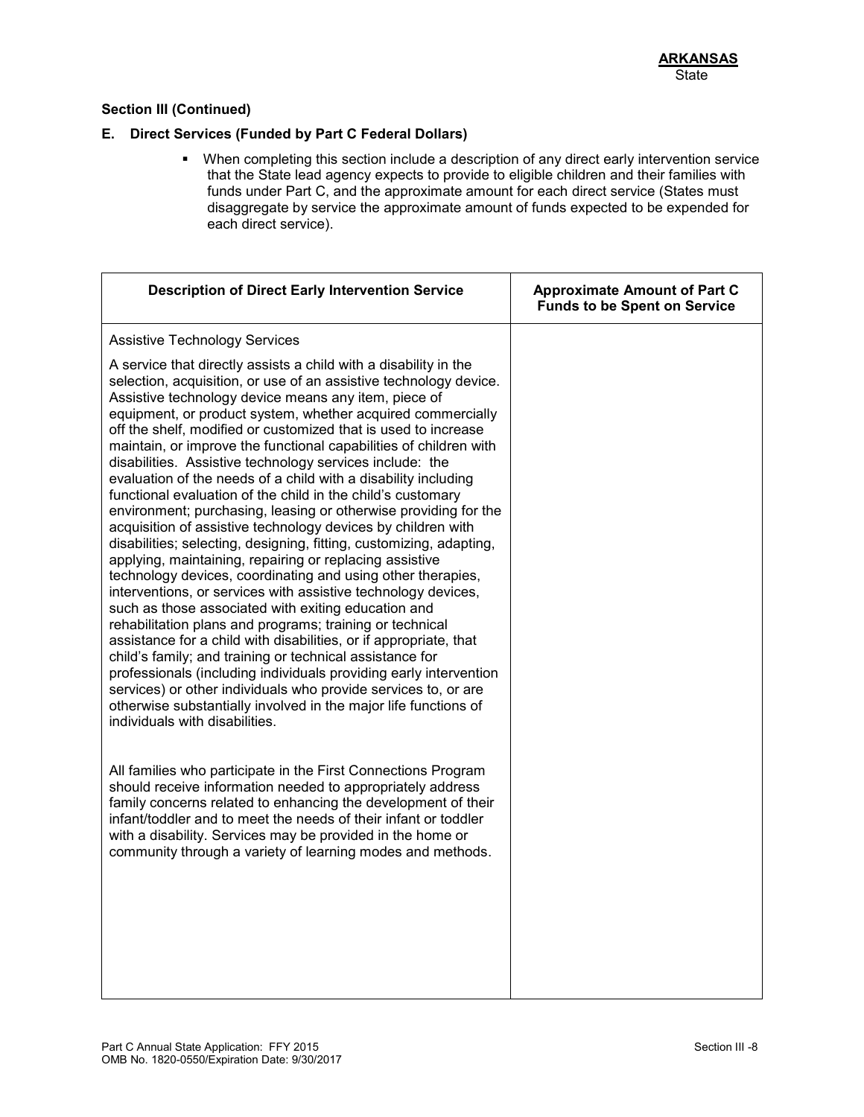### **E. Direct Services (Funded by Part C Federal Dollars)**

 When completing this section include a description of any direct early intervention service that the State lead agency expects to provide to eligible children and their families with funds under Part C, and the approximate amount for each direct service (States must disaggregate by service the approximate amount of funds expected to be expended for each direct service).

| <b>Description of Direct Early Intervention Service</b>                                                                                                                                                                                                                                                                                                                                                                                                                                                                                                                                                                                                                                                                                                                                                                                                                                                                                                                                                                                                                                                                                                                                                                                                                                                                                                                                                                                                                                               | <b>Approximate Amount of Part C</b><br><b>Funds to be Spent on Service</b> |
|-------------------------------------------------------------------------------------------------------------------------------------------------------------------------------------------------------------------------------------------------------------------------------------------------------------------------------------------------------------------------------------------------------------------------------------------------------------------------------------------------------------------------------------------------------------------------------------------------------------------------------------------------------------------------------------------------------------------------------------------------------------------------------------------------------------------------------------------------------------------------------------------------------------------------------------------------------------------------------------------------------------------------------------------------------------------------------------------------------------------------------------------------------------------------------------------------------------------------------------------------------------------------------------------------------------------------------------------------------------------------------------------------------------------------------------------------------------------------------------------------------|----------------------------------------------------------------------------|
| <b>Assistive Technology Services</b>                                                                                                                                                                                                                                                                                                                                                                                                                                                                                                                                                                                                                                                                                                                                                                                                                                                                                                                                                                                                                                                                                                                                                                                                                                                                                                                                                                                                                                                                  |                                                                            |
| A service that directly assists a child with a disability in the<br>selection, acquisition, or use of an assistive technology device.<br>Assistive technology device means any item, piece of<br>equipment, or product system, whether acquired commercially<br>off the shelf, modified or customized that is used to increase<br>maintain, or improve the functional capabilities of children with<br>disabilities. Assistive technology services include: the<br>evaluation of the needs of a child with a disability including<br>functional evaluation of the child in the child's customary<br>environment; purchasing, leasing or otherwise providing for the<br>acquisition of assistive technology devices by children with<br>disabilities; selecting, designing, fitting, customizing, adapting,<br>applying, maintaining, repairing or replacing assistive<br>technology devices, coordinating and using other therapies,<br>interventions, or services with assistive technology devices,<br>such as those associated with exiting education and<br>rehabilitation plans and programs; training or technical<br>assistance for a child with disabilities, or if appropriate, that<br>child's family; and training or technical assistance for<br>professionals (including individuals providing early intervention<br>services) or other individuals who provide services to, or are<br>otherwise substantially involved in the major life functions of<br>individuals with disabilities. |                                                                            |
| All families who participate in the First Connections Program<br>should receive information needed to appropriately address<br>family concerns related to enhancing the development of their<br>infant/toddler and to meet the needs of their infant or toddler<br>with a disability. Services may be provided in the home or<br>community through a variety of learning modes and methods.                                                                                                                                                                                                                                                                                                                                                                                                                                                                                                                                                                                                                                                                                                                                                                                                                                                                                                                                                                                                                                                                                                           |                                                                            |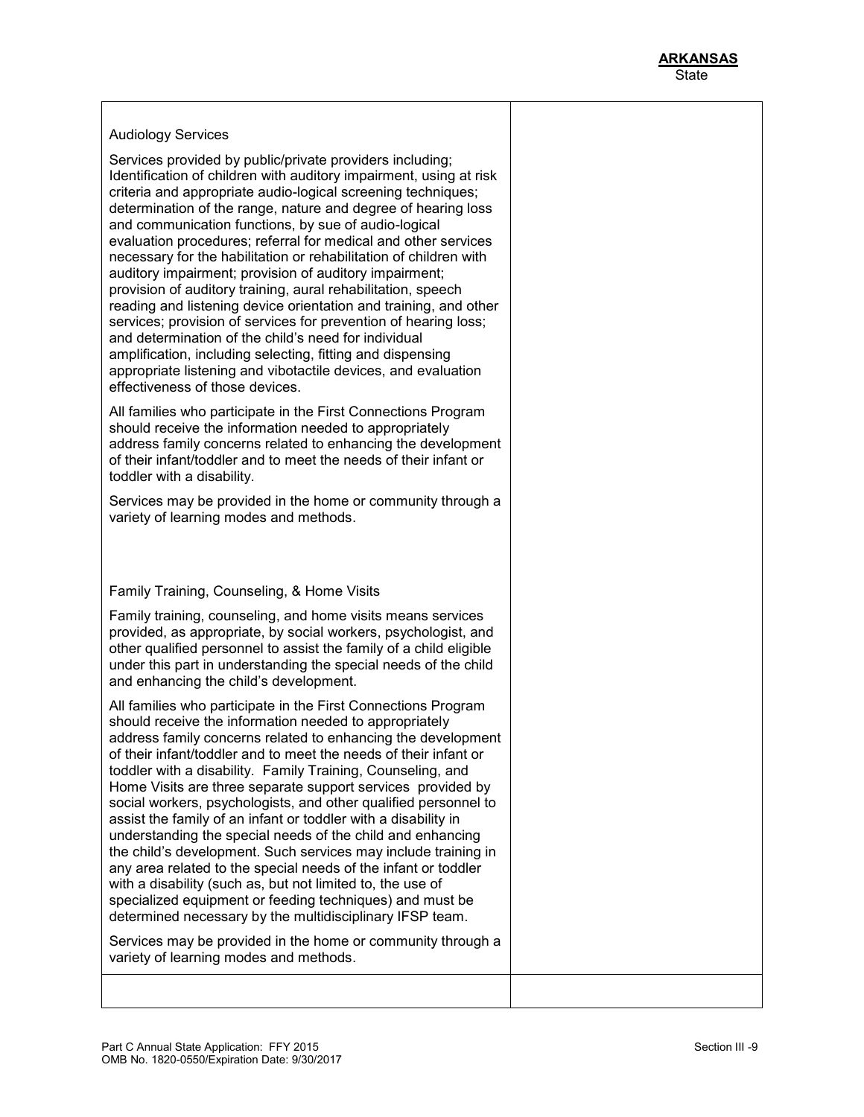|  | <b>Audiology Services</b> |  |
|--|---------------------------|--|
|  |                           |  |

Services provided by public/private providers including; Identification of children with auditory impairment, using at risk criteria and appropriate audio-logical screening techniques; determination of the range, nature and degree of hearing loss and communication functions, by sue of audio-logical evaluation procedures; referral for medical and other services necessary for the habilitation or rehabilitation of children with auditory impairment; provision of auditory impairment; provision of auditory training, aural rehabilitation, speech reading and listening device orientation and training, and other services; provision of services for prevention of hearing loss; and determination of the child's need for individual amplification, including selecting, fitting and dispensing appropriate listening and vibotactile devices, and evaluation effectiveness of those devices.

All families who participate in the First Connections Program should receive the information needed to appropriately address family concerns related to enhancing the development of their infant/toddler and to meet the needs of their infant or toddler with a disability.

Services may be provided in the home or community through a variety of learning modes and methods.

## Family Training, Counseling, & Home Visits

Family training, counseling, and home visits means services provided, as appropriate, by social workers, psychologist, and other qualified personnel to assist the family of a child eligible under this part in understanding the special needs of the child and enhancing the child's development.

All families who participate in the First Connections Program should receive the information needed to appropriately address family concerns related to enhancing the development of their infant/toddler and to meet the needs of their infant or toddler with a disability. Family Training, Counseling, and Home Visits are three separate support services provided by social workers, psychologists, and other qualified personnel to assist the family of an infant or toddler with a disability in understanding the special needs of the child and enhancing the child's development. Such services may include training in any area related to the special needs of the infant or toddler with a disability (such as, but not limited to, the use of specialized equipment or feeding techniques) and must be determined necessary by the multidisciplinary IFSP team.

Services may be provided in the home or community through a variety of learning modes and methods.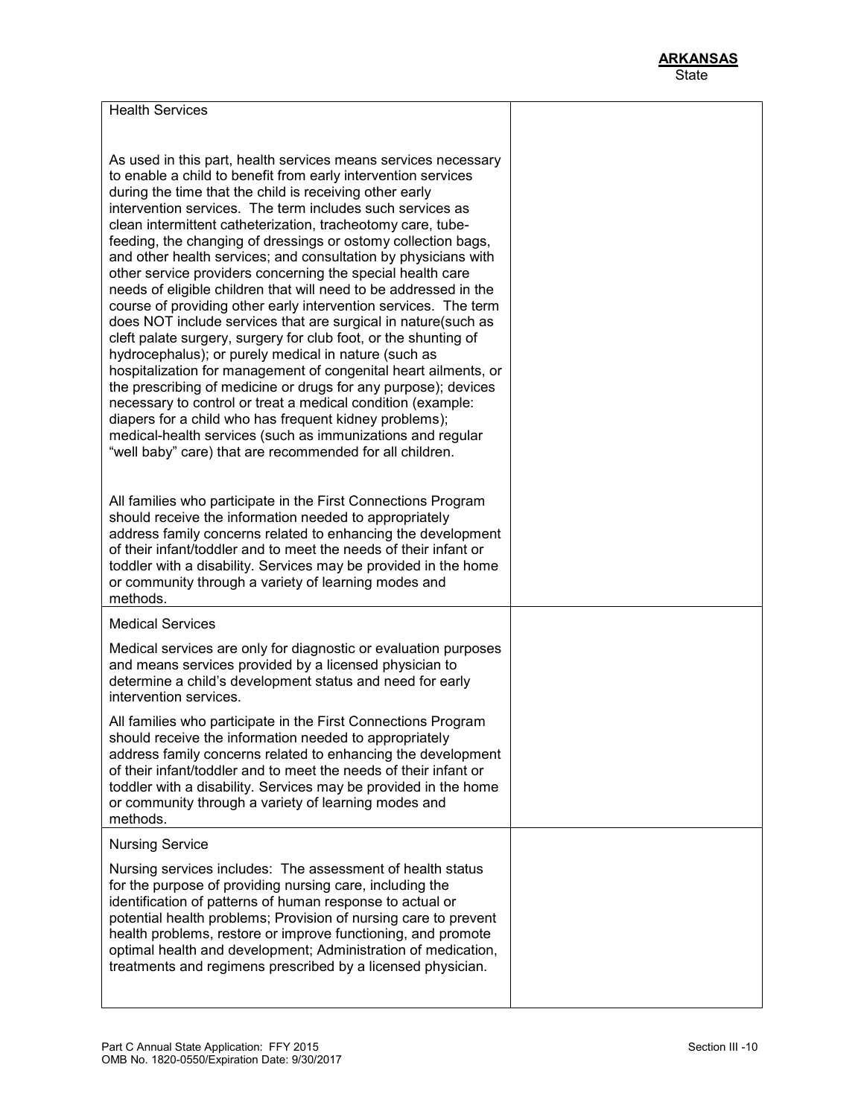| <b>Health Services</b>                                                                                                                                                                                                                                                                                                                                                                                                                                                                                                                                                                                                                                                                                                                                                                                                                                                                                                                                                                                                                                                                                                                                                                                                                             |  |
|----------------------------------------------------------------------------------------------------------------------------------------------------------------------------------------------------------------------------------------------------------------------------------------------------------------------------------------------------------------------------------------------------------------------------------------------------------------------------------------------------------------------------------------------------------------------------------------------------------------------------------------------------------------------------------------------------------------------------------------------------------------------------------------------------------------------------------------------------------------------------------------------------------------------------------------------------------------------------------------------------------------------------------------------------------------------------------------------------------------------------------------------------------------------------------------------------------------------------------------------------|--|
|                                                                                                                                                                                                                                                                                                                                                                                                                                                                                                                                                                                                                                                                                                                                                                                                                                                                                                                                                                                                                                                                                                                                                                                                                                                    |  |
| As used in this part, health services means services necessary<br>to enable a child to benefit from early intervention services<br>during the time that the child is receiving other early<br>intervention services. The term includes such services as<br>clean intermittent catheterization, tracheotomy care, tube-<br>feeding, the changing of dressings or ostomy collection bags,<br>and other health services; and consultation by physicians with<br>other service providers concerning the special health care<br>needs of eligible children that will need to be addressed in the<br>course of providing other early intervention services. The term<br>does NOT include services that are surgical in nature(such as<br>cleft palate surgery, surgery for club foot, or the shunting of<br>hydrocephalus); or purely medical in nature (such as<br>hospitalization for management of congenital heart ailments, or<br>the prescribing of medicine or drugs for any purpose); devices<br>necessary to control or treat a medical condition (example:<br>diapers for a child who has frequent kidney problems);<br>medical-health services (such as immunizations and regular<br>"well baby" care) that are recommended for all children. |  |
| All families who participate in the First Connections Program<br>should receive the information needed to appropriately<br>address family concerns related to enhancing the development<br>of their infant/toddler and to meet the needs of their infant or<br>toddler with a disability. Services may be provided in the home<br>or community through a variety of learning modes and<br>methods.                                                                                                                                                                                                                                                                                                                                                                                                                                                                                                                                                                                                                                                                                                                                                                                                                                                 |  |
| <b>Medical Services</b>                                                                                                                                                                                                                                                                                                                                                                                                                                                                                                                                                                                                                                                                                                                                                                                                                                                                                                                                                                                                                                                                                                                                                                                                                            |  |
| Medical services are only for diagnostic or evaluation purposes<br>and means services provided by a licensed physician to<br>determine a child's development status and need for early<br>intervention services.                                                                                                                                                                                                                                                                                                                                                                                                                                                                                                                                                                                                                                                                                                                                                                                                                                                                                                                                                                                                                                   |  |
| All families who participate in the First Connections Program<br>should receive the information needed to appropriately<br>address family concerns related to enhancing the development<br>of their infant/toddler and to meet the needs of their infant or<br>toddler with a disability. Services may be provided in the home<br>or community through a variety of learning modes and<br>methods.                                                                                                                                                                                                                                                                                                                                                                                                                                                                                                                                                                                                                                                                                                                                                                                                                                                 |  |
| <b>Nursing Service</b>                                                                                                                                                                                                                                                                                                                                                                                                                                                                                                                                                                                                                                                                                                                                                                                                                                                                                                                                                                                                                                                                                                                                                                                                                             |  |
| Nursing services includes: The assessment of health status<br>for the purpose of providing nursing care, including the<br>identification of patterns of human response to actual or<br>potential health problems; Provision of nursing care to prevent<br>health problems, restore or improve functioning, and promote<br>optimal health and development; Administration of medication,<br>treatments and regimens prescribed by a licensed physician.                                                                                                                                                                                                                                                                                                                                                                                                                                                                                                                                                                                                                                                                                                                                                                                             |  |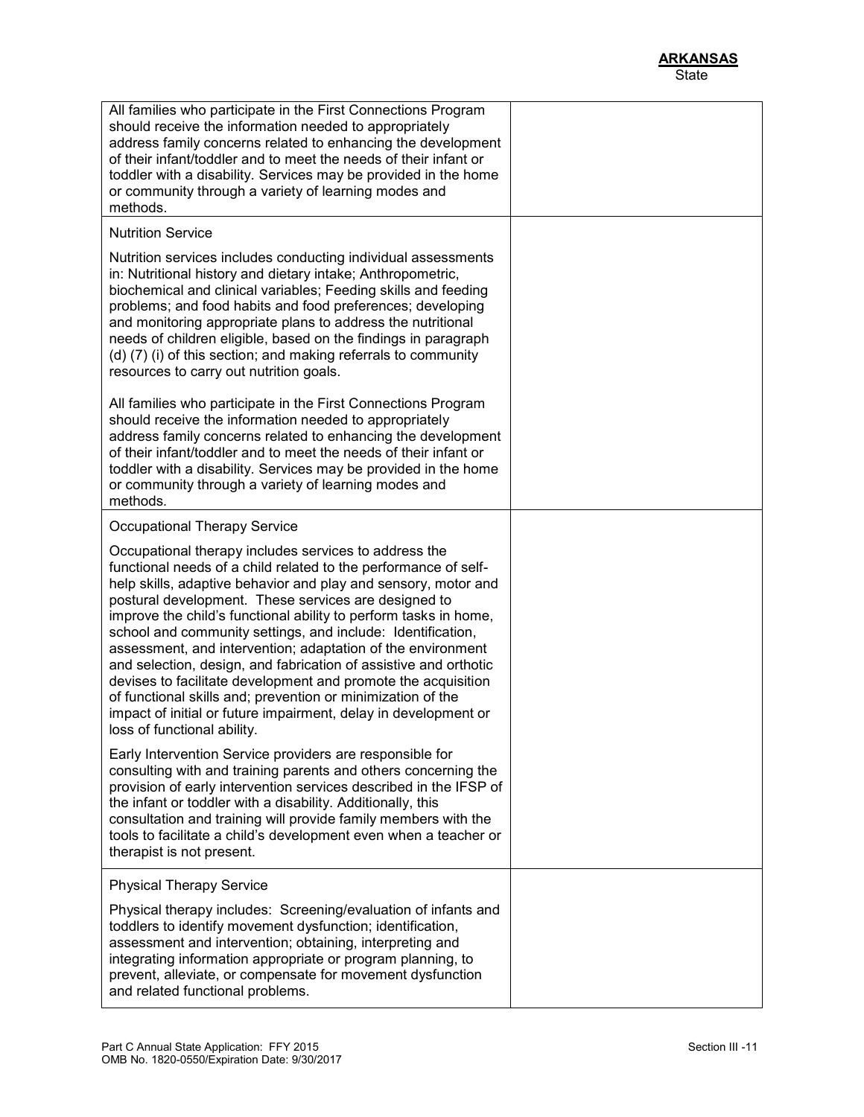| All families who participate in the First Connections Program<br>should receive the information needed to appropriately<br>address family concerns related to enhancing the development<br>of their infant/toddler and to meet the needs of their infant or<br>toddler with a disability. Services may be provided in the home<br>or community through a variety of learning modes and<br>methods.                                                                                                                                                                                                                                                                                                                                                         |  |
|------------------------------------------------------------------------------------------------------------------------------------------------------------------------------------------------------------------------------------------------------------------------------------------------------------------------------------------------------------------------------------------------------------------------------------------------------------------------------------------------------------------------------------------------------------------------------------------------------------------------------------------------------------------------------------------------------------------------------------------------------------|--|
| <b>Nutrition Service</b>                                                                                                                                                                                                                                                                                                                                                                                                                                                                                                                                                                                                                                                                                                                                   |  |
| Nutrition services includes conducting individual assessments<br>in: Nutritional history and dietary intake; Anthropometric,<br>biochemical and clinical variables; Feeding skills and feeding<br>problems; and food habits and food preferences; developing<br>and monitoring appropriate plans to address the nutritional<br>needs of children eligible, based on the findings in paragraph<br>(d) (7) (i) of this section; and making referrals to community<br>resources to carry out nutrition goals.                                                                                                                                                                                                                                                 |  |
| All families who participate in the First Connections Program<br>should receive the information needed to appropriately<br>address family concerns related to enhancing the development<br>of their infant/toddler and to meet the needs of their infant or<br>toddler with a disability. Services may be provided in the home<br>or community through a variety of learning modes and<br>methods.                                                                                                                                                                                                                                                                                                                                                         |  |
| <b>Occupational Therapy Service</b>                                                                                                                                                                                                                                                                                                                                                                                                                                                                                                                                                                                                                                                                                                                        |  |
| Occupational therapy includes services to address the<br>functional needs of a child related to the performance of self-<br>help skills, adaptive behavior and play and sensory, motor and<br>postural development. These services are designed to<br>improve the child's functional ability to perform tasks in home,<br>school and community settings, and include: Identification,<br>assessment, and intervention; adaptation of the environment<br>and selection, design, and fabrication of assistive and orthotic<br>devises to facilitate development and promote the acquisition<br>of functional skills and; prevention or minimization of the<br>impact of initial or future impairment, delay in development or<br>loss of functional ability. |  |
| Early Intervention Service providers are responsible for<br>consulting with and training parents and others concerning the<br>provision of early intervention services described in the IFSP of<br>the infant or toddler with a disability. Additionally, this<br>consultation and training will provide family members with the<br>tools to facilitate a child's development even when a teacher or<br>therapist is not present.                                                                                                                                                                                                                                                                                                                          |  |
| <b>Physical Therapy Service</b>                                                                                                                                                                                                                                                                                                                                                                                                                                                                                                                                                                                                                                                                                                                            |  |
| Physical therapy includes: Screening/evaluation of infants and<br>toddlers to identify movement dysfunction; identification,<br>assessment and intervention; obtaining, interpreting and<br>integrating information appropriate or program planning, to<br>prevent, alleviate, or compensate for movement dysfunction<br>and related functional problems.                                                                                                                                                                                                                                                                                                                                                                                                  |  |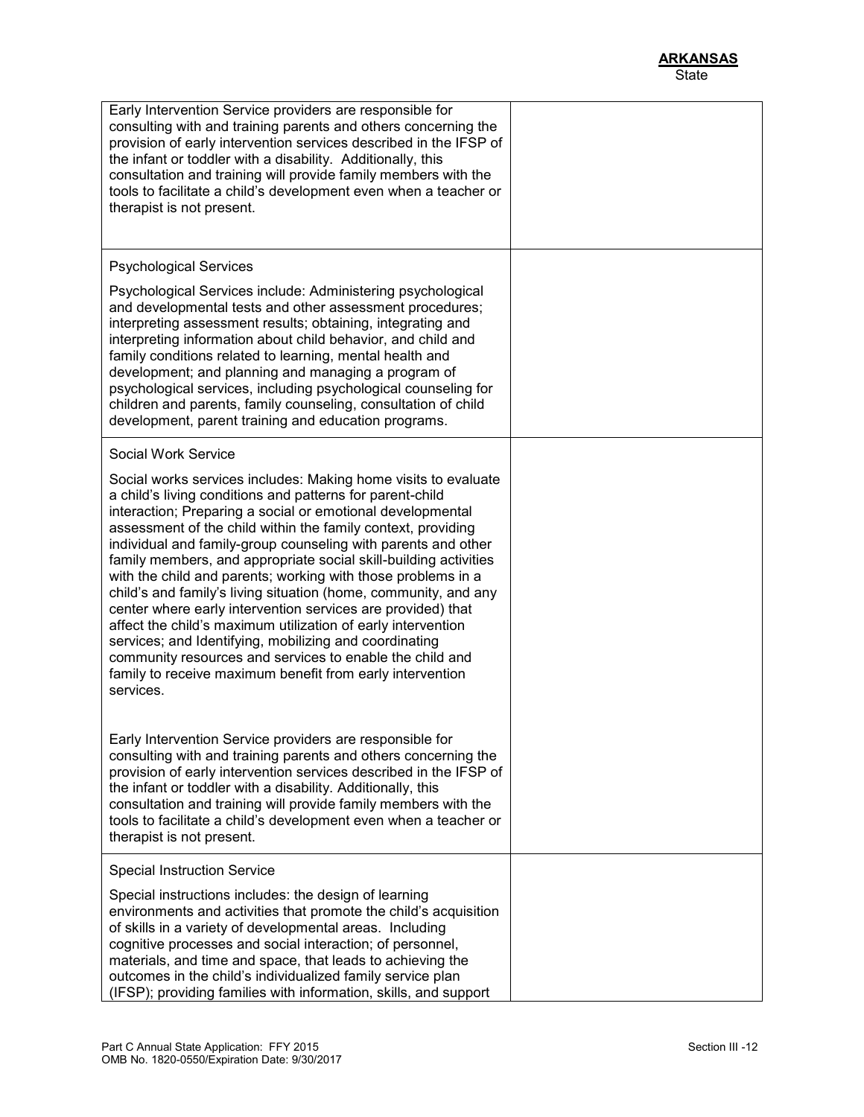| Early Intervention Service providers are responsible for<br>consulting with and training parents and others concerning the<br>provision of early intervention services described in the IFSP of<br>the infant or toddler with a disability. Additionally, this<br>consultation and training will provide family members with the<br>tools to facilitate a child's development even when a teacher or<br>therapist is not present.                                                                                                                                                                                                                                                                                                                                                                                                                                |  |
|------------------------------------------------------------------------------------------------------------------------------------------------------------------------------------------------------------------------------------------------------------------------------------------------------------------------------------------------------------------------------------------------------------------------------------------------------------------------------------------------------------------------------------------------------------------------------------------------------------------------------------------------------------------------------------------------------------------------------------------------------------------------------------------------------------------------------------------------------------------|--|
| <b>Psychological Services</b>                                                                                                                                                                                                                                                                                                                                                                                                                                                                                                                                                                                                                                                                                                                                                                                                                                    |  |
| Psychological Services include: Administering psychological<br>and developmental tests and other assessment procedures;<br>interpreting assessment results; obtaining, integrating and<br>interpreting information about child behavior, and child and<br>family conditions related to learning, mental health and<br>development; and planning and managing a program of<br>psychological services, including psychological counseling for<br>children and parents, family counseling, consultation of child<br>development, parent training and education programs.                                                                                                                                                                                                                                                                                            |  |
| Social Work Service                                                                                                                                                                                                                                                                                                                                                                                                                                                                                                                                                                                                                                                                                                                                                                                                                                              |  |
| Social works services includes: Making home visits to evaluate<br>a child's living conditions and patterns for parent-child<br>interaction; Preparing a social or emotional developmental<br>assessment of the child within the family context, providing<br>individual and family-group counseling with parents and other<br>family members, and appropriate social skill-building activities<br>with the child and parents; working with those problems in a<br>child's and family's living situation (home, community, and any<br>center where early intervention services are provided) that<br>affect the child's maximum utilization of early intervention<br>services; and Identifying, mobilizing and coordinating<br>community resources and services to enable the child and<br>family to receive maximum benefit from early intervention<br>services. |  |
| Early Intervention Service providers are responsible for<br>consulting with and training parents and others concerning the<br>provision of early intervention services described in the IFSP of<br>the infant or toddler with a disability. Additionally, this<br>consultation and training will provide family members with the<br>tools to facilitate a child's development even when a teacher or<br>therapist is not present.                                                                                                                                                                                                                                                                                                                                                                                                                                |  |
| <b>Special Instruction Service</b>                                                                                                                                                                                                                                                                                                                                                                                                                                                                                                                                                                                                                                                                                                                                                                                                                               |  |
| Special instructions includes: the design of learning<br>environments and activities that promote the child's acquisition<br>of skills in a variety of developmental areas. Including<br>cognitive processes and social interaction; of personnel,<br>materials, and time and space, that leads to achieving the<br>outcomes in the child's individualized family service plan<br>(IFSP); providing families with information, skills, and support                                                                                                                                                                                                                                                                                                                                                                                                               |  |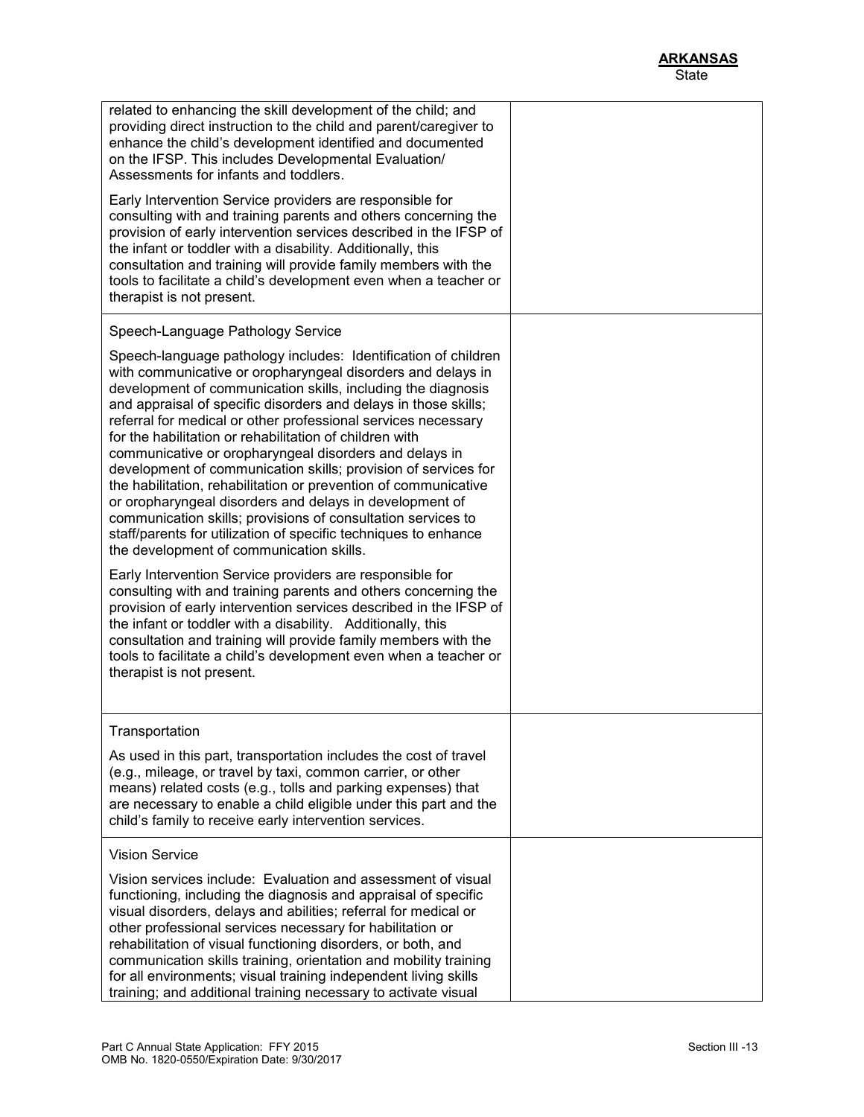| related to enhancing the skill development of the child; and<br>providing direct instruction to the child and parent/caregiver to<br>enhance the child's development identified and documented<br>on the IFSP. This includes Developmental Evaluation/<br>Assessments for infants and toddlers.                                                                                                                                                                                                                                                                                                                                                                                                                                                                                                                                                                                                                                                                                                                                                                                                                                                                                                                                               |  |
|-----------------------------------------------------------------------------------------------------------------------------------------------------------------------------------------------------------------------------------------------------------------------------------------------------------------------------------------------------------------------------------------------------------------------------------------------------------------------------------------------------------------------------------------------------------------------------------------------------------------------------------------------------------------------------------------------------------------------------------------------------------------------------------------------------------------------------------------------------------------------------------------------------------------------------------------------------------------------------------------------------------------------------------------------------------------------------------------------------------------------------------------------------------------------------------------------------------------------------------------------|--|
| Early Intervention Service providers are responsible for<br>consulting with and training parents and others concerning the<br>provision of early intervention services described in the IFSP of<br>the infant or toddler with a disability. Additionally, this<br>consultation and training will provide family members with the<br>tools to facilitate a child's development even when a teacher or<br>therapist is not present.                                                                                                                                                                                                                                                                                                                                                                                                                                                                                                                                                                                                                                                                                                                                                                                                             |  |
| Speech-Language Pathology Service                                                                                                                                                                                                                                                                                                                                                                                                                                                                                                                                                                                                                                                                                                                                                                                                                                                                                                                                                                                                                                                                                                                                                                                                             |  |
| Speech-language pathology includes: Identification of children<br>with communicative or oropharyngeal disorders and delays in<br>development of communication skills, including the diagnosis<br>and appraisal of specific disorders and delays in those skills;<br>referral for medical or other professional services necessary<br>for the habilitation or rehabilitation of children with<br>communicative or oropharyngeal disorders and delays in<br>development of communication skills; provision of services for<br>the habilitation, rehabilitation or prevention of communicative<br>or oropharyngeal disorders and delays in development of<br>communication skills; provisions of consultation services to<br>staff/parents for utilization of specific techniques to enhance<br>the development of communication skills.<br>Early Intervention Service providers are responsible for<br>consulting with and training parents and others concerning the<br>provision of early intervention services described in the IFSP of<br>the infant or toddler with a disability. Additionally, this<br>consultation and training will provide family members with the<br>tools to facilitate a child's development even when a teacher or |  |
| therapist is not present.                                                                                                                                                                                                                                                                                                                                                                                                                                                                                                                                                                                                                                                                                                                                                                                                                                                                                                                                                                                                                                                                                                                                                                                                                     |  |
| Transportation                                                                                                                                                                                                                                                                                                                                                                                                                                                                                                                                                                                                                                                                                                                                                                                                                                                                                                                                                                                                                                                                                                                                                                                                                                |  |
| As used in this part, transportation includes the cost of travel<br>(e.g., mileage, or travel by taxi, common carrier, or other<br>means) related costs (e.g., tolls and parking expenses) that<br>are necessary to enable a child eligible under this part and the<br>child's family to receive early intervention services.                                                                                                                                                                                                                                                                                                                                                                                                                                                                                                                                                                                                                                                                                                                                                                                                                                                                                                                 |  |
| <b>Vision Service</b>                                                                                                                                                                                                                                                                                                                                                                                                                                                                                                                                                                                                                                                                                                                                                                                                                                                                                                                                                                                                                                                                                                                                                                                                                         |  |
| Vision services include: Evaluation and assessment of visual<br>functioning, including the diagnosis and appraisal of specific<br>visual disorders, delays and abilities; referral for medical or<br>other professional services necessary for habilitation or<br>rehabilitation of visual functioning disorders, or both, and<br>communication skills training, orientation and mobility training<br>for all environments; visual training independent living skills<br>training; and additional training necessary to activate visual                                                                                                                                                                                                                                                                                                                                                                                                                                                                                                                                                                                                                                                                                                       |  |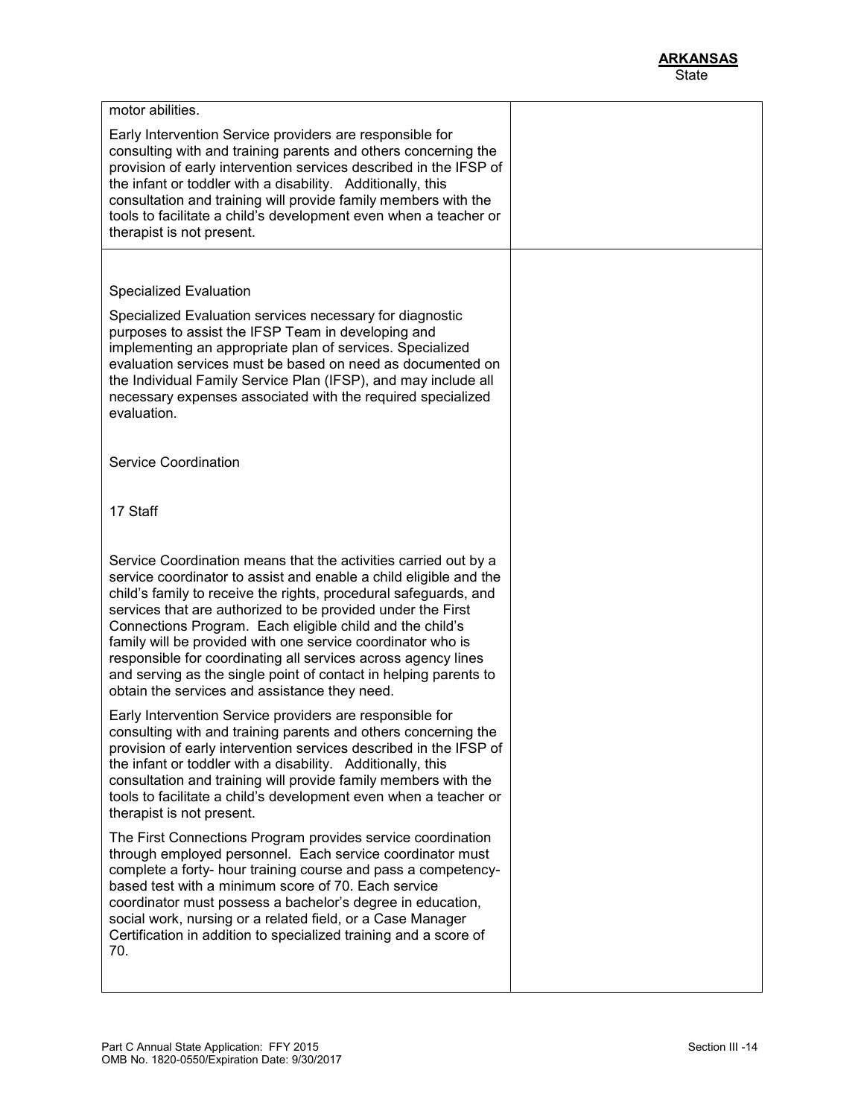| motor abilities.                                                                                                                                                                                                                                                                                                                                                                                                                                                                                                                                                                         |  |
|------------------------------------------------------------------------------------------------------------------------------------------------------------------------------------------------------------------------------------------------------------------------------------------------------------------------------------------------------------------------------------------------------------------------------------------------------------------------------------------------------------------------------------------------------------------------------------------|--|
| Early Intervention Service providers are responsible for<br>consulting with and training parents and others concerning the<br>provision of early intervention services described in the IFSP of<br>the infant or toddler with a disability. Additionally, this<br>consultation and training will provide family members with the<br>tools to facilitate a child's development even when a teacher or<br>therapist is not present.                                                                                                                                                        |  |
|                                                                                                                                                                                                                                                                                                                                                                                                                                                                                                                                                                                          |  |
| Specialized Evaluation                                                                                                                                                                                                                                                                                                                                                                                                                                                                                                                                                                   |  |
| Specialized Evaluation services necessary for diagnostic<br>purposes to assist the IFSP Team in developing and<br>implementing an appropriate plan of services. Specialized<br>evaluation services must be based on need as documented on<br>the Individual Family Service Plan (IFSP), and may include all<br>necessary expenses associated with the required specialized<br>evaluation.                                                                                                                                                                                                |  |
| <b>Service Coordination</b>                                                                                                                                                                                                                                                                                                                                                                                                                                                                                                                                                              |  |
| 17 Staff                                                                                                                                                                                                                                                                                                                                                                                                                                                                                                                                                                                 |  |
| Service Coordination means that the activities carried out by a<br>service coordinator to assist and enable a child eligible and the<br>child's family to receive the rights, procedural safeguards, and<br>services that are authorized to be provided under the First<br>Connections Program. Each eligible child and the child's<br>family will be provided with one service coordinator who is<br>responsible for coordinating all services across agency lines<br>and serving as the single point of contact in helping parents to<br>obtain the services and assistance they need. |  |
| Early Intervention Service providers are responsible for<br>consulting with and training parents and others concerning the<br>provision of early intervention services described in the IFSP of<br>the infant or toddler with a disability. Additionally, this<br>consultation and training will provide family members with the<br>tools to facilitate a child's development even when a teacher or<br>therapist is not present.                                                                                                                                                        |  |
| The First Connections Program provides service coordination<br>through employed personnel. Each service coordinator must<br>complete a forty- hour training course and pass a competency-<br>based test with a minimum score of 70. Each service<br>coordinator must possess a bachelor's degree in education,<br>social work, nursing or a related field, or a Case Manager<br>Certification in addition to specialized training and a score of<br>70.                                                                                                                                  |  |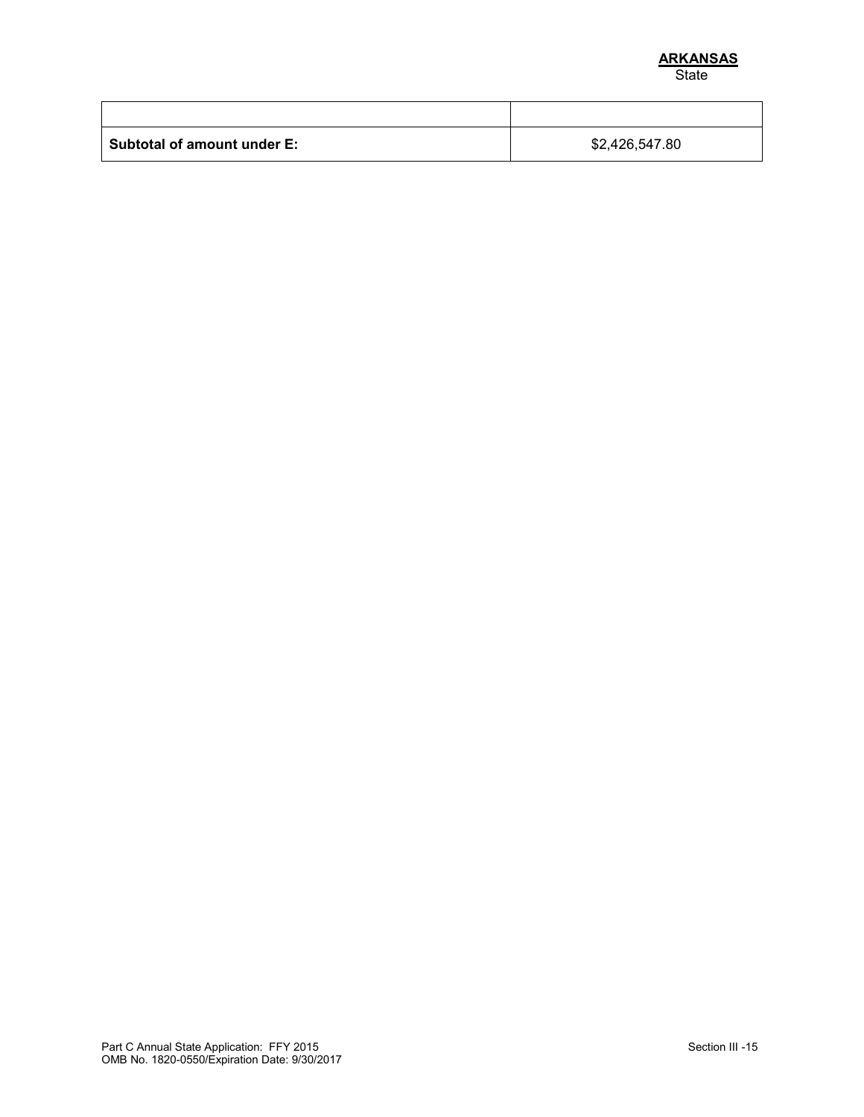| <b>Subtotal of amount under E:</b> | \$2,426,547.80 |
|------------------------------------|----------------|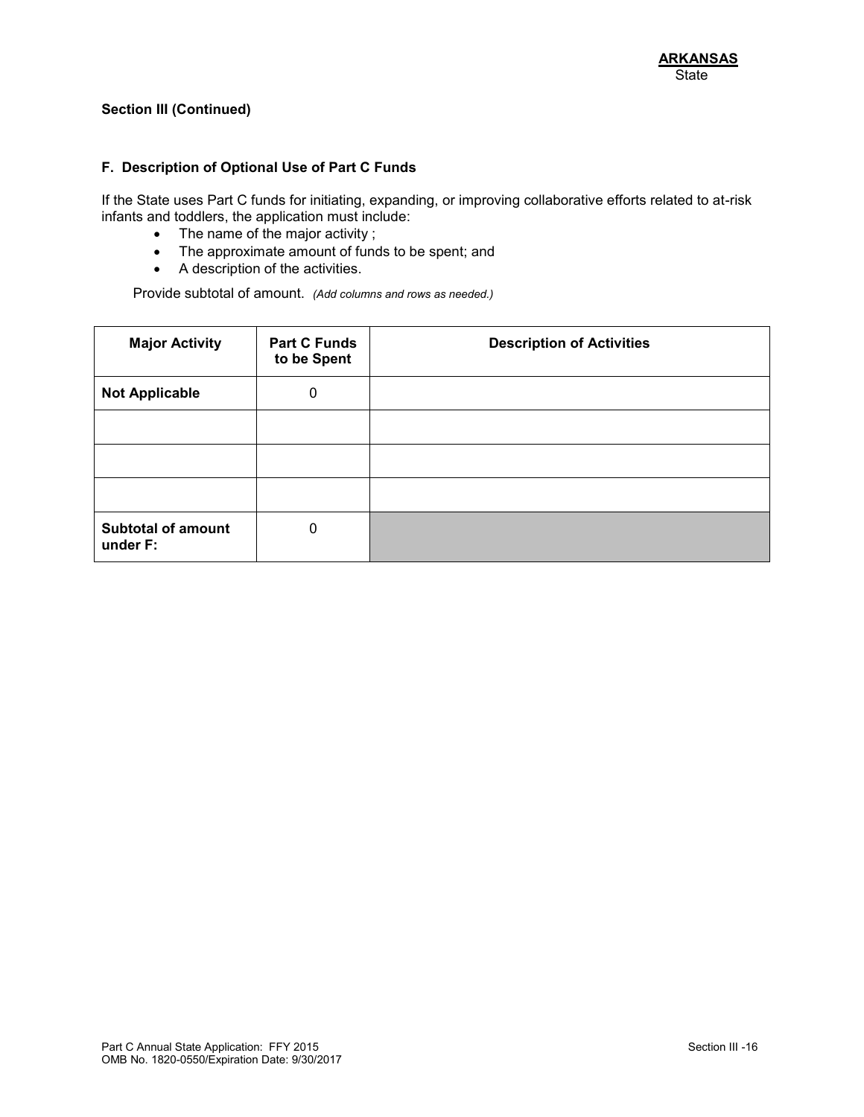#### **F. Description of Optional Use of Part C Funds**

If the State uses Part C funds for initiating, expanding, or improving collaborative efforts related to at-risk infants and toddlers, the application must include:

- The name of the major activity ;
- The approximate amount of funds to be spent; and
- A description of the activities.

Provide subtotal of amount. *(Add columns and rows as needed.)*

| <b>Major Activity</b>                 | <b>Part C Funds</b><br>to be Spent | <b>Description of Activities</b> |
|---------------------------------------|------------------------------------|----------------------------------|
| <b>Not Applicable</b>                 | $\mathbf 0$                        |                                  |
|                                       |                                    |                                  |
|                                       |                                    |                                  |
|                                       |                                    |                                  |
| <b>Subtotal of amount</b><br>under F: | 0                                  |                                  |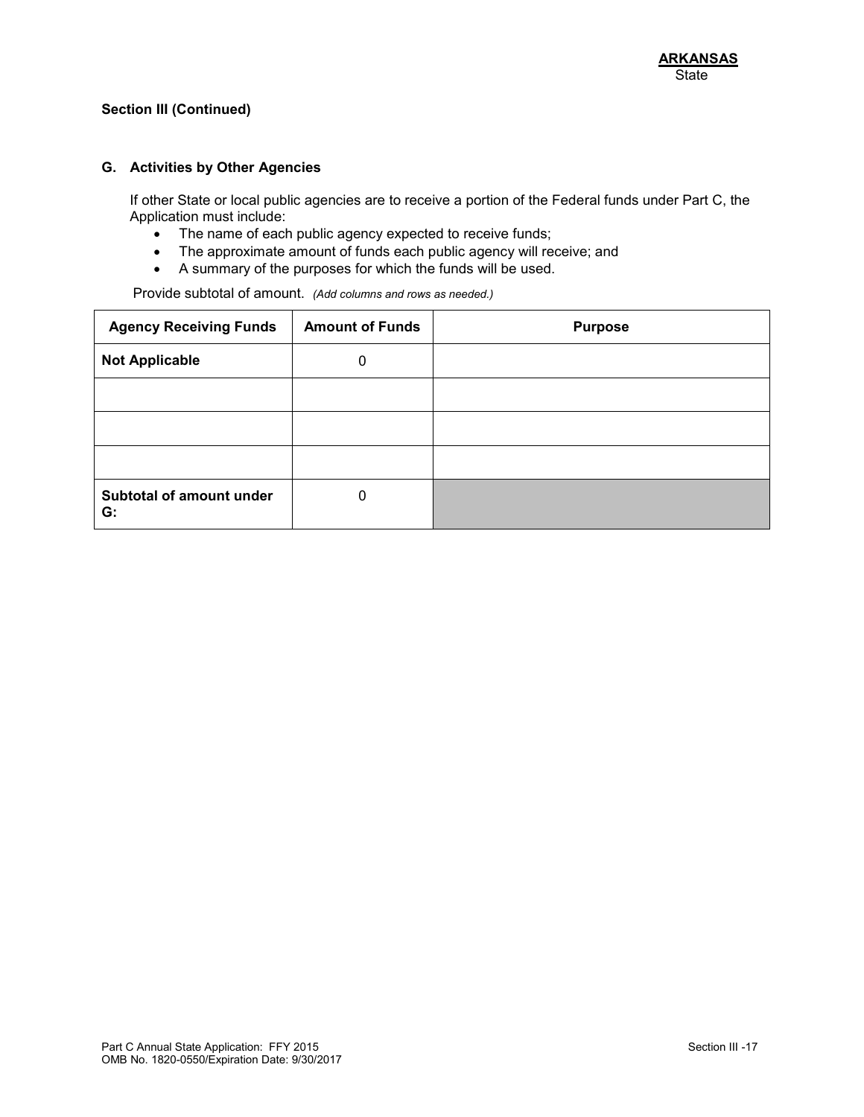#### **G. Activities by Other Agencies**

If other State or local public agencies are to receive a portion of the Federal funds under Part C, the Application must include:

- The name of each public agency expected to receive funds;
- The approximate amount of funds each public agency will receive; and
- A summary of the purposes for which the funds will be used.

Provide subtotal of amount. *(Add columns and rows as needed.)*

| <b>Agency Receiving Funds</b>  | <b>Amount of Funds</b> | <b>Purpose</b> |
|--------------------------------|------------------------|----------------|
| <b>Not Applicable</b>          | 0                      |                |
|                                |                        |                |
|                                |                        |                |
|                                |                        |                |
| Subtotal of amount under<br>G: | 0                      |                |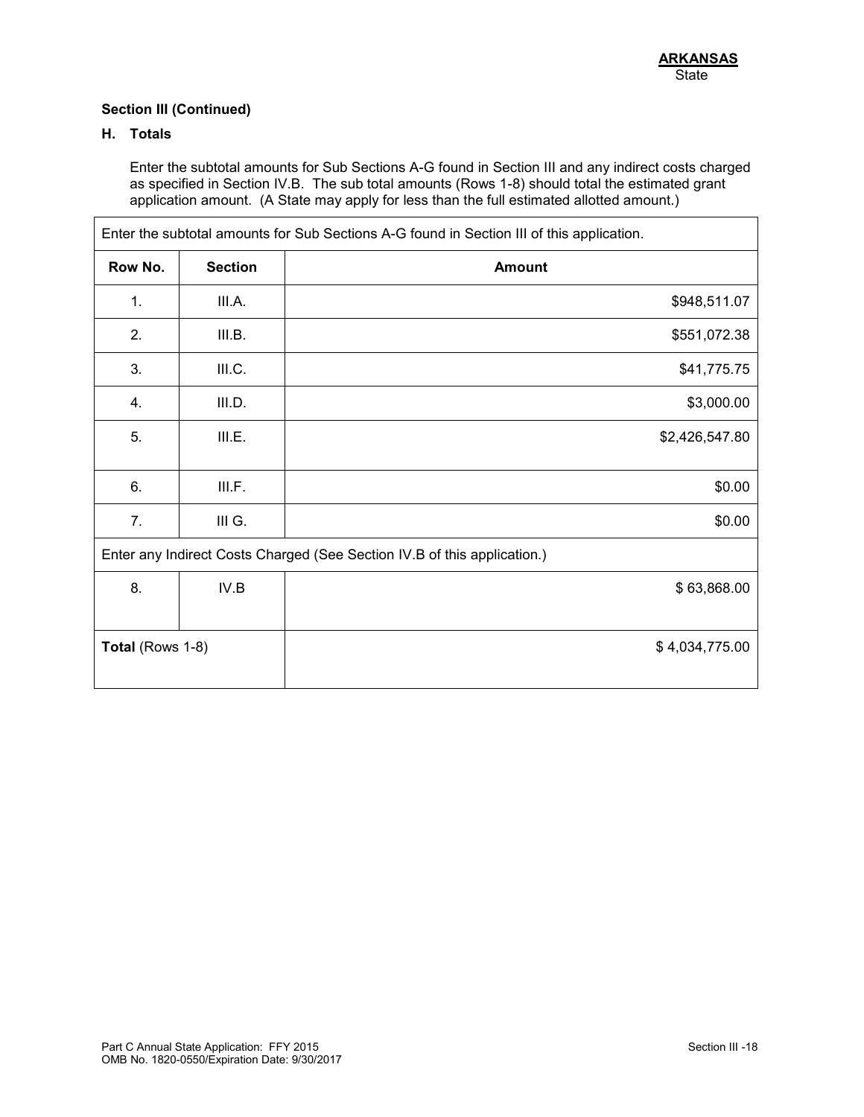# **H. Totals**

Enter the subtotal amounts for Sub Sections A-G found in Section III and any indirect costs charged as specified in Section IV.B. The sub total amounts (Rows 1-8) should total the estimated grant application amount. (A State may apply for less than the full estimated allotted amount.)

| Enter the subtotal amounts for Sub Sections A-G found in Section III of this application. |                |                |
|-------------------------------------------------------------------------------------------|----------------|----------------|
| Row No.                                                                                   | <b>Section</b> | <b>Amount</b>  |
| 1.                                                                                        | III.A.         | \$948,511.07   |
| 2.                                                                                        | III.B.         | \$551,072.38   |
| 3.                                                                                        | III.C.         | \$41,775.75    |
| 4.                                                                                        | III.D.         | \$3,000.00     |
| 5.                                                                                        | III.E.         | \$2,426,547.80 |
| 6.                                                                                        | III.F.         | \$0.00         |
| 7.                                                                                        | III G.         | \$0.00         |
| Enter any Indirect Costs Charged (See Section IV.B of this application.)                  |                |                |
| 8.                                                                                        | IV.B           | \$63,868.00    |
| Total (Rows 1-8)<br>\$4,034,775.00                                                        |                |                |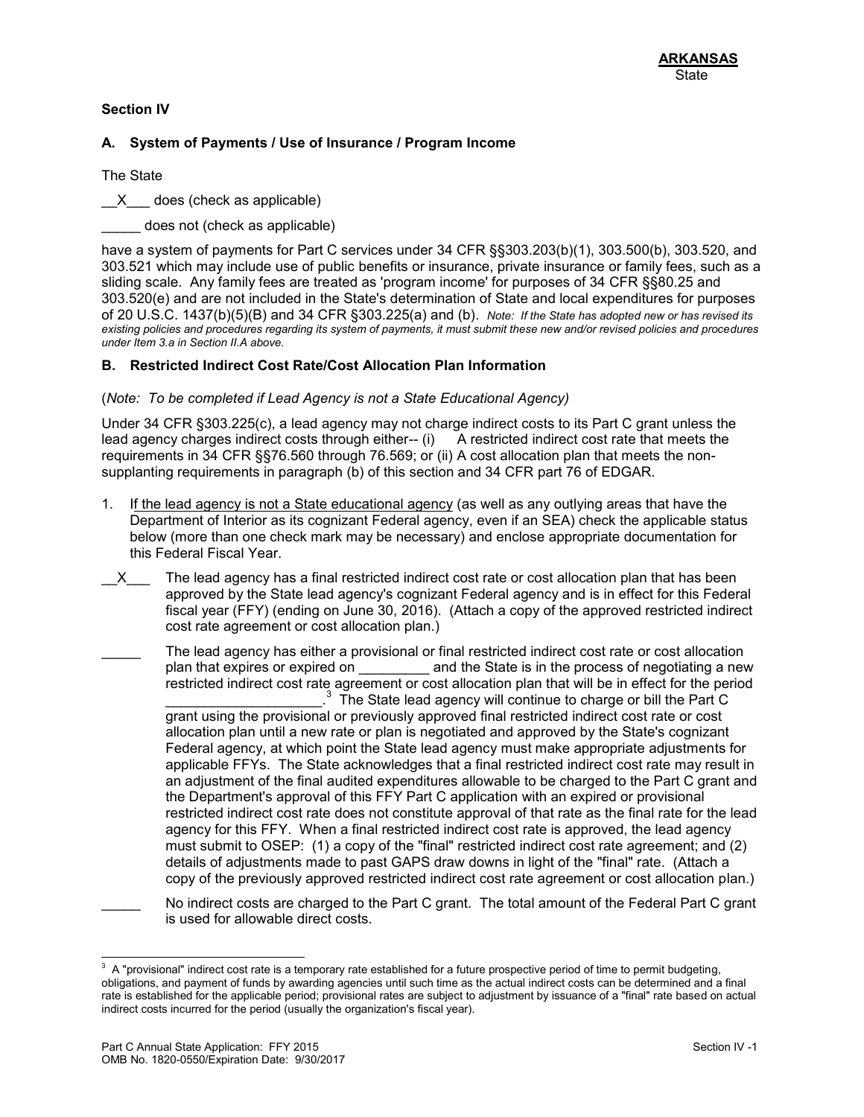## **Section IV**

### **A. System of Payments / Use of Insurance / Program Income**

The State

X does (check as applicable)

does not (check as applicable)

have a system of payments for Part C services under 34 CFR §§303.203(b)(1), 303.500(b), 303.520, and 303.521 which may include use of public benefits or insurance, private insurance or family fees, such as a sliding scale. Any family fees are treated as 'program income' for purposes of 34 CFR §§80.25 and 303.520(e) and are not included in the State's determination of State and local expenditures for purposes of 20 U.S.C. 1437(b)(5)(B) and 34 CFR §303.225(a) and (b). *Note: If the State has adopted new or has revised its existing policies and procedures regarding its system of payments, it must submit these new and/or revised policies and procedures under Item 3.a in Section II.A above.*

### **B. Restricted Indirect Cost Rate/Cost Allocation Plan Information**

#### (*Note: To be completed if Lead Agency is not a State Educational Agency)*

Under 34 CFR §303.225(c), a lead agency may not charge indirect costs to its Part C grant unless the lead agency charges indirect costs through either-- (i) A restricted indirect cost rate that meets the requirements in 34 CFR §§76.560 through 76.569; or (ii) A cost allocation plan that meets the nonsupplanting requirements in paragraph (b) of this section and 34 CFR part 76 of EDGAR.

- 1. If the lead agency is not a State educational agency (as well as any outlying areas that have the Department of Interior as its cognizant Federal agency, even if an SEA) check the applicable status below (more than one check mark may be necessary) and enclose appropriate documentation for this Federal Fiscal Year.
- X The lead agency has a final restricted indirect cost rate or cost allocation plan that has been approved by the State lead agency's cognizant Federal agency and is in effect for this Federal fiscal year (FFY) (ending on June 30, 2016). (Attach a copy of the approved restricted indirect cost rate agreement or cost allocation plan.)
- The lead agency has either a provisional or final restricted indirect cost rate or cost allocation plan that expires or expired on \_\_\_\_\_\_\_\_\_\_\_ and the State is in the process of negotiating a new restricted indirect cost rate agreement or cost allocation plan that will be in effect for the period  $\mathcal{L}_\text{max}$  , where  $\mathcal{L}_\text{max}$  , we have the set of  $\mathcal{L}_\text{max}$  $3$  The State lead agency will continue to charge or bill the Part C grant using the provisional or previously approved final restricted indirect cost rate or cost allocation plan until a new rate or plan is negotiated and approved by the State's cognizant Federal agency, at which point the State lead agency must make appropriate adjustments for applicable FFYs. The State acknowledges that a final restricted indirect cost rate may result in an adjustment of the final audited expenditures allowable to be charged to the Part C grant and the Department's approval of this FFY Part C application with an expired or provisional restricted indirect cost rate does not constitute approval of that rate as the final rate for the lead agency for this FFY. When a final restricted indirect cost rate is approved, the lead agency must submit to OSEP: (1) a copy of the "final" restricted indirect cost rate agreement; and (2) details of adjustments made to past GAPS draw downs in light of the "final" rate. (Attach a copy of the previously approved restricted indirect cost rate agreement or cost allocation plan.)
	- No indirect costs are charged to the Part C grant. The total amount of the Federal Part C grant is used for allowable direct costs.

<sup>&</sup>lt;sup>3</sup> A "provisional" indirect cost rate is a temporary rate established for a future prospective period of time to permit budgeting, obligations, and payment of funds by awarding agencies until such time as the actual indirect costs can be determined and a final rate is established for the applicable period; provisional rates are subject to adjustment by issuance of a "final" rate based on actual indirect costs incurred for the period (usually the organization's fiscal year).